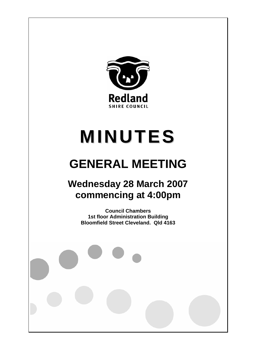

# **MINUTES**

# **GENERAL MEETING**

## **Wednesday 28 March 2007 commencing at 4:00pm**

**Council Chambers 1st floor Administration Building Bloomfield Street Cleveland. Qld 4163**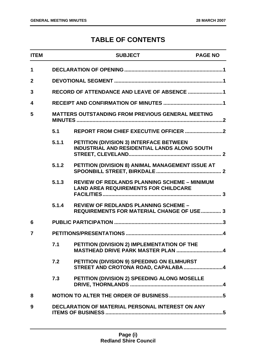### **TABLE OF CONTENTS**

| <b>ITEM</b> |       | <b>SUBJECT</b>                                                                                     | <b>PAGE NO</b> |
|-------------|-------|----------------------------------------------------------------------------------------------------|----------------|
| 1           |       |                                                                                                    |                |
| $\mathbf 2$ |       |                                                                                                    |                |
| 3           |       | RECORD OF ATTENDANCE AND LEAVE OF ABSENCE 1                                                        |                |
| 4           |       |                                                                                                    |                |
| 5           |       | <b>MATTERS OUTSTANDING FROM PREVIOUS GENERAL MEETING</b>                                           |                |
|             | 5.1   |                                                                                                    |                |
|             | 5.1.1 | PETITION (DIVISION 3) INTERFACE BETWEEN<br><b>INDUSTRIAL AND RESIDENTIAL LANDS ALONG SOUTH</b>     |                |
|             | 5.1.2 | PETITION (DIVISION 8) ANIMAL MANAGEMENT ISSUE AT                                                   |                |
|             | 5.1.3 | <b>REVIEW OF REDLANDS PLANNING SCHEME - MINIMUM</b><br><b>LAND AREA REQUIREMENTS FOR CHILDCARE</b> |                |
|             | 5.1.4 | <b>REVIEW OF REDLANDS PLANNING SCHEME -</b><br><b>REQUIREMENTS FOR MATERIAL CHANGE OF USE  3</b>   |                |
| 6           |       |                                                                                                    |                |
| 7           |       |                                                                                                    |                |
|             | 7.1   | PETITION (DIVISION 2) IMPLEMENTATION OF THE<br>MASTHEAD DRIVE PARK MASTER PLAN 4                   |                |
|             | 7.2   | PETITION (DIVISION 9) SPEEDING ON ELMHURST<br>STREET AND CROTONA ROAD, CAPALABA4                   |                |
|             | 7.3   | PETITION (DIVISION 2) SPEEDING ALONG MOSELLE                                                       |                |
| 8           |       |                                                                                                    |                |
| 9           |       | DECLARATION OF MATERIAL PERSONAL INTEREST ON ANY                                                   |                |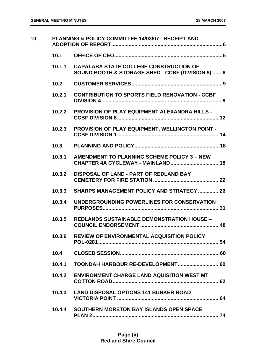| 10 |        | PLANNING & POLICY COMMITTEE 14/03/07 - RECEIPT AND                                                 |
|----|--------|----------------------------------------------------------------------------------------------------|
|    | 10.1   |                                                                                                    |
|    | 10.1.1 | <b>CAPALABA STATE COLLEGE CONSTRUCTION OF</b><br>SOUND BOOTH & STORAGE SHED - CCBF (DIVISION 9)  6 |
|    | 10.2   |                                                                                                    |
|    | 10.2.1 | <b>CONTRIBUTION TO SPORTS FIELD RENOVATION - CCBF</b>                                              |
|    | 10.2.2 | <b>PROVISION OF PLAY EQUIPMENT ALEXANDRA HILLS -</b>                                               |
|    | 10.2.3 | PROVISION OF PLAY EQUIPMENT, WELLINGTON POINT -                                                    |
|    | 10.3   |                                                                                                    |
|    | 10.3.1 | AMENDMENT TO PLANNING SCHEME POLICY 3 - NEW                                                        |
|    | 10.3.2 | <b>DISPOSAL OF LAND - PART OF REDLAND BAY</b>                                                      |
|    | 10.3.3 | <b>SHARPS MANAGEMENT POLICY AND STRATEGY  26</b>                                                   |
|    | 10.3.4 | UNDERGROUNDING POWERLINES FOR CONSERVATION                                                         |
|    | 10.3.5 | <b>REDLANDS SUSTAINABLE DEMONSTRATION HOUSE -</b>                                                  |
|    | 10.3.6 | <b>REVIEW OF ENVIRONMENTAL ACQUISITION POLICY</b>                                                  |
|    | 10.4   |                                                                                                    |
|    | 10.4.1 |                                                                                                    |
|    | 10.4.2 | <b>ENVIRONMENT CHARGE LAND AQUISITION WEST MT</b>                                                  |
|    | 10.4.3 | <b>LAND DISPOSAL OPTIONS 141 BUNKER ROAD</b>                                                       |
|    |        | 10.4.4 SOUTHERN MORETON BAY ISLANDS OPEN SPACE                                                     |
|    |        |                                                                                                    |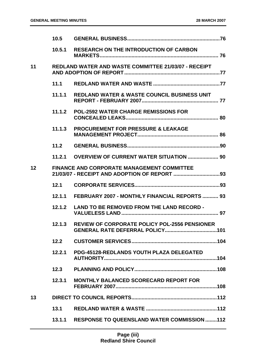|    | 10.5   |                                                             |
|----|--------|-------------------------------------------------------------|
|    | 10.5.1 | <b>RESEARCH ON THE INTRODUCTION OF CARBON</b>               |
| 11 |        | <b>REDLAND WATER AND WASTE COMMITTEE 21/03/07 - RECEIPT</b> |
|    | 11.1   |                                                             |
|    | 11.1.1 | <b>REDLAND WATER &amp; WASTE COUNCIL BUSINESS UNIT</b>      |
|    | 11.1.2 | <b>POL-2592 WATER CHARGE REMISSIONS FOR</b>                 |
|    | 11.1.3 | <b>PROCUREMENT FOR PRESSURE &amp; LEAKAGE</b>               |
|    | 11.2   |                                                             |
|    | 11.2.1 | <b>OVERVIEW OF CURRENT WATER SITUATION  90</b>              |
| 12 |        | <b>FINANCE AND CORPORATE MANAGEMENT COMMITTEE</b>           |
|    |        |                                                             |
|    | 12.1   |                                                             |
|    | 12.1.1 | FEBRUARY 2007 - MONTHLY FINANCIAL REPORTS  93               |
|    | 12.1.2 | <b>LAND TO BE REMOVED FROM THE LAND RECORD -</b>            |
|    | 12.1.3 | REVIEW OF CORPORATE POLICY POL-2556 PENSIONER               |
|    | 12.2   |                                                             |
|    | 12.2.1 | PDG-45128-REDLANDS YOUTH PLAZA DELEGATED                    |
|    | 12.3   |                                                             |
|    | 12.3.1 | <b>MONTHLY BALANCED SCORECARD REPORT FOR</b>                |
| 13 |        |                                                             |
|    | 13.1   |                                                             |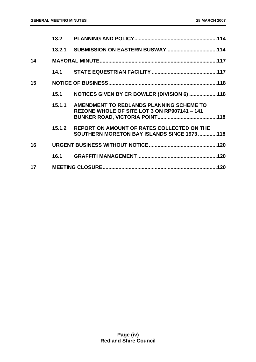|    | 13.2   |                                                                                           |  |
|----|--------|-------------------------------------------------------------------------------------------|--|
|    |        |                                                                                           |  |
| 14 |        |                                                                                           |  |
|    |        |                                                                                           |  |
| 15 |        |                                                                                           |  |
|    | 15.1   | NOTICES GIVEN BY CR BOWLER (DIVISION 6) 118                                               |  |
|    | 15.1.1 | AMENDMENT TO REDLANDS PLANNING SCHEME TO<br>REZONE WHOLE OF SITE LOT 3 ON RP907141 - 141  |  |
|    | 15.1.2 | REPORT ON AMOUNT OF RATES COLLECTED ON THE<br>SOUTHERN MORETON BAY ISLANDS SINCE 1973 118 |  |
| 16 |        |                                                                                           |  |
|    |        |                                                                                           |  |
| 17 |        |                                                                                           |  |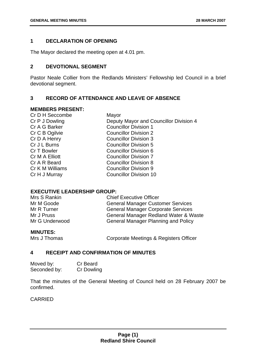#### **1 DECLARATION OF OPENING**

The Mayor declared the meeting open at 4.01 pm.

#### **2 DEVOTIONAL SEGMENT**

Pastor Neale Collier from the Redlands Ministers' Fellowship led Council in a brief devotional segment.

#### **3 RECORD OF ATTENDANCE AND LEAVE OF ABSENCE**

#### **MEMBERS PRESENT:**

| Cr D H Seccombe | Mayor                                  |
|-----------------|----------------------------------------|
| Cr P J Dowling  | Deputy Mayor and Councillor Division 4 |
| Cr A G Barker   | <b>Councillor Division 1</b>           |
| Cr C B Ogilvie  | <b>Councillor Division 2</b>           |
| Cr D A Henry    | <b>Councillor Division 3</b>           |
| Cr J L Burns    | <b>Councillor Division 5</b>           |
| Cr T Bowler     | <b>Councillor Division 6</b>           |
| Cr M A Elliott  | <b>Councillor Division 7</b>           |
| Cr A R Beard    | <b>Councillor Division 8</b>           |
| Cr K M Williams | <b>Councillor Division 9</b>           |
| Cr H J Murray   | <b>Councillor Division 10</b>          |
|                 |                                        |

#### **EXECUTIVE LEADERSHIP GROUP:**

| Mrs S Rankin   | <b>Chief Executive Officer</b>             |
|----------------|--------------------------------------------|
| Mr M Goode     | <b>General Manager Customer Services</b>   |
| Mr R Turner    | <b>General Manager Corporate Services</b>  |
| Mr J Pruss     | General Manager Redland Water & Waste      |
| Mr G Underwood | <b>General Manager Planning and Policy</b> |
|                |                                            |

#### **MINUTES:**

Mrs J Thomas Corporate Meetings & Registers Officer

#### **4 RECEIPT AND CONFIRMATION OF MINUTES**

| Moved by:    | Cr Beard   |
|--------------|------------|
| Seconded by: | Cr Dowling |

That the minutes of the General Meeting of Council held on 28 February 2007 be confirmed.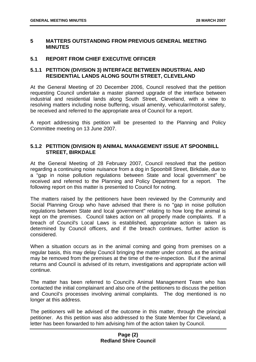#### **5 MATTERS OUTSTANDING FROM PREVIOUS GENERAL MEETING MINUTES**

#### **5.1 REPORT FROM CHIEF EXECUTIVE OFFICER**

#### **5.1.1 PETITION (DIVISION 3) INTERFACE BETWEEN INDUSTRIAL AND RESIDENTIAL LANDS ALONG SOUTH STREET, CLEVELAND**

At the General Meeting of 20 December 2006, Council resolved that the petition requesting Council undertake a master planned upgrade of the interface between industrial and residential lands along South Street, Cleveland, with a view to resolving matters including noise buffering, visual amenity, vehicular/motorist safety, be received and referred to the appropriate area of Council for a report.

A report addressing this petition will be presented to the Planning and Policy Committee meeting on 13 June 2007.

#### **5.1.2 PETITION (DIVISION 8) ANIMAL MANAGEMENT ISSUE AT SPOONBILL STREET, BIRKDALE**

At the General Meeting of 28 February 2007, Council resolved that the petition regarding a continuing noise nuisance from a dog in Spoonbill Street, Birkdale, due to a "gap in noise pollution regulations between State and local government" be received and referred to the Planning and Policy Department for a report. The following report on this matter is presented to Council for noting.

The matters raised by the petitioners have been reviewed by the Community and Social Planning Group who have advised that there is no "gap in noise pollution regulations between State and local government" relating to how long the animal is kept on the premises. Council takes action on all properly made complaints. If a breach of Council's Local Laws is established, appropriate action is taken as determined by Council officers, and if the breach continues, further action is considered.

When a situation occurs as in the animal coming and going from premises on a regular basis, this may delay Council bringing the matter under control, as the animal may be removed from the premises at the time of the re-inspection. But if the animal returns and Council is advised of its return, investigations and appropriate action will continue.

The matter has been referred to Council's Animal Management Team who has contacted the initial complainant and also one of the petitioners to discuss the petition and Council's processes involving animal complaints. The dog mentioned is no longer at this address.

The petitioners will be advised of the outcome in this matter, through the principal petitioner. As this petition was also addressed to the State Member for Cleveland, a letter has been forwarded to him advising him of the action taken by Council.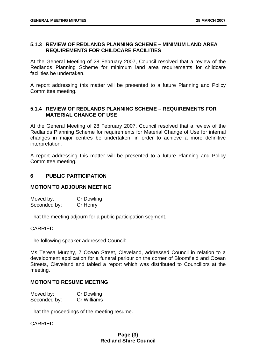#### **5.1.3 REVIEW OF REDLANDS PLANNING SCHEME – MINIMUM LAND AREA REQUIREMENTS FOR CHILDCARE FACILITIES**

At the General Meeting of 28 February 2007, Council resolved that a review of the Redlands Planning Scheme for minimum land area requirements for childcare facilities be undertaken.

A report addressing this matter will be presented to a future Planning and Policy Committee meeting.

#### **5.1.4 REVIEW OF REDLANDS PLANNING SCHEME – REQUIREMENTS FOR MATERIAL CHANGE OF USE**

At the General Meeting of 28 February 2007, Council resolved that a review of the Redlands Planning Scheme for requirements for Material Change of Use for internal changes in major centres be undertaken, in order to achieve a more definitive interpretation.

A report addressing this matter will be presented to a future Planning and Policy Committee meeting.

#### **6 PUBLIC PARTICIPATION**

#### **MOTION TO ADJOURN MEETING**

Moved by: Cr Dowling Seconded by: Cr Henry

That the meeting adjourn for a public participation segment.

#### CARRIED

The following speaker addressed Council:

Ms Teresa Murphy, 7 Ocean Street, Cleveland, addressed Council in relation to a development application for a funeral parlour on the corner of Bloomfield and Ocean Streets, Cleveland and tabled a report which was distributed to Councillors at the meeting.

#### **MOTION TO RESUME MEETING**

| Moved by:    | <b>Cr Dowling</b> |
|--------------|-------------------|
| Seconded by: | Cr Williams       |

That the proceedings of the meeting resume.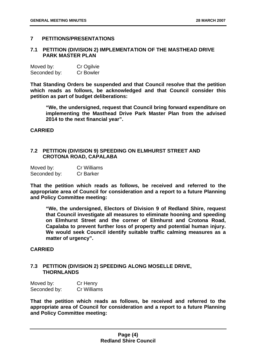#### **7 PETITIONS/PRESENTATIONS**

#### **7.1 PETITION (DIVISION 2) IMPLEMENTATION OF THE MASTHEAD DRIVE PARK MASTER PLAN**

| Moved by:    | Cr Ogilvie       |
|--------------|------------------|
| Seconded by: | <b>Cr Bowler</b> |

**That Standing Orders be suspended and that Council resolve that the petition which reads as follows, be acknowledged and that Council consider this petition as part of budget deliberations:** 

**"We, the undersigned, request that Council bring forward expenditure on implementing the Masthead Drive Park Master Plan from the advised 2014 to the next financial year".** 

#### **CARRIED**

#### **7.2 PETITION (DIVISION 9) SPEEDING ON ELMHURST STREET AND CROTONA ROAD, CAPALABA**

| Moved by:    | <b>Cr Williams</b> |
|--------------|--------------------|
| Seconded by: | <b>Cr Barker</b>   |

**That the petition which reads as follows, be received and referred to the appropriate area of Council for consideration and a report to a future Planning and Policy Committee meeting:** 

**"We, the undersigned, Electors of Division 9 of Redland Shire, request that Council investigate all measures to eliminate hooning and speeding on Elmhurst Street and the corner of Elmhurst and Crotona Road, Capalaba to prevent further loss of property and potential human injury. We would seek Council identify suitable traffic calming measures as a matter of urgency".** 

#### **CARRIED**

#### **7.3 PETITION (DIVISION 2) SPEEDING ALONG MOSELLE DRIVE, THORNLANDS**

| Moved by:    | Cr Henry    |
|--------------|-------------|
| Seconded by: | Cr Williams |

**That the petition which reads as follows, be received and referred to the appropriate area of Council for consideration and a report to a future Planning and Policy Committee meeting:**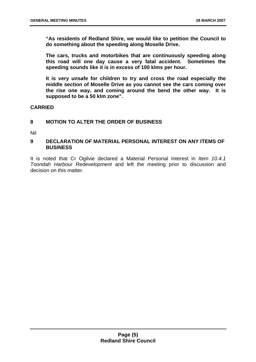**"As residents of Redland Shire, we would like to petition the Council to do something about the speeding along Moselle Drive.** 

**The cars, trucks and motorbikes that are continuously speeding along this road will one day cause a very fatal accident. Sometimes the speeding sounds like it is in excess of 100 klms per hour.** 

**It is very unsafe for children to try and cross the road especially the middle section of Moselle Drive as you cannot see the cars coming over the rise one way, and coming around the bend the other way. It is supposed to be a 50 klm zone".** 

#### **CARRIED**

#### **8 MOTION TO ALTER THE ORDER OF BUSINESS**

Nil

#### **9 DECLARATION OF MATERIAL PERSONAL INTEREST ON ANY ITEMS OF BUSINESS**

It is noted that Cr Ogilvie declared a Material Personal Interest in *Item 10.4.1 Toondah Harbour Redevelopment* and left the meeting prior to discussion and decision on this matter.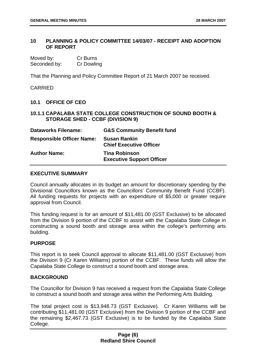#### **10 PLANNING & POLICY COMMITTEE 14/03/07 - RECEIPT AND ADOPTION OF REPORT**

| Moved by:    | Cr Burns   |
|--------------|------------|
| Seconded by: | Cr Dowling |

That the Planning and Policy Committee Report of 21 March 2007 be received.

CARRIED

#### **10.1 OFFICE OF CEO**

#### **10.1.1 CAPALABA STATE COLLEGE CONSTRUCTION OF SOUND BOOTH & STORAGE SHED - CCBF (DIVISION 9)**

| <b>Dataworks Filename:</b>       | <b>G&amp;S Community Benefit fund</b>                    |
|----------------------------------|----------------------------------------------------------|
| <b>Responsible Officer Name:</b> | <b>Susan Rankin</b><br><b>Chief Executive Officer</b>    |
| <b>Author Name:</b>              | <b>Tina Robinson</b><br><b>Executive Support Officer</b> |

#### **EXECUTIVE SUMMARY**

Council annually allocates in its budget an amount for discretionary spending by the Divisional Councillors known as the Councillors' Community Benefit Fund (CCBF). All funding requests for projects with an expenditure of \$5,000 or greater require approval from Council.

This funding request is for an amount of \$11,481.00 (GST Exclusive) to be allocated from the Division 9 portion of the CCBF to assist with the Capalaba State College in constructing a sound booth and storage area within the college's performing arts building.

#### **PURPOSE**

This report is to seek Council approval to allocate \$11,481.00 (GST Exclusive) from the Division 9 (Cr Karen Williams) portion of the CCBF. These funds will allow the Capalaba State College to construct a sound booth and storage area.

#### **BACKGROUND**

The Councillor for Division 9 has received a request from the Capalaba State College to construct a sound booth and storage area within the Performing Arts Building.

The total project cost is \$13,948.73 (GST Exclusive). Cr Karen Williams will be contributing \$11,481.00 (GST Exclusive) from the Division 9 portion of the CCBF and the remaining \$2,467.73 (GST Exclusive) is to be funded by the Capalaba State College.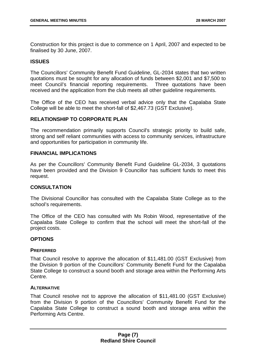Construction for this project is due to commence on 1 April, 2007 and expected to be finalised by 30 June, 2007.

#### **ISSUES**

The Councillors' Community Benefit Fund Guideline, GL-2034 states that two written quotations must be sought for any allocation of funds between \$2,001 and \$7,500 to meet Council's financial reporting requirements. Three quotations have been received and the application from the club meets all other guideline requirements.

The Office of the CEO has received verbal advice only that the Capalaba State College will be able to meet the short-fall of \$2,467.73 (GST Exclusive).

#### **RELATIONSHIP TO CORPORATE PLAN**

The recommendation primarily supports Council's strategic priority to build safe, strong and self reliant communities with access to community services, infrastructure and opportunities for participation in community life.

#### **FINANCIAL IMPLICATIONS**

As per the Councillors' Community Benefit Fund Guideline GL-2034, 3 quotations have been provided and the Division 9 Councillor has sufficient funds to meet this request.

#### **CONSULTATION**

The Divisional Councillor has consulted with the Capalaba State College as to the school's requirements.

The Office of the CEO has consulted with Ms Robin Wood, representative of the Capalaba State College to confirm that the school will meet the short-fall of the project costs.

#### **OPTIONS**

#### **PREFERRED**

That Council resolve to approve the allocation of \$11,481.00 (GST Exclusive) from the Division 9 portion of the Councillors' Community Benefit Fund for the Capalaba State College to construct a sound booth and storage area within the Performing Arts Centre.

#### **ALTERNATIVE**

That Council resolve not to approve the allocation of \$11,481.00 (GST Exclusive) from the Division 9 portion of the Councillors' Community Benefit Fund for the Capalaba State College to construct a sound booth and storage area within the Performing Arts Centre.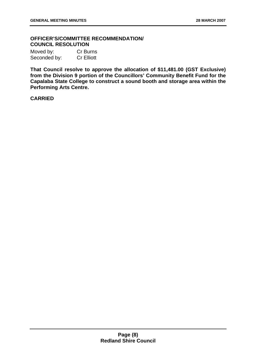#### **OFFICER'S/COMMITTEE RECOMMENDATION/ COUNCIL RESOLUTION**

| Moved by:    | Cr Burns          |
|--------------|-------------------|
| Seconded by: | <b>Cr Elliott</b> |

**That Council resolve to approve the allocation of \$11,481.00 (GST Exclusive) from the Division 9 portion of the Councillors' Community Benefit Fund for the Capalaba State College to construct a sound booth and storage area within the Performing Arts Centre.**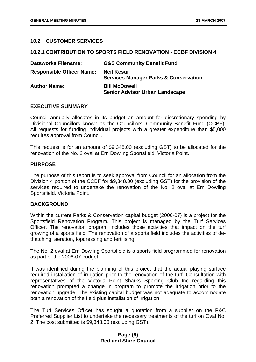#### **10.2 CUSTOMER SERVICES**

#### **10.2.1 CONTRIBUTION TO SPORTS FIELD RENOVATION - CCBF DIVISION 4**

| <b>Dataworks Filename:</b>       | <b>G&amp;S Community Benefit Fund</b>                                 |
|----------------------------------|-----------------------------------------------------------------------|
| <b>Responsible Officer Name:</b> | <b>Neil Kesur</b><br><b>Services Manager Parks &amp; Conservation</b> |
| <b>Author Name:</b>              | <b>Bill McDowell</b><br><b>Senior Advisor Urban Landscape</b>         |

#### **EXECUTIVE SUMMARY**

Council annually allocates in its budget an amount for discretionary spending by Divisional Councillors known as the Councillors' Community Benefit Fund (CCBF). All requests for funding individual projects with a greater expenditure than \$5,000 requires approval from Council.

This request is for an amount of \$9,348.00 (excluding GST) to be allocated for the renovation of the No. 2 oval at Ern Dowling Sportsfield, Victoria Point.

#### **PURPOSE**

The purpose of this report is to seek approval from Council for an allocation from the Division 4 portion of the CCBF for \$9,348.00 (excluding GST) for the provision of the services required to undertake the renovation of the No. 2 oval at Ern Dowling Sportsfield, Victoria Point.

#### **BACKGROUND**

Within the current Parks & Conservation capital budget (2006-07) is a project for the Sportsfield Renovation Program. This project is managed by the Turf Services Officer. The renovation program includes those activities that impact on the turf growing of a sports field. The renovation of a sports field includes the activities of dethatching, aeration, topdressing and fertilising.

The No. 2 oval at Ern Dowling Sportsfield is a sports field programmed for renovation as part of the 2006-07 budget.

It was identified during the planning of this project that the actual playing surface required installation of irrigation prior to the renovation of the turf. Consultation with representatives of the Victoria Point Sharks Sporting Club Inc regarding this renovation prompted a change in program to promote the irrigation prior to the renovation upgrade. The existing capital budget was not adequate to accommodate both a renovation of the field plus installation of irrigation.

The Turf Services Officer has sought a quotation from a supplier on the P&C Preferred Supplier List to undertake the necessary treatments of the turf on Oval No. 2. The cost submitted is \$9,348.00 (excluding GST).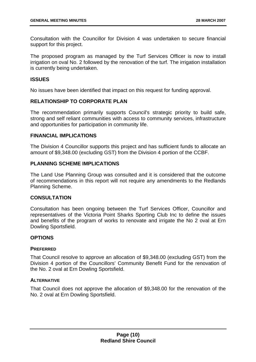Consultation with the Councillor for Division 4 was undertaken to secure financial support for this project.

The proposed program as managed by the Turf Services Officer is now to install irrigation on oval No. 2 followed by the renovation of the turf. The irrigation installation is currently being undertaken.

#### **ISSUES**

No issues have been identified that impact on this request for funding approval.

#### **RELATIONSHIP TO CORPORATE PLAN**

The recommendation primarily supports Council's strategic priority to build safe, strong and self reliant communities with access to community services, infrastructure and opportunities for participation in community life.

#### **FINANCIAL IMPLICATIONS**

The Division 4 Councillor supports this project and has sufficient funds to allocate an amount of \$9,348.00 (excluding GST) from the Division 4 portion of the CCBF.

#### **PLANNING SCHEME IMPLICATIONS**

The Land Use Planning Group was consulted and it is considered that the outcome of recommendations in this report will not require any amendments to the Redlands Planning Scheme.

#### **CONSULTATION**

Consultation has been ongoing between the Turf Services Officer, Councillor and representatives of the Victoria Point Sharks Sporting Club Inc to define the issues and benefits of the program of works to renovate and irrigate the No 2 oval at Ern Dowling Sportsfield.

#### **OPTIONS**

#### **PREFERRED**

That Council resolve to approve an allocation of \$9,348.00 (excluding GST) from the Division 4 portion of the Councillors' Community Benefit Fund for the renovation of the No. 2 oval at Ern Dowling Sportsfield.

#### **ALTERNATIVE**

That Council does not approve the allocation of \$9,348.00 for the renovation of the No. 2 oval at Ern Dowling Sportsfield.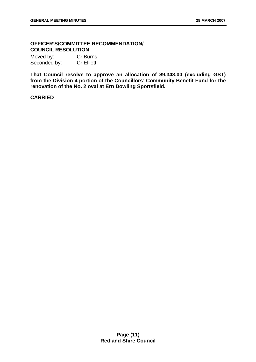#### **OFFICER'S/COMMITTEE RECOMMENDATION/ COUNCIL RESOLUTION**

Moved by: Cr Burns Seconded by: Cr Elliott

**That Council resolve to approve an allocation of \$9,348.00 (excluding GST) from the Division 4 portion of the Councillors' Community Benefit Fund for the renovation of the No. 2 oval at Ern Dowling Sportsfield.**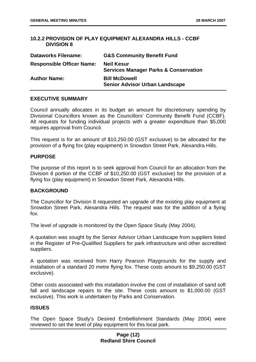#### **10.2.2 PROVISION OF PLAY EQUIPMENT ALEXANDRA HILLS - CCBF DIVISION 8**

| <b>Dataworks Filename:</b>       | <b>G&amp;S Community Benefit Fund</b>                                 |
|----------------------------------|-----------------------------------------------------------------------|
| <b>Responsible Officer Name:</b> | <b>Neil Kesur</b><br><b>Services Manager Parks &amp; Conservation</b> |
| <b>Author Name:</b>              | <b>Bill McDowell</b><br><b>Senior Advisor Urban Landscape</b>         |

#### **EXECUTIVE SUMMARY**

Council annually allocates in its budget an amount for discretionary spending by Divisional Councillors known as the Councillors' Community Benefit Fund (CCBF). All requests for funding individual projects with a greater expenditure than \$5,000 requires approval from Council.

This request is for an amount of \$10,250.00 (GST exclusive) to be allocated for the provision of a flying fox (play equipment) in Snowdon Street Park, Alexandra Hills.

#### **PURPOSE**

The purpose of this report is to seek approval from Council for an allocation from the Division 8 portion of the CCBF of \$10,250.00 (GST exclusive) for the provision of a flying fox (play equipment) in Snowdon Street Park, Alexandra Hills.

#### **BACKGROUND**

The Councillor for Division 8 requested an upgrade of the existing play equipment at Snowdon Street Park, Alexandra Hills. The request was for the addition of a flying fox.

The level of upgrade is monitored by the Open Space Study (May 2004).

A quotation was sought by the Senior Advisor Urban Landscape from suppliers listed in the Register of Pre-Qualified Suppliers for park infrastructure and other accredited suppliers.

A quotation was received from Harry Pearson Playgrounds for the supply and installation of a standard 20 metre flying fox. These costs amount to \$9,250.00 (GST exclusive).

Other costs associated with this installation involve the cost of installation of sand soft fall and landscape repairs to the site. These costs amount to \$1,000.00 (GST exclusive). This work is undertaken by Parks and Conservation.

#### **ISSUES**

The Open Space Study's Desired Embellishment Standards (May 2004) were reviewed to set the level of play equipment for this local park.

#### **Page (12) Redland Shire Council**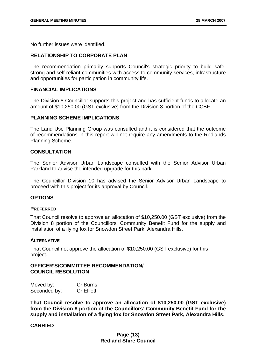No further issues were identified.

#### **RELATIONSHIP TO CORPORATE PLAN**

The recommendation primarily supports Council's strategic priority to build safe, strong and self reliant communities with access to community services, infrastructure and opportunities for participation in community life.

#### **FINANCIAL IMPLICATIONS**

The Division 8 Councillor supports this project and has sufficient funds to allocate an amount of \$10,250.00 (GST exclusive) from the Division 8 portion of the CCBF.

#### **PLANNING SCHEME IMPLICATIONS**

The Land Use Planning Group was consulted and it is considered that the outcome of recommendations in this report will not require any amendments to the Redlands Planning Scheme.

#### **CONSULTATION**

The Senior Advisor Urban Landscape consulted with the Senior Advisor Urban Parkland to advise the intended upgrade for this park.

The Councillor Division 10 has advised the Senior Advisor Urban Landscape to proceed with this project for its approval by Council.

#### **OPTIONS**

#### **PREFERRED**

That Council resolve to approve an allocation of \$10,250.00 (GST exclusive) from the Division 8 portion of the Councillors' Community Benefit Fund for the supply and installation of a flying fox for Snowdon Street Park, Alexandra Hills.

#### **ALTERNATIVE**

That Council not approve the allocation of \$10,250.00 (GST exclusive) for this project.

#### **OFFICER'S/COMMITTEE RECOMMENDATION/ COUNCIL RESOLUTION**

| Moved by:    | Cr Burns          |
|--------------|-------------------|
| Seconded by: | <b>Cr Elliott</b> |

**That Council resolve to approve an allocation of \$10,250.00 (GST exclusive) from the Division 8 portion of the Councillors' Community Benefit Fund for the supply and installation of a flying fox for Snowdon Street Park, Alexandra Hills.**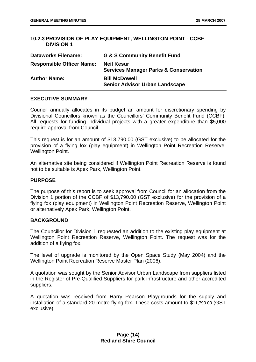#### **10.2.3 PROVISION OF PLAY EQUIPMENT, WELLINGTON POINT - CCBF DIVISION 1**

| <b>Dataworks Filename:</b>       | <b>G &amp; S Community Benefit Fund</b>                               |
|----------------------------------|-----------------------------------------------------------------------|
| <b>Responsible Officer Name:</b> | <b>Neil Kesur</b><br><b>Services Manager Parks &amp; Conservation</b> |
| <b>Author Name:</b>              | <b>Bill McDowell</b><br><b>Senior Advisor Urban Landscape</b>         |

#### **EXECUTIVE SUMMARY**

Council annually allocates in its budget an amount for discretionary spending by Divisional Councillors known as the Councillors' Community Benefit Fund (CCBF). All requests for funding individual projects with a greater expenditure than \$5,000 require approval from Council.

This request is for an amount of \$13,790.00 (GST exclusive) to be allocated for the provision of a flying fox (play equipment) in Wellington Point Recreation Reserve, Wellington Point.

An alternative site being considered if Wellington Point Recreation Reserve is found not to be suitable is Apex Park, Wellington Point.

#### **PURPOSE**

The purpose of this report is to seek approval from Council for an allocation from the Division 1 portion of the CCBF of \$13,790.00 (GST exclusive) for the provision of a flying fox (play equipment) in Wellington Point Recreation Reserve, Wellington Point or alternatively Apex Park, Wellington Point.

#### **BACKGROUND**

The Councillor for Division 1 requested an addition to the existing play equipment at Wellington Point Recreation Reserve, Wellington Point. The request was for the addition of a flying fox.

The level of upgrade is monitored by the Open Space Study (May 2004) and the Wellington Point Recreation Reserve Master Plan (2006).

A quotation was sought by the Senior Advisor Urban Landscape from suppliers listed in the Register of Pre-Qualified Suppliers for park infrastructure and other accredited suppliers.

A quotation was received from Harry Pearson Playgrounds for the supply and installation of a standard 20 metre flying fox. These costs amount to \$11,790.00 (GST exclusive).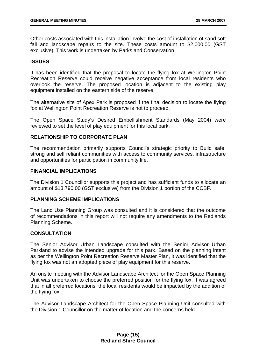Other costs associated with this installation involve the cost of installation of sand soft fall and landscape repairs to the site. These costs amount to \$2,000.00 (GST exclusive). This work is undertaken by Parks and Conservation.

#### **ISSUES**

It has been identified that the proposal to locate the flying fox at Wellington Point Recreation Reserve could receive negative acceptance from local residents who overlook the reserve. The proposed location is adjacent to the existing play equipment installed on the eastern side of the reserve.

The alternative site of Apex Park is proposed if the final decision to locate the flying fox at Wellington Point Recreation Reserve is not to proceed.

The Open Space Study's Desired Embellishment Standards (May 2004) were reviewed to set the level of play equipment for this local park.

#### **RELATIONSHIP TO CORPORATE PLAN**

The recommendation primarily supports Council's strategic priority to Build safe, strong and self reliant communities with access to community services, infrastructure and opportunities for participation in community life.

#### **FINANCIAL IMPLICATIONS**

The Division 1 Councillor supports this project and has sufficient funds to allocate an amount of \$13,790.00 (GST exclusive) from the Division 1 portion of the CCBF.

#### **PLANNING SCHEME IMPLICATIONS**

The Land Use Planning Group was consulted and it is considered that the outcome of recommendations in this report will not require any amendments to the Redlands Planning Scheme.

#### **CONSULTATION**

The Senior Advisor Urban Landscape consulted with the Senior Advisor Urban Parkland to advise the intended upgrade for this park. Based on the planning intent as per the Wellington Point Recreation Reserve Master Plan, it was identified that the flying fox was not an adopted piece of play equipment for this reserve.

An onsite meeting with the Advisor Landscape Architect for the Open Space Planning Unit was undertaken to choose the preferred position for the flying fox. It was agreed that in all preferred locations, the local residents would be impacted by the addition of the flying fox.

The Advisor Landscape Architect for the Open Space Planning Unit consulted with the Division 1 Councillor on the matter of location and the concerns held.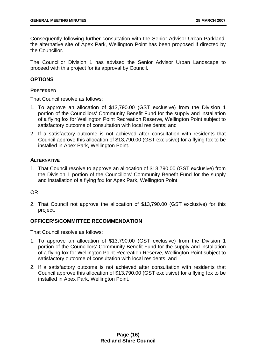Consequently following further consultation with the Senior Advisor Urban Parkland, the alternative site of Apex Park, Wellington Point has been proposed if directed by the Councillor.

The Councillor Division 1 has advised the Senior Advisor Urban Landscape to proceed with this project for its approval by Council.

#### **OPTIONS**

#### **PREFERRED**

That Council resolve as follows:

- 1. To approve an allocation of \$13,790.00 (GST exclusive) from the Division 1 portion of the Councillors' Community Benefit Fund for the supply and installation of a flying fox for Wellington Point Recreation Reserve, Wellington Point subject to satisfactory outcome of consultation with local residents; and
- 2. If a satisfactory outcome is not achieved after consultation with residents that Council approve this allocation of \$13,790.00 (GST exclusive) for a flying fox to be installed in Apex Park, Wellington Point.

#### **ALTERNATIVE**

1. That Council resolve to approve an allocation of \$13,790.00 (GST exclusive) from the Division 1 portion of the Councillors' Community Benefit Fund for the supply and installation of a flying fox for Apex Park, Wellington Point.

#### OR

2. That Council not approve the allocation of \$13,790.00 (GST exclusive) for this project.

#### **OFFICER'S/COMMITTEE RECOMMENDATION**

That Council resolve as follows:

- 1. To approve an allocation of \$13,790.00 (GST exclusive) from the Division 1 portion of the Councillors' Community Benefit Fund for the supply and installation of a flying fox for Wellington Point Recreation Reserve, Wellington Point subject to satisfactory outcome of consultation with local residents; and
- 2. If a satisfactory outcome is not achieved after consultation with residents that Council approve this allocation of \$13,790.00 (GST exclusive) for a flying fox to be installed in Apex Park, Wellington Point.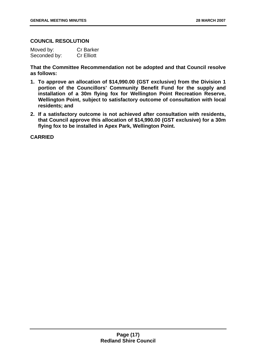#### **COUNCIL RESOLUTION**

| Moved by:    | <b>Cr Barker</b>  |
|--------------|-------------------|
| Seconded by: | <b>Cr Elliott</b> |

**That the Committee Recommendation not be adopted and that Council resolve as follows:** 

- **1. To approve an allocation of \$14,990.00 (GST exclusive) from the Division 1 portion of the Councillors' Community Benefit Fund for the supply and installation of a 30m flying fox for Wellington Point Recreation Reserve, Wellington Point, subject to satisfactory outcome of consultation with local residents; and**
- **2. If a satisfactory outcome is not achieved after consultation with residents, that Council approve this allocation of \$14,990.00 (GST exclusive) for a 30m flying fox to be installed in Apex Park, Wellington Point.**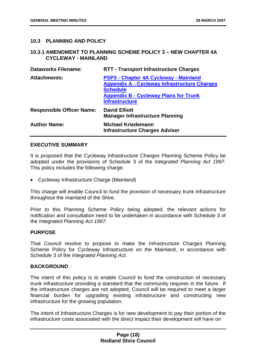#### **10.3 PLANNING AND POLICY**

#### **10.3.1 AMENDMENT TO PLANNING SCHEME POLICY 3 – NEW CHAPTER 4A CYCLEWAY - MAINLAND**

| <b>Dataworks Filename:</b>       | <b>RTT - Transport Infrastructure Charges</b>                                                                                                                                            |
|----------------------------------|------------------------------------------------------------------------------------------------------------------------------------------------------------------------------------------|
| <b>Attachments:</b>              | PSP3 - Chapter 4A Cycleway - Mainland<br><b>Appendix A - Cycleway Infrastructure Charges</b><br><b>Schedule</b><br><b>Appendix B - Cycleway Plans for Trunk</b><br><b>Infrastructure</b> |
| <b>Responsible Officer Name:</b> | <b>David Elliott</b><br><b>Manager Infrastructure Planning</b>                                                                                                                           |
| <b>Author Name:</b>              | <b>Michael Kriedemann</b><br><b>Infrastructure Charges Adviser</b>                                                                                                                       |

#### **EXECUTIVE SUMMARY**

It is proposed that the Cycleway Infrastructure Charges Planning Scheme Policy be adopted under the provisions of Schedule 3 of the *Integrated Planning Act 1997*. This policy includes the following charge:

• Cycleway Infrastructure Charge (Mainland)

This charge will enable Council to fund the provision of necessary trunk infrastructure throughout the mainland of the Shire.

Prior to this Planning Scheme Policy being adopted, the relevant actions for notification and consultation need to be undertaken in accordance with Schedule 3 of the *Integrated Planning Act 1997.* 

#### **PURPOSE**

That Council resolve to propose to make the Infrastructure Charges Planning Scheme Policy for Cycleway Infrastructure on the Mainland, in accordance with Schedule 3 of the *Integrated Planning Act*.

#### **BACKGROUND**

The intent of this policy is to enable Council to fund the construction of necessary trunk infrastructure providing a standard that the community requires in the future. If the infrastructure charges are not adopted, Council will be required to meet a larger financial burden for upgrading existing infrastructure and constructing new infrastructure for the growing population.

The intent of Infrastructure Charges is for new development to pay their portion of the infrastructure costs associated with the direct impact their development will have on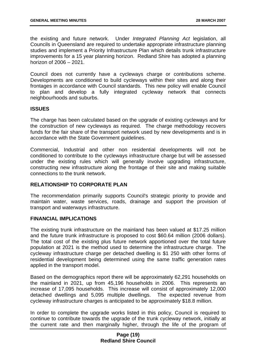the existing and future network. Under *Integrated Planning Act* legislation, all Councils in Queensland are required to undertake appropriate infrastructure planning studies and implement a Priority Infrastructure Plan which details trunk infrastructure improvements for a 15 year planning horizon. Redland Shire has adopted a planning horizon of 2006 – 2021.

Council does not currently have a cycleways charge or contributions scheme. Developments are conditioned to build cycleways within their sites and along their frontages in accordance with Council standards. This new policy will enable Council to plan and develop a fully integrated cycleway network that connects neighbourhoods and suburbs.

#### **ISSUES**

The charge has been calculated based on the upgrade of existing cycleways and for the construction of new cycleways as required. The charge methodology recovers funds for the fair share of the transport network used by new developments and is in accordance with the State Government guidelines.

Commercial, Industrial and other non residential developments will not be conditioned to contribute to the cycleways infrastructure charge but will be assessed under the existing rules which will generally involve upgrading infrastructure, constructing new infrastructure along the frontage of their site and making suitable connections to the trunk network.

#### **RELATIONSHIP TO CORPORATE PLAN**

The recommendation primarily supports Council's strategic priority to provide and maintain water, waste services, roads, drainage and support the provision of transport and waterways infrastructure.

#### **FINANCIAL IMPLICATIONS**

The existing trunk infrastructure on the mainland has been valued at \$17.25 million and the future trunk infrastructure is proposed to cost \$60.64 million (2006 dollars). The total cost of the existing plus future network apportioned over the total future population at 2021 is the method used to determine the infrastructure charge. The cycleway infrastructure charge per detached dwelling is \$1 250 with other forms of residential development being determined using the same traffic generation rates applied in the transport model.

Based on the demographics report there will be approximately 62,291 households on the mainland in 2021, up from 45,196 households in 2006. This represents an increase of 17,095 households. This increase will consist of approximately 12,000 detached dwellings and 5,095 multiple dwellings. The expected revenue from cycleway infrastructure charges is anticipated to be approximately \$18.8 million.

In order to complete the upgrade works listed in this policy, Council is required to continue to contribute towards the upgrade of the trunk cycleway network, initially at the current rate and then marginally higher, through the life of the program of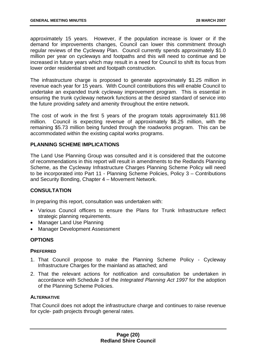approximately 15 years. However, if the population increase is lower or if the demand for improvements changes, Council can lower this commitment through regular reviews of the Cycleway Plan. Council currently spends approximately \$1.0 million per year on cycleways and footpaths and this will need to continue and be increased in future years which may result in a need for Council to shift its focus from lower order residential street and footpath construction.

The infrastructure charge is proposed to generate approximately \$1.25 million in revenue each year for 15 years. With Council contributions this will enable Council to undertake an expanded trunk cycleway improvement program. This is essential in ensuring the trunk cycleway network functions at the desired standard of service into the future providing safety and amenity throughout the entire network.

The cost of work in the first 5 years of the program totals approximately \$11.98 million. Council is expecting revenue of approximately \$6.25 million, with the remaining \$5.73 million being funded through the roadworks program. This can be accommodated within the existing capital works programs.

#### **PLANNING SCHEME IMPLICATIONS**

The Land Use Planning Group was consulted and it is considered that the outcome of recommendations in this report will result in amendments to the Redlands Planning Scheme, as the Cycleway Infrastructure Charges Planning Scheme Policy will need to be incorporated into Part 11 - Planning Scheme Policies, Policy 3 – Contributions and Security Bonding, Chapter 4 – Movement Network.

#### **CONSULTATION**

In preparing this report, consultation was undertaken with:

- Various Council officers to ensure the Plans for Trunk Infrastructure reflect strategic planning requirements.
- Manager Land Use Planning
- Manager Development Assessment

#### **OPTIONS**

#### **PREFERRED**

- 1. That Council propose to make the Planning Scheme Policy Cycleway Infrastructure Charges for the mainland as attached; and
- 2. That the relevant actions for notification and consultation be undertaken in accordance with Schedule 3 of the *Integrated Planning Act 1997* for the adoption of the Planning Scheme Policies.

#### **ALTERNATIVE**

That Council does not adopt the infrastructure charge and continues to raise revenue for cycle- path projects through general rates.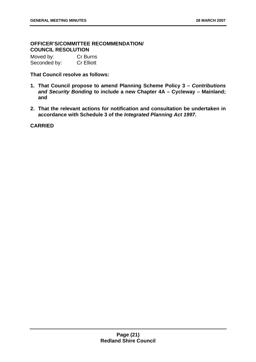#### **OFFICER'S/COMMITTEE RECOMMENDATION/ COUNCIL RESOLUTION**

Moved by: Cr Burns Seconded by: Cr Elliott

**That Council resolve as follows:** 

- **1. That Council propose to amend Planning Scheme Policy 3** *Contributions and Security Bonding* **to include a new Chapter 4A – Cycleway – Mainland; and**
- **2. That the relevant actions for notification and consultation be undertaken in accordance with Schedule 3 of the** *Integrated Planning Act 1997***.**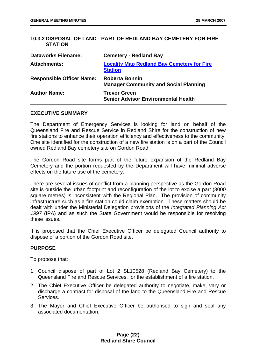#### **10.3.2 DISPOSAL OF LAND - PART OF REDLAND BAY CEMETERY FOR FIRE STATION**

| <b>Dataworks Filename:</b>       | <b>Cemetery - Redland Bay</b>                                         |
|----------------------------------|-----------------------------------------------------------------------|
| <b>Attachments:</b>              | <b>Locality Map Redland Bay Cemetery for Fire</b><br><b>Station</b>   |
| <b>Responsible Officer Name:</b> | <b>Roberta Bonnin</b><br><b>Manager Community and Social Planning</b> |
| <b>Author Name:</b>              | <b>Trevor Green</b><br><b>Senior Advisor Environmental Health</b>     |

#### **EXECUTIVE SUMMARY**

The Department of Emergency Services is looking for land on behalf of the Queensland Fire and Rescue Service in Redland Shire for the construction of new fire stations to enhance their operation efficiency and effectiveness to the community. One site identified for the construction of a new fire station is on a part of the Council owned Redland Bay cemetery site on Gordon Road.

The Gordon Road site forms part of the future expansion of the Redland Bay Cemetery and the portion requested by the Department will have minimal adverse effects on the future use of the cemetery.

There are several issues of conflict from a planning perspective as the Gordon Road site is outside the urban footprint and reconfiguration of the lot to excise a part (3000 square metres) is inconsistent with the Regional Plan. The provision of community infrastructure such as a fire station could claim exemption. These matters should be dealt with under the Ministerial Delegation provisions of the *Integrated Planning Act 1997* (IPA) and as such the State Government would be responsible for resolving these issues.

It is proposed that the Chief Executive Officer be delegated Council authority to dispose of a portion of the Gordon Road site.

#### **PURPOSE**

To propose that:

- 1. Council dispose of part of Lot 2 SL10528 (Redland Bay Cemetery) to the Queensland Fire and Rescue Services, for the establishment of a fire station.
- 2. The Chief Executive Officer be delegated authority to negotiate, make, vary or discharge a contract for disposal of the land to the Queensland Fire and Rescue Services.
- 3. The Mayor and Chief Executive Officer be authorised to sign and seal any associated documentation.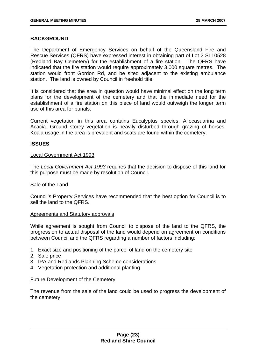#### **BACKGROUND**

The Department of Emergency Services on behalf of the Queensland Fire and Rescue Services (QFRS) have expressed interest in obtaining part of Lot 2 SL10528 (Redland Bay Cemetery) for the establishment of a fire station. The QFRS have indicated that the fire station would require approximately 3,000 square metres. The station would front Gordon Rd, and be sited adjacent to the existing ambulance station. The land is owned by Council in freehold title.

It is considered that the area in question would have minimal effect on the long term plans for the development of the cemetery and that the immediate need for the establishment of a fire station on this piece of land would outweigh the longer term use of this area for burials.

Current vegetation in this area contains Eucalyptus species, Allocasuarina and Acacia. Ground storey vegetation is heavily disturbed through grazing of horses. Koala usage in the area is prevalent and scats are found within the cemetery.

#### **ISSUES**

#### Local Government Act 1993

The *Local Government Act 1993* requires that the decision to dispose of this land for this purpose must be made by resolution of Council.

#### Sale of the Land

Council's Property Services have recommended that the best option for Council is to sell the land to the QFRS.

#### Agreements and Statutory approvals

While agreement is sought from Council to dispose of the land to the QFRS, the progression to actual disposal of the land would depend on agreement on conditions between Council and the QFRS regarding a number of factors including:

- 1. Exact size and positioning of the parcel of land on the cemetery site
- 2. Sale price
- 3. IPA and Redlands Planning Scheme considerations
- 4. Vegetation protection and additional planting.

#### Future Development of the Cemetery

The revenue from the sale of the land could be used to progress the development of the cemetery.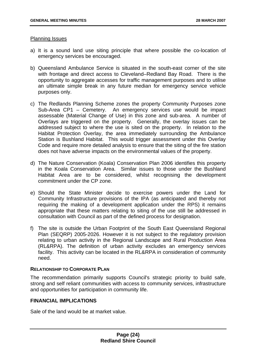#### Planning Issues

- a) It is a sound land use siting principle that where possible the co-location of emergency services be encouraged.
- b) Queensland Ambulance Service is situated in the south-east corner of the site with frontage and direct access to Cleveland–Redland Bay Road. There is the opportunity to aggregate accesses for traffic management purposes and to utilise an ultimate simple break in any future median for emergency service vehicle purposes only.
- c) The Redlands Planning Scheme zones the property Community Purposes zone Sub-Area CP1 – Cemetery. An emergency services use would be impact assessable (Material Change of Use) in this zone and sub-area. A number of Overlays are triggered on the property. Generally, the overlay issues can be addressed subject to where the use is sited on the property. In relation to the Habitat Protection Overlay, the area immediately surrounding the Ambulance Station is Bushland Habitat. This would trigger assessment under this Overlay Code and require more detailed analysis to ensure that the siting of the fire station does not have adverse impacts on the environmental values of the property.
- d) The Nature Conservation (Koala) Conservation Plan 2006 identifies this property in the Koala Conservation Area. Similar issues to those under the Bushland Habitat Area are to be considered, whilst recognising the development commitment under the CP zone.
- e) Should the State Minister decide to exercise powers under the Land for Community Infrastructure provisions of the IPA (as anticipated and thereby not requiring the making of a development application under the RPS) it remains appropriate that these matters relating to siting of the use still be addressed in consultation with Council as part of the defined process for designation.
- f) The site is outside the Urban Footprint of the South East Queensland Regional Plan (SEQRP) 2005-2026. However it is not subject to the regulatory provision relating to urban activity in the Regional Landscape and Rural Production Area (RL&RPA). The definition of urban activity excludes an emergency services facility. This activity can be located in the RL&RPA in consideration of community need.

#### **RELATIONSHIP TO CORPORATE PLAN**

The recommendation primarily supports Council's strategic priority to build safe, strong and self reliant communities with access to community services, infrastructure and opportunities for participation in community life.

#### **FINANCIAL IMPLICATIONS**

Sale of the land would be at market value.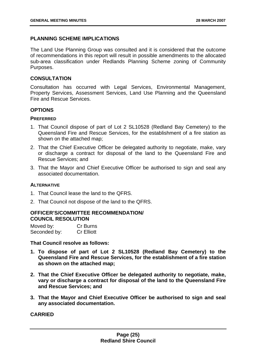#### **PLANNING SCHEME IMPLICATIONS**

The Land Use Planning Group was consulted and it is considered that the outcome of recommendations in this report will result in possible amendments to the allocated sub-area classification under Redlands Planning Scheme zoning of Community Purposes.

#### **CONSULTATION**

Consultation has occurred with Legal Services, Environmental Management, Property Services, Assessment Services, Land Use Planning and the Queensland Fire and Rescue Services.

#### **OPTIONS**

#### **PREFERRED**

- 1. That Council dispose of part of Lot 2 SL10528 (Redland Bay Cemetery) to the Queensland Fire and Rescue Services, for the establishment of a fire station as shown on the attached map;
- 2. That the Chief Executive Officer be delegated authority to negotiate, make, vary or discharge a contract for disposal of the land to the Queensland Fire and Rescue Services; and
- 3. That the Mayor and Chief Executive Officer be authorised to sign and seal any associated documentation.

#### **ALTERNATIVE**

- 1. That Council lease the land to the QFRS.
- 2. That Council not dispose of the land to the QFRS.

#### **OFFICER'S/COMMITTEE RECOMMENDATION/ COUNCIL RESOLUTION**

| Moved by:    | Cr Burns          |
|--------------|-------------------|
| Seconded by: | <b>Cr Elliott</b> |

**That Council resolve as follows:** 

- **1. To dispose of part of Lot 2 SL10528 (Redland Bay Cemetery) to the Queensland Fire and Rescue Services, for the establishment of a fire station as shown on the attached map;**
- **2. That the Chief Executive Officer be delegated authority to negotiate, make, vary or discharge a contract for disposal of the land to the Queensland Fire and Rescue Services; and**
- **3. That the Mayor and Chief Executive Officer be authorised to sign and seal any associated documentation.**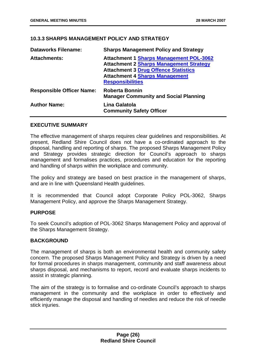#### **10.3.3 SHARPS MANAGEMENT POLICY AND STRATEGY**

| <b>Dataworks Filename:</b>       | <b>Sharps Management Policy and Strategy</b>                                                                                                                                                                        |
|----------------------------------|---------------------------------------------------------------------------------------------------------------------------------------------------------------------------------------------------------------------|
| <b>Attachments:</b>              | <b>Attachment 1 Sharps Management POL-3062</b><br><b>Attachment 2 Sharps Management Strategy</b><br><b>Attachment 3 Drug Offence Statistics</b><br><b>Attachment 4 Sharps Management</b><br><b>Responsibilities</b> |
| <b>Responsible Officer Name:</b> | <b>Roberta Bonnin</b><br><b>Manager Community and Social Planning</b>                                                                                                                                               |
| <b>Author Name:</b>              | Lina Galatola<br><b>Community Safety Officer</b>                                                                                                                                                                    |

#### **EXECUTIVE SUMMARY**

The effective management of sharps requires clear guidelines and responsibilities. At present, Redland Shire Council does not have a co-ordinated approach to the disposal, handling and reporting of sharps. The proposed Sharps Management Policy and Strategy provides strategic direction for Council's approach to sharps management and formalises practices, procedures and education for the reporting and handling of sharps within the workplace and community.

The policy and strategy are based on best practice in the management of sharps, and are in line with Queensland Health guidelines.

It is recommended that Council adopt Corporate Policy POL-3062, Sharps Management Policy, and approve the Sharps Management Strategy.

#### **PURPOSE**

To seek Council's adoption of POL-3062 Sharps Management Policy and approval of the Sharps Management Strategy.

#### **BACKGROUND**

The management of sharps is both an environmental health and community safety concern. The proposed Sharps Management Policy and Strategy is driven by a need for formal procedures in sharps management, community and staff awareness about sharps disposal, and mechanisms to report, record and evaluate sharps incidents to assist in strategic planning.

The aim of the strategy is to formalise and co-ordinate Council's approach to sharps management in the community and the workplace in order to effectively and efficiently manage the disposal and handling of needles and reduce the risk of needle stick injuries.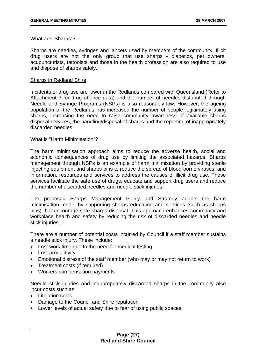What are "Sharps"?

Sharps are needles, syringes and lancets used by members of the community. Illicit drug users are not the only group that use sharps - diabetics, pet owners, acupuncturists, tattooists and those in the health profession are also required to use and dispose of sharps safely.

#### Sharps in Redland Shire

Incidents of drug use are lower in the Redlands compared with Queensland (Refer to Attachment 3 for drug offence data) and the number of needles distributed through Needle and Syringe Programs (NSPs) is also reasonably low. However, the ageing population of the Redlands has increased the number of people legitimately using sharps, increasing the need to raise community awareness of available sharps disposal services, the handling/disposal of sharps and the reporting of inappropriately discarded needles.

#### What is "Harm Minimisation"?

The harm minimisation approach aims to reduce the adverse health, social and economic consequences of drug use by limiting the associated hazards. Sharps management through NSPs is an example of harm minimisation by providing sterile injecting equipment and sharps bins to reduce the spread of blood-borne viruses, and information, resources and services to address the causes of illicit drug use. These services facilitate the safe use of drugs, educate and support drug users and reduce the number of discarded needles and needle stick injuries.

The proposed Sharps Management Policy and Strategy adopts the harm minimisation model by supporting sharps education and services (such as sharps bins) that encourage safe sharps disposal. This approach enhances community and workplace health and safety by reducing the risk of discarded needles and needle stick injuries.

There are a number of potential costs incurred by Council if a staff member sustains a needle stick injury. These include:

- Lost work time due to the need for medical testing
- Lost productivity
- Emotional distress of the staff member (who may or may not return to work)
- Treatment costs (if required)
- Workers compensation payments

Needle stick injuries and inappropriately discarded sharps in the community also incur costs such as:

- Litigation costs
- Damage to the Council and Shire reputation
- Lower levels of actual safety due to fear of using public spaces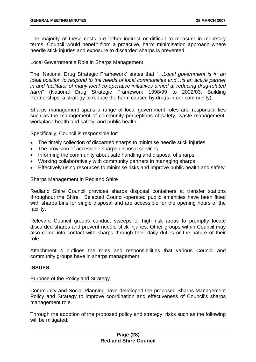The majority of these costs are either indirect or difficult to measure in monetary terms. Council would benefit from a proactive, harm minimisation approach where needle stick injuries and exposure to discarded sharps is prevented.

#### Local Government's Role in Sharps Management

The 'National Drug Strategic Framework' states that "…*Local government is in an ideal position to respond to the needs of local communities and... is an active partner in and facilitator of many local co-operative initiatives aimed at reducing drug-related harm*" (National Drug Strategic Framework 1998/99 to 2002/03: Building Partnerships: a strategy to reduce the harm caused by drugs in our community).

Sharps management spans a range of local government roles and responsibilities such as the management of community perceptions of safety, waste management, workplace health and safety, and public health.

Specifically, Council is responsible for:

- The timely collection of discarded sharps to minimise needle stick injuries
- The provision of accessible sharps disposal services
- Informing the community about safe handling and disposal of sharps
- Working collaboratively with community partners in managing sharps
- Effectively using resources to minimise risks and improve public health and safety

#### Sharps Management in Redland Shire

Redland Shire Council provides sharps disposal containers at transfer stations throughout the Shire. Selected Council-operated public amenities have been fitted with sharps bins for single disposal and are accessible for the opening hours of the facility.

Relevant Council groups conduct sweeps of high risk areas to promptly locate discarded sharps and prevent needle stick injuries. Other groups within Council may also come into contact with sharps through their daily duties or the nature of their role.

Attachment 4 outlines the roles and responsibilities that various Council and community groups have in sharps management.

#### **ISSUES**

#### Purpose of the Policy and Strategy

Community and Social Planning have developed the proposed Sharps Management Policy and Strategy to improve coordination and effectiveness of Council's sharps management role.

Through the adoption of the proposed policy and strategy, risks such as the following will be mitigated: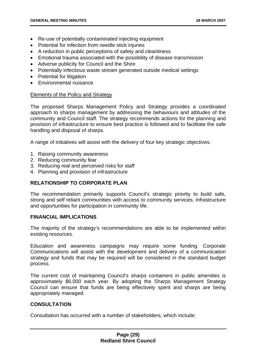- Re-use of potentially contaminated injecting equipment
- Potential for infection from needle stick injuries
- A reduction in public perceptions of safety and cleanliness
- Emotional trauma associated with the possibility of disease transmission
- Adverse publicity for Council and the Shire
- Potentially infectious waste stream generated outside medical settings
- Potential for litigation
- Environmental nuisance

#### Elements of the Policy and Strategy

The proposed Sharps Management Policy and Strategy provides a coordinated approach to sharps management by addressing the behaviours and attitudes of the community and Council staff. The strategy recommends actions for the planning and provision of infrastructure to ensure best practice is followed and to facilitate the safe handling and disposal of sharps.

A range of initiatives will assist with the delivery of four key strategic objectives:

- 1. Raising community awareness
- 2. Reducing community fear
- 3. Reducing real and perceived risks for staff
- 4. Planning and provision of infrastructure

#### **RELATIONSHIP TO CORPORATE PLAN**

The recommendation primarily supports Council's strategic priority to build safe, strong and self reliant communities with access to community services, infrastructure and opportunities for participation in community life.

#### **FINANCIAL IMPLICATIONS**

The majority of the strategy's recommendations are able to be implemented within existing resources.

Education and awareness campaigns may require some funding. Corporate Communications will assist with the development and delivery of a communication strategy and funds that may be required will be considered in the standard budget process.

The current cost of maintaining Council's sharps containers in public amenities is approximately \$6,000 each year. By adopting the Sharps Management Strategy Council can ensure that funds are being effectively spent and sharps are being appropriately managed.

#### **CONSULTATION**

Consultation has occurred with a number of stakeholders, which include: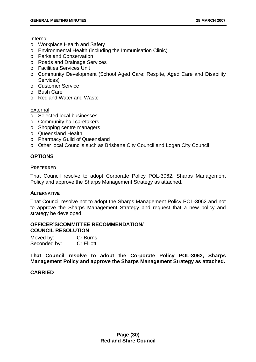#### Internal

- o Workplace Health and Safety
- o Environmental Health (including the Immunisation Clinic)
- o Parks and Conservation
- o Roads and Drainage Services
- o Facilities Services Unit
- o Community Development (School Aged Care; Respite, Aged Care and Disability Services)
- o Customer Service
- o Bush Care
- o Redland Water and Waste

#### External

- o Selected local businesses
- o Community hall caretakers
- o Shopping centre managers
- o Queensland Health
- o Pharmacy Guild of Queensland
- o Other local Councils such as Brisbane City Council and Logan City Council

#### **OPTIONS**

#### **PREFERRED**

That Council resolve to adopt Corporate Policy POL-3062, Sharps Management Policy and approve the Sharps Management Strategy as attached.

#### **ALTERNATIVE**

That Council resolve not to adopt the Sharps Management Policy POL-3062 and not to approve the Sharps Management Strategy and request that a new policy and strategy be developed.

#### **OFFICER'S/COMMITTEE RECOMMENDATION/ COUNCIL RESOLUTION**

| Moved by:    | <b>Cr Burns</b>   |
|--------------|-------------------|
| Seconded by: | <b>Cr Elliott</b> |

**That Council resolve to adopt the Corporate Policy POL-3062, Sharps Management Policy and approve the Sharps Management Strategy as attached.**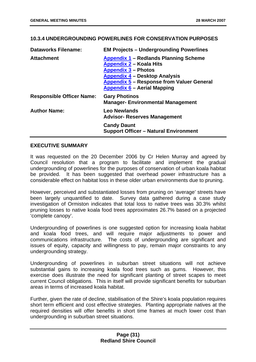#### **10.3.4 UNDERGROUNDING POWERLINES FOR CONSERVATION PURPOSES**

| <b>Dataworks Filename:</b>       | <b>EM Projects - Undergrounding Powerlines</b>                                                                                                                                                                                          |
|----------------------------------|-----------------------------------------------------------------------------------------------------------------------------------------------------------------------------------------------------------------------------------------|
| <b>Attachment</b>                | Appendix 1 – Redlands Planning Scheme<br><b>Appendix 2 - Koala Hits</b><br><b>Appendix 3 – Photos</b><br><b>Appendix 4 - Desktop Analysis</b><br><b>Appendix 5 - Response from Valuer General</b><br><b>Appendix 6 - Aerial Mapping</b> |
| <b>Responsible Officer Name:</b> | <b>Gary Photinos</b><br><b>Manager- Environmental Management</b>                                                                                                                                                                        |
| <b>Author Name:</b>              | Leo Newlands<br><b>Advisor- Reserves Management</b>                                                                                                                                                                                     |
|                                  | <b>Candy Daunt</b><br><b>Support Officer - Natural Environment</b>                                                                                                                                                                      |

#### **EXECUTIVE SUMMARY**

It was requested on the 20 December 2006 by Cr Helen Murray and agreed by Council resolution that a program to facilitate and implement the gradual undergrounding of powerlines for the purposes of conservation of urban koala habitat be provided. It has been suggested that overhead power infrastructure has a considerable effect on habitat loss in these older urban environments due to pruning.

However, perceived and substantiated losses from pruning on 'average' streets have been largely unquantified to date. Survey data gathered during a case study investigation of Ormiston indicates that total loss to native trees was 30.3% whilst pruning losses to native koala food trees approximates 26.7% based on a projected 'complete canopy'.

Undergrounding of powerlines is one suggested option for increasing koala habitat and koala food trees, and will require major adjustments to power and communications infrastructure. The costs of undergrounding are significant and issues of equity, capacity and willingness to pay, remain major constraints to any undergrounding strategy.

Undergrounding of powerlines in suburban street situations will not achieve substantial gains to increasing koala food trees such as gums. However, this exercise does illustrate the need for significant planting of street scapes to meet current Council obligations. This in itself will provide significant benefits for suburban areas in terms of increased koala habitat.

Further, given the rate of decline, stabilisation of the Shire's koala population requires short term efficient and cost effective strategies. Planting appropriate natives at the required densities will offer benefits in short time frames at much lower cost than undergrounding in suburban street situations.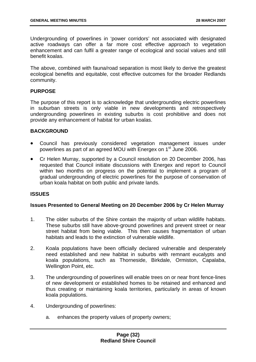Undergrounding of powerlines in 'power corridors' not associated with designated active roadways can offer a far more cost effective approach to vegetation enhancement and can fulfil a greater range of ecological and social values and still benefit koalas.

The above, combined with fauna/road separation is most likely to derive the greatest ecological benefits and equitable, cost effective outcomes for the broader Redlands community.

## **PURPOSE**

The purpose of this report is to acknowledge that undergrounding electric powerlines in suburban streets is only viable in new developments and retrospectively undergrounding powerlines in existing suburbs is cost prohibitive and does not provide any enhancement of habitat for urban koalas.

## **BACKGROUND**

- Council has previously considered vegetation management issues under powerlines as part of an agreed MOU with Energex on 1<sup>st</sup> June 2006.
- Cr Helen Murray, supported by a Council resolution on 20 December 2006, has requested that Council initiate discussions with Energex and report to Council within two months on progress on the potential to implement a program of gradual undergrounding of electric powerlines for the purpose of conservation of urban koala habitat on both public and private lands.

## **ISSUES**

# **Issues Presented to General Meeting on 20 December 2006 by Cr Helen Murray**

- 1. The older suburbs of the Shire contain the majority of urban wildlife habitats. These suburbs still have above-ground powerlines and prevent street or near street habitat from being viable. This then causes fragmentation of urban habitats and leads to the extinction of vulnerable wildlife.
- 2. Koala populations have been officially declared vulnerable and desperately need established and new habitat in suburbs with remnant eucalypts and koala populations, such as Thorneside, Birkdale, Ormiston, Capalaba, Wellington Point, etc.
- 3. The undergrounding of powerlines will enable trees on or near front fence-lines of new development or established homes to be retained and enhanced and thus creating or maintaining koala territories, particularly in areas of known koala populations.
- 4. Undergrounding of powerlines:
	- a. enhances the property values of property owners;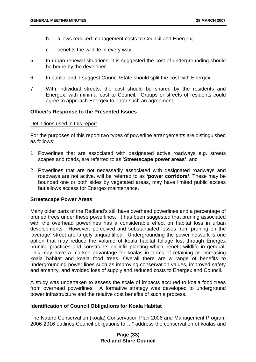- b. allows reduced management costs to Council and Energex;
- c. benefits the wildlife in every way.
- 5. In urban renewal situations, it is suggested the cost of undergrounding should be borne by the developer.
- 6. In public land, I suggest Council/State should split the cost with Energex.
- 7. With individual streets, the cost should be shared by the residents and Energex, with minimal cost to Council. Groups or streets of residents could agree to approach Energex to enter such an agreement.

### **Officer's Response to the Presented Issues**

#### Definitions used in this report

For the purposes of this report two types of powerline arrangements are distinguished as follows:

- 1. Powerlines that are associated with designated active roadways e.g. streets scapes and roads, are referred to as '**Streetscape power areas'**, and
- 2. Powerlines that are not necessarily associated with designated roadways and roadways are not active, will be referred to as **'power corridors'**. These may be bounded one or both sides by vegetated areas, may have limited public access but allows access for Energex maintenance.

#### **Streetscape Power Areas**

Many older parts of the Redland's still have overhead powerlines and a percentage of pruned trees under these powerlines. It has been suggested that pruning associated with the overhead powerlines has a considerable effect on habitat loss in urban developments. However, perceived and substantiated losses from pruning on the 'average' street are largely unquantified. Undergrounding the power network is one option that may reduce the volume of koala habitat foliage lost through Energex pruning practices and constraints on infill planting which benefit wildlife in general. This may have a marked advantage for koalas in terms of retaining or increasing koala habitat and koala food trees. Overall there are a range of benefits to undergrounding power lines such as improving conservation values, improved safety and amenity, and avoided loss of supply and reduced costs to Energex and Council.

A study was undertaken to assess the scale of impacts accrued to koala food trees from overhead powerlines. A formative strategy was developed to underground power infrastructure and the relative cost benefits of such a process.

### **Identification of Council Obligations for Koala Habitat**

The Nature Conservation (koala) Conservation Plan 2006 and Management Program 2006-2016 outlines Council obligations to …" address the conservation of koalas and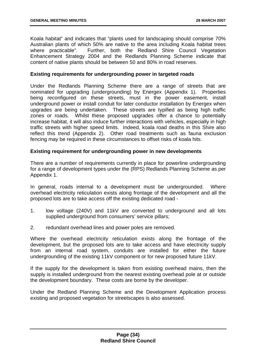Koala habitat" and indicates that "plants used for landscaping should comprise 70% Australian plants of which 50% are native to the area including Koala habitat trees where practicable". Further, both the Redland Shire Council Vegetation Enhancement Strategy 2004 and the Redlands Planning Scheme indicate that content of native plants should be between 50 and 80% in road reserves.

## **Existing requirements for undergrounding power in targeted roads**

Under the Redlands Planning Scheme there are a range of streets that are nominated for upgrading (undergrounding) by Energex (Appendix 1). Properties being reconfigured on these streets, must in the power easement, install underground power or install conduit for later conductor installation by Energex when upgrades are being undertaken. These streets are typified as being high traffic zones or roads. Whilst these proposed upgrades offer a chance to potentially increase habitat, it will also induce further interactions with vehicles, especially in high traffic streets with higher speed limits. Indeed, koala road deaths in this Shire also reflect this trend (Appendix 2). Other road treatments such as fauna exclusion fencing may be required in these circumstances to offset risks of koala hits.

## **Existing requirement for undergrounding power in new developments**

There are a number of requirements currently in place for powerline undergrounding for a range of development types under the (RPS) Redlands Planning Scheme as per Appendix 1.

In general, roads internal to a development must be undergrounded. Where overhead electricity reticulation exists along frontage of the development and all the proposed lots are to take access off the existing dedicated road -

- 1. low voltage (240V) and 11kV are converted to underground and all lots supplied underground from consumers' service pillars;
- 2. redundant overhead lines and power poles are removed.

Where the overhead electricity reticulation exists along the frontage of the development, but the proposed lots are to take access and have electricity supply from an internal road system, conduits are installed for either the future undergrounding of the existing 11kV component or for new proposed future 11kV.

If the supply for the development is taken from existing overhead mains, then the supply is installed underground from the nearest existing overhead pole at or outside the development boundary. These costs are borne by the developer.

Under the Redland Planning Scheme and the Development Application process existing and proposed vegetation for streetscapes is also assessed.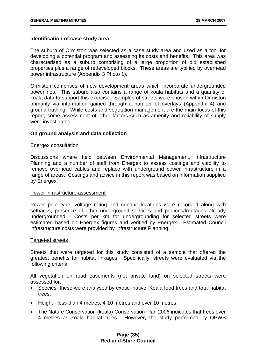### **Identification of case study area**

The suburb of Ormiston was selected as a case study area and used as a tool for developing a potential program and assessing its costs and benefits. This area was characterised as a suburb comprising of a large proportion of old established properties plus a range of redeveloped blocks. These areas are typified by overhead power infrastructure (Appendix 3 Photo 1).

Ormiston comprises of new development areas which incorporate undergrounded powerlines. This suburb also contains a range of koala habitats and a quantity of koala data to support this exercise. Samples of streets were chosen within Ormiston primarily via information gained through a number of overlays (Appendix 4) and ground-truthing. While costs and vegetation management are the main focus of this report, some assessment of other factors such as amenity and reliability of supply were investigated.

## **On ground analysis and data collection**

#### Energex consultation

Discussions where held between Environmental Management, Infrastructure Planning and a number of staff from Energex to assess costings and viability to remove overhead cables and replace with underground power infrastructure in a range of areas. Costings and advice in this report was based on information supplied by Energex.

#### Power infrastructure assessment

Power pole type, voltage rating and conduit locations were recorded along with setbacks, presence of other underground services and portions/frontages already undergrounded. Costs per km for undergrounding for selected streets were estimated based on Energex figures and verified by Energex. Estimated Council infrastructure costs were provided by Infrastructure Planning.

#### Targeted streets

Streets that were targeted for this study consisted of a sample that offered the greatest benefits for habitat linkages. Specifically, streets were evaluated via the following criteria:

All vegetation on road easements (not private land) on selected streets were assessed for:

- Species- these were analysed by exotic, native, Koala food trees and total habitat trees.
- Height less than 4 metres, 4-10 metres and over 10 metres
- The Nature Conservation (koala) Conservation Plan 2006 indicates that trees over 4 metres as koala habitat trees. However, the study performed by QPWS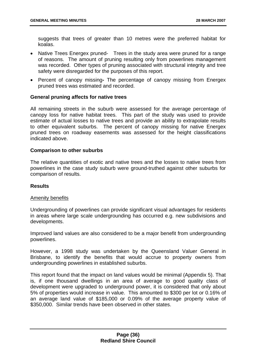suggests that trees of greater than 10 metres were the preferred habitat for koalas.

- Native Trees Energex pruned- Trees in the study area were pruned for a range of reasons. The amount of pruning resulting only from powerlines management was recorded. Other types of pruning associated with structural integrity and tree safety were disregarded for the purposes of this report.
- Percent of canopy missingThe percentage of canopy missing from Energex pruned trees was estimated and recorded.

## **General pruning affects for native trees**

All remaining streets in the suburb were assessed for the average percentage of canopy loss for native habitat trees. This part of the study was used to provide estimate of actual losses to native trees and provide an ability to extrapolate results to other equivalent suburbs. The percent of canopy missing for native Energex pruned trees on roadway easements was assessed for the height classifications indicated above.

## **Comparison to other suburbs**

The relative quantities of exotic and native trees and the losses to native trees from powerlines in the case study suburb were ground-truthed against other suburbs for comparison of results.

## **Results**

## Amenity benefits

Undergrounding of powerlines can provide significant visual advantages for residents in areas where large scale undergrounding has occurred e.g. new subdivisions and developments.

Improved land values are also considered to be a major benefit from undergrounding powerlines.

However, a 1998 study was undertaken by the Queensland Valuer General in Brisbane, to identify the benefits that would accrue to property owners from undergrounding powerlines in established suburbs.

This report found that the impact on land values would be minimal (Appendix 5). That is, if one thousand dwellings in an area of average to good quality class of development were upgraded to underground power, it is considered that only about 5% of properties would increase in value. This amounted to \$300 per lot or 0.16% of an average land value of \$185,000 or 0.09% of the average property value of \$350,000. Similar trends have been observed in other states.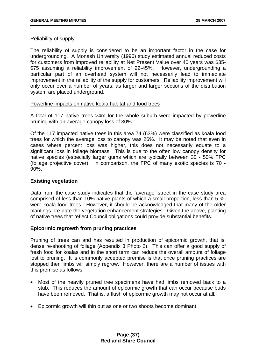## Reliability of supply

The reliability of supply is considered to be an important factor in the case for undergrounding. A Monash University (1996) study estimated annual reduced costs for customers from improved reliability at Net Present Value over 40 years was \$35- \$75 assuming a reliability improvement of 22-45%. However, undergrounding a particular part of an overhead system will not necessarily lead to immediate improvement in the reliability of the supply for customers. Reliability improvement will only occur over a number of years, as larger and larger sections of the distribution system are placed underground.

## Powerline impacts on native koala habitat and food trees

A total of 117 native trees >4m for the whole suburb were impacted by powerline pruning with an average canopy loss of 30%.

Of the 117 impacted native trees in this area 74 (63%) were classified as koala food trees for which the average loss to canopy was 26%. It may be noted that even in cases where percent loss was higher, this does not necessarily equate to a significant loss in foliage biomass. This is due to the often low canopy density for native species (especially larger gums which are typically between 30 - 50% FPC (foliage projective cover). In comparison, the FPC of many exotic species is 70 - 90%.

# **Existing vegetation**

Data from the case study indicates that the 'average' street in the case study area comprised of less than 10% native plants of which a small proportion, less than 5 %, were koala food trees. However, it should be acknowledged that many of the older plantings pre-date the vegetation enhancement strategies. Given the above, planting of native trees that reflect Council obligations could provide substantial benefits.

# **Epicormic regrowth from pruning practices**

Pruning of trees can and has resulted in production of epicormic growth, that is, dense re-shooting of foliage (Appendix 3 Photo 2). This can offer a good supply of fresh food for koalas and in the short term can reduce the overall amount of foliage lost to pruning. It is commonly accepted premise is that once pruning practices are stopped then limbs will simply regrow. However, there are a number of issues with this premise as follows:

- Most of the heavily pruned tree specimens have had limbs removed back to a stub. This reduces the amount of epicormic growth that can occur because buds have been removed. That is, a flush of epicormic growth may not occur at all.
- Epicormic growth will thin out as one or two shoots become dominant.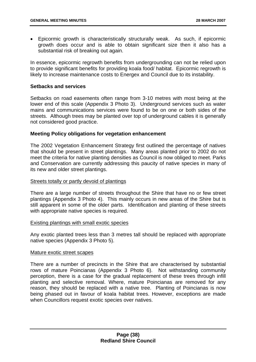• Epicormic growth is characteristically structurally weak. As such, if epicormic growth does occur and is able to obtain significant size then it also has a substantial risk of breaking out again.

In essence, epicormic regrowth benefits from undergrounding can not be relied upon to provide significant benefits for providing koala food/ habitat. Epicormic regrowth is likely to increase maintenance costs to Energex and Council due to its instability.

## **Setbacks and services**

Setbacks on road easements often range from 3-10 metres with most being at the lower end of this scale (Appendix 3 Photo 3). Underground services such as water mains and communications services were found to be on one or both sides of the streets. Although trees may be planted over top of underground cables it is generally not considered good practice.

## **Meeting Policy obligations for vegetation enhancement**

The 2002 Vegetation Enhancement Strategy first outlined the percentage of natives that should be present in street plantings. Many areas planted prior to 2002 do not meet the criteria for native planting densities as Council is now obliged to meet. Parks and Conservation are currently addressing this paucity of native species in many of its new and older street plantings.

## Streets totally or partly devoid of plantings

There are a large number of streets throughout the Shire that have no or few street plantings (Appendix 3 Photo 4). This mainly occurs in new areas of the Shire but is still apparent in some of the older parts. Identification and planting of these streets with appropriate native species is required.

## Existing plantings with small exotic species

Any exotic planted trees less than 3 metres tall should be replaced with appropriate native species (Appendix 3 Photo 5).

## Mature exotic street scapes

There are a number of precincts in the Shire that are characterised by substantial rows of mature Poincianas (Appendix 3 Photo 6). Not withstanding community perception, there is a case for the gradual replacement of these trees through infill planting and selective removal. Where, mature Poincianas are removed for any reason, they should be replaced with a native tree. Planting of Poincianas is now being phased out in favour of koala habitat trees. However, exceptions are made when Councillors request exotic species over natives.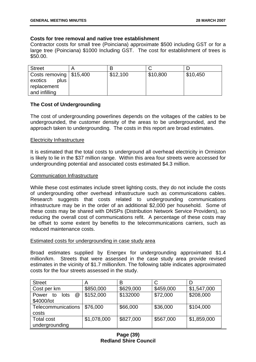## **Costs for tree removal and native tree establishment**

Contractor costs for small tree (Poinciana) approximate \$500 including GST or for a large tree (Poinciana) \$1000 Including GST. The cost for establishment of trees is \$50.00.

| <b>Street</b>              |          |          |          |
|----------------------------|----------|----------|----------|
| Costs removing $  $15,400$ | \$12,100 | \$10,800 | \$10,450 |
| plus<br>exotics            |          |          |          |
| replacement                |          |          |          |
| and infilling              |          |          |          |

## **The Cost of Undergrounding**

The cost of undergrounding powerlines depends on the voltages of the cables to be undergrounded, the customer density of the areas to be undergrounded, and the approach taken to undergrounding. The costs in this report are broad estimates.

### Electricity Infrastructure

It is estimated that the total costs to underground all overhead electricity in Ormiston is likely to lie in the \$37 million range. Within this area four streets were accessed for undergrounding potential and associated costs estimated \$4.3 million.

### Communication Infrastructure

While these cost estimates include street lighting costs, they do not include the costs of undergrounding other overhead infrastructure such as communications cables. Research suggests that costs related to undergrounding communications infrastructure may be in the order of an additional \$2,000 per household. Some of these costs may be shared with DNSPs (Distribution Network Service Providers), so reducing the overall cost of communications refit. A percentage of these costs may be offset to some extent by benefits to the telecommunications carriers, such as reduced maintenance costs.

#### Estimated costs for undergrounding in case study area

Broad estimates supplied by Energex for undergrounding approximated \$1.4 million/km. Streets that were assessed in the case study area provide revised estimates in the vicinity of \$1.7 million/km. The following table indicates approximated costs for the four streets assessed in the study.

| <b>Street</b>            | A           | в         |           |             |
|--------------------------|-------------|-----------|-----------|-------------|
| Cost per km              | \$850,000   | \$629,000 | \$459,000 | \$1,547,000 |
| @<br>lots<br>Power<br>to | \$152,000   | \$132000  | \$72,000  | \$208,000   |
| \$4000/lot               |             |           |           |             |
| Telecommunications       | \$76,000    | \$66,000  | \$36,000  | \$104,000   |
| costs                    |             |           |           |             |
| <b>Total cost</b>        | \$1,078,000 | \$827,000 | \$567,000 | \$1,859,000 |
| undergrounding           |             |           |           |             |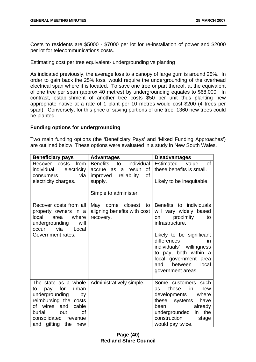Costs to residents are \$5000 - \$7000 per lot for re-installation of power and \$2000 per lot for telecommunications costs.

### Estimating cost per tree equivalent- undergrounding vs planting

As indicated previously, the average loss to a canopy of large gum is around 25%. In order to gain back the 25% loss, would require the undergrounding of the overhead electrical span where it is located. To save one tree or part thereof, at the equivalent of one tree per span (approx 40 metres) by undergrounding equates to \$68,000. In contrast, establishment of another tree costs \$50 per unit thus planting new appropriate native at a rate of 1 plant per 10 metres would cost \$200 (4 trees per span). Conversely, for this price of saving portions of one tree, 1360 new trees could be planted.

## **Funding options for undergrounding**

Two main funding options (the 'Beneficiary Pays' and 'Mixed Funding Approaches') are outlined below. These options were evaluated in a study in New South Wales.

| <b>Beneficiary pays</b>                                                                                                                                                                                                 | <b>Advantages</b>                                                                                                                             | <b>Disadvantages</b>                                                                                                                                                                                                                                                                   |
|-------------------------------------------------------------------------------------------------------------------------------------------------------------------------------------------------------------------------|-----------------------------------------------------------------------------------------------------------------------------------------------|----------------------------------------------------------------------------------------------------------------------------------------------------------------------------------------------------------------------------------------------------------------------------------------|
| costs<br>from<br>Recover<br>electricity<br>individual<br>via<br>consumers<br>electricity charges.                                                                                                                       | <b>Benefits</b><br>individual<br>to<br>result<br>0f<br>accrue<br>as<br>a<br>reliability<br>0f<br>improved<br>supply.<br>Simple to administer. | <b>Estimated</b><br>value<br><sub>of</sub><br>these benefits is small.<br>Likely to be inequitable.                                                                                                                                                                                    |
| Recover costs from all<br>property owners in a<br>local<br>where<br>area<br>undergrounding<br>will<br>via<br>Local<br>occur<br>Government rates.                                                                        | May<br>closest<br>come<br>to<br>aligning benefits with cost<br>recovery.                                                                      | Benefits to individuals<br>will vary widely based<br>proximity<br>to<br>on<br>infrastructure.<br>Likely to be significant<br>differences<br><i>in</i><br>individuals' willingness<br>to pay, both within a<br>local government<br>area<br>between<br>local<br>and<br>government areas. |
| The state as a whole<br>for<br>urban<br>pay<br>to<br>undergrounding<br>by<br>reimbursing the costs<br>wires<br>and<br>cable<br>of<br>burial<br><b>of</b><br>out<br>consolidated<br>revenue<br>gifting the<br>and<br>new | Administratively simple.                                                                                                                      | Some customers such<br>in<br>those<br>as<br>new<br>developments<br>where<br>these systems<br>have<br>already<br>been<br>the<br>undergrounded<br>in<br>construction<br>stage<br>would pay twice.                                                                                        |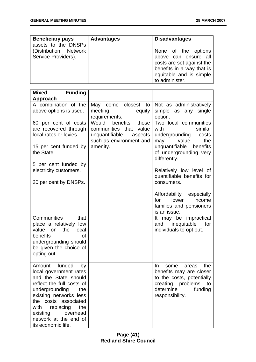| <b>Beneficiary pays</b>                                             | <b>Advantages</b> | <b>Disadvantages</b>                                                                                                                               |
|---------------------------------------------------------------------|-------------------|----------------------------------------------------------------------------------------------------------------------------------------------------|
| assets to the DNSPs<br>(Distribution Network<br>Service Providers). |                   | None of the options<br>above can ensure all<br>costs are set against the<br>benefits in a way that is<br>equitable and is simple<br>to administer. |

| <b>Mixed</b><br><b>Funding</b>                                                                                                                                                                                                                                                   |                                                                                                                             |                                                                                                                                                                                                                                                                                                                                           |
|----------------------------------------------------------------------------------------------------------------------------------------------------------------------------------------------------------------------------------------------------------------------------------|-----------------------------------------------------------------------------------------------------------------------------|-------------------------------------------------------------------------------------------------------------------------------------------------------------------------------------------------------------------------------------------------------------------------------------------------------------------------------------------|
| Approach<br>A combination of the<br>above options is used.                                                                                                                                                                                                                       | May<br>closest<br>come<br>to<br>meeting<br>equity<br>requirements.                                                          | Not as administratively<br>simple<br>as any single<br>option.                                                                                                                                                                                                                                                                             |
| 60 per cent of costs<br>are recovered through<br>local rates or levies.<br>15 per cent funded by<br>the State.<br>5 per cent funded by<br>electricity customers.<br>20 per cent by DNSPs.                                                                                        | benefits<br>Would<br>those<br>communities that<br>value<br>unquantifiable<br>aspects<br>such as environment and<br>amenity. | Two local communities<br>with<br>similar<br>undergrounding<br>costs<br>value<br>the<br>may<br>unquantifiable<br>benefits<br>of undergrounding very<br>differently.<br>Relatively low level of<br>quantifiable benefits for<br>consumers.<br>Affordability especially<br>lower<br>for<br>income<br>families and pensioners<br>is an issue. |
| Communities<br>that<br>place a relatively low<br>value on<br>the<br>local<br>benefits<br>Οf<br>undergrounding should<br>be given the choice of<br>opting out.                                                                                                                    |                                                                                                                             | It may be impractical<br>inequitable<br>for<br>and<br>individuals to opt out.                                                                                                                                                                                                                                                             |
| Amount funded<br>by<br>local government rates<br>and the State should<br>reflect the full costs of<br>undergrounding<br>the<br>existing networks less<br>the costs associated<br>with<br>replacing<br>the<br>existing<br>overhead<br>network at the end of<br>its economic life. |                                                                                                                             | In<br>the<br>some<br>areas<br>benefits may are closer<br>to the costs, potentially<br>creating problems<br>to<br>determine<br>funding<br>responsibility.                                                                                                                                                                                  |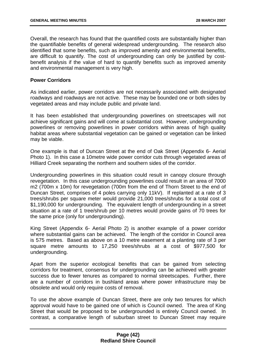Overall, the research has found that the quantified costs are substantially higher than the quantifiable benefits of general widespread undergrounding. The research also identified that some benefits, such as improved amenity and environmental benefits, are difficult to quantify. The cost of undergrounding can only be justified by costbenefit analysis if the value of hard to quantify benefits such as improved amenity and environmental management is very high.

## **Power Corridors**

As indicated earlier, power corridors are not necessarily associated with designated roadways and roadways are not active. These may be bounded one or both sides by vegetated areas and may include public and private land.

It has been established that undergrounding powerlines on streetscapes will not achieve significant gains and will come at substantial cost. However, undergrounding powerlines or removing powerlines in power corridors within areas of high quality habitat areas where substantial vegetation can be gained or vegetation can be linked may be viable.

One example is that of Duncan Street at the end of Oak Street (Appendix 6- Aerial Photo 1). In this case a 10metre wide power corridor cuts through vegetated areas of Hilliard Creek separating the northern and southern sides of the corridor.

Undergrounding powerlines in this situation could result in canopy closure through revegetation. In this case undergrounding powerlines could result in an area of 7000 m2 (700m x 10m) for revegetation (700m from the end of Thorn Street to the end of Duncan Street, comprises of 4 poles carrying only 11kV). If replanted at a rate of 3 trees/shrubs per square meter would provide 21,000 trees/shrubs for a total cost of \$1,190,000 for undergrounding. The equivalent length of undergrounding in a street situation at a rate of 1 tree/shrub per 10 metres would provide gains of 70 trees for the same price (only for undergrounding).

King Street (Appendix 6- Aerial Photo 2) is another example of a power corridor where substantial gains can be achieved. The length of the corridor in Council area is 575 metres. Based as above on a 10 metre easement at a planting rate of 3 per square metre amounts to 17,250 trees/shrubs at a cost of \$977,500 for undergrounding.

Apart from the superior ecological benefits that can be gained from selecting corridors for treatment, consensus for undergrounding can be achieved with greater success due to fewer tenures as compared to normal streetscapes. Further, there are a number of corridors in bushland areas where power infrastructure may be obsolete and would only require costs of removal.

To use the above example of Duncan Street, there are only two tenures for which approval would have to be gained one of which is Council owned. The area of King Street that would be proposed to be undergrounded is entirely Council owned. In contrast, a comparative length of suburban street to Duncan Street may require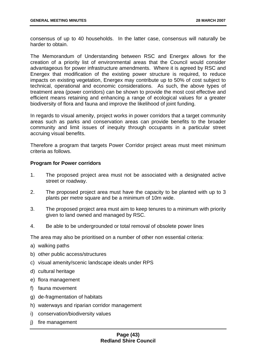consensus of up to 40 households. In the latter case, consensus will naturally be harder to obtain.

The Memorandum of Understanding between RSC and Energex allows for the creation of a priority list of environmental areas that the Council would consider advantageous for power infrastructure amendments. Where it is agreed by RSC and Energex that modification of the existing power structure is required, to reduce impacts on existing vegetation, Energex may contribute up to 50% of cost subject to technical, operational and economic considerations. As such, the above types of treatment area (power corridors) can be shown to provide the most cost effective and efficient means retaining and enhancing a range of ecological values for a greater biodiversity of flora and fauna and improve the likelihood of joint funding.

In regards to visual amenity, project works in power corridors that a target community areas such as parks and conservation areas can provide benefits to the broader community and limit issues of inequity through occupants in a particular street accruing visual benefits.

Therefore a program that targets Power Corridor project areas must meet minimum criteria as follows.

## **Program for Power corridors**

- 1. The proposed project area must not be associated with a designated active street or roadway.
- 2. The proposed project area must have the capacity to be planted with up to 3 plants per metre square and be a minimum of 10m wide.
- 3. The proposed project area must aim to keep tenures to a minimum with priority given to land owned and managed by RSC.
- 4. Be able to be undergrounded or total removal of obsolete power lines

The area may also be prioritised on a number of other non essential criteria:

- a) walking paths
- b) other public access/structures
- c) visual amenity/scenic landscape ideals under RPS
- d) cultural heritage
- e) flora management
- f) fauna movement
- g) de-fragmentation of habitats
- h) waterways and riparian corridor management
- i) conservation/biodiversity values
- j) fire management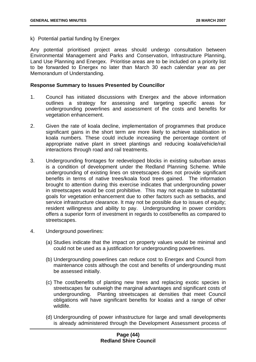k) Potential partial funding by Energex

Any potential prioritised project areas should undergo consultation between Environmental Management and Parks and Conservation, Infrastructure Planning, Land Use Planning and Energex. Prioritise areas are to be included on a priority list to be forwarded to Energex no later than March 30 each calendar year as per Memorandum of Understanding.

## **Response Summary to Issues Presented by Councillor**

- 1. Council has initiated discussions with Energex and the above information outlines a strategy for assessing and targeting specific areas for undergrounding powerlines and assessment of the costs and benefits for vegetation enhancement.
- 2. Given the rate of koala decline, implementation of programmes that produce significant gains in the short term are more likely to achieve stabilisation in koala numbers. These could include increasing the percentage content of appropriate native plant in street plantings and reducing koala/vehicle/rail interactions through road and rail treatments.
- 3. Undergrounding frontages for redeveloped blocks in existing suburban areas is a condition of development under the Redland Planning Scheme. While undergrounding of existing lines on streetscapes does not provide significant benefits in terms of native trees/koala food trees gained. The information brought to attention during this exercise indicates that undergrounding power in streetscapes would be cost prohibitive. This may not equate to substantial goals for vegetation enhancement due to other factors such as setbacks, and service infrastructure clearance. It may not be possible due to issues of equity; resident willingness and ability to pay. Undergrounding in power corridors offers a superior form of investment in regards to cost/benefits as compared to streetscapes.
- 4. Underground powerlines:
	- (a) Studies indicate that the impact on property values would be minimal and could not be used as a justification for undergrounding powerlines.
	- (b) Undergrounding powerlines can reduce cost to Energex and Council from maintenance costs although the cost and benefits of undergrounding must be assessed initially.
	- (c) The cost/benefits of planting new trees and replacing exotic species in streetscapes far outweigh the marginal advantages and significant costs of undergrounding. Planting streetscapes at densities that meet Council obligations will have significant benefits for koalas and a range of other wildlife.
	- (d) Undergrounding of power infrastructure for large and small developments is already administered through the Development Assessment process of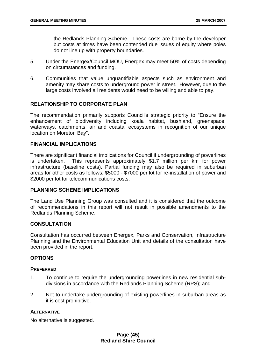the Redlands Planning Scheme. These costs are borne by the developer but costs at times have been contended due issues of equity where poles do not line up with property boundaries.

- 5. Under the Energex/Council MOU, Energex may meet 50% of costs depending on circumstances and funding.
- 6. Communities that value unquantifiable aspects such as environment and amenity may share costs to underground power in street. However, due to the large costs involved all residents would need to be willing and able to pay.

## **RELATIONSHIP TO CORPORATE PLAN**

The recommendation primarily supports Council's strategic priority to "Ensure the enhancement of biodiversity including koala habitat, bushland, greenspace, waterways, catchments, air and coastal ecosystems in recognition of our unique location on Moreton Bay".

## **FINANCIAL IMPLICATIONS**

There are significant financial implications for Council if undergrounding of powerlines is undertaken. This represents approximately \$1.7 million per km for power infrastructure (baseline costs). Partial funding may also be required in suburban areas for other costs as follows: \$5000 - \$7000 per lot for re-installation of power and \$2000 per lot for telecommunications costs.

## **PLANNING SCHEME IMPLICATIONS**

The Land Use Planning Group was consulted and it is considered that the outcome of recommendations in this report will not result in possible amendments to the Redlands Planning Scheme.

## **CONSULTATION**

Consultation has occurred between Energex, Parks and Conservation, Infrastructure Planning and the Environmental Education Unit and details of the consultation have been provided in the report.

## **OPTIONS**

## **PREFERRED**

- 1. To continue to require the undergrounding powerlines in new residential subdivisions in accordance with the Redlands Planning Scheme (RPS); and
- 2. Not to undertake undergrounding of existing powerlines in suburban areas as it is cost prohibitive.

#### **ALTERNATIVE**

No alternative is suggested.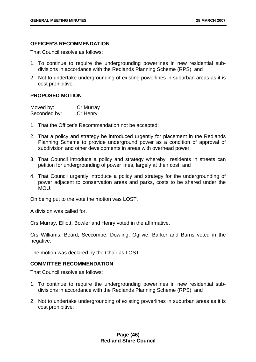## **OFFICER'S RECOMMENDATION**

That Council resolve as follows:

- 1. To continue to require the undergrounding powerlines in new residential subdivisions in accordance with the Redlands Planning Scheme (RPS); and
- 2. Not to undertake undergrounding of existing powerlines in suburban areas as it is cost prohibitive.

## **PROPOSED MOTION**

| Moved by:    | Cr Murray |
|--------------|-----------|
| Seconded by: | Cr Henry  |

- 1. That the Officer's Recommendation not be accepted;
- 2. That a policy and strategy be introduced urgently for placement in the Redlands Planning Scheme to provide underground power as a condition of approval of subdivision and other developments in areas with overhead power;
- 3. That Council introduce a policy and strategy whereby residents in streets can petition for undergrounding of power lines, largely at their cost; and
- 4. That Council urgently introduce a policy and strategy for the undergrounding of power adjacent to conservation areas and parks, costs to be shared under the MOU.

On being put to the vote the motion was LOST.

A division was called for.

Crs Murray, Elliott, Bowler and Henry voted in the affirmative.

Crs Williams, Beard, Seccombe, Dowling, Ogilvie, Barker and Burns voted in the negative.

The motion was declared by the Chair as LOST.

## **COMMITTEE RECOMMENDATION**

That Council resolve as follows:

- 1. To continue to require the undergrounding powerlines in new residential subdivisions in accordance with the Redlands Planning Scheme (RPS); and
- 2. Not to undertake undergrounding of existing powerlines in suburban areas as it is cost prohibitive.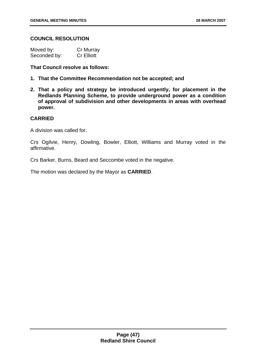## **COUNCIL RESOLUTION**

| Moved by:    | Cr Murray         |
|--------------|-------------------|
| Seconded by: | <b>Cr Elliott</b> |

**That Council resolve as follows:** 

- **1. That the Committee Recommendation not be accepted; and**
- **2. That a policy and strategy be introduced urgently, for placement in the Redlands Planning Scheme, to provide underground power as a condition of approval of subdivision and other developments in areas with overhead power.**

## **CARRIED**

A division was called for.

Crs Ogilvie, Henry, Dowling, Bowler, Elliott, Williams and Murray voted in the affirmative.

Crs Barker, Burns, Beard and Seccombe voted in the negative.

The motion was declared by the Mayor as **CARRIED**.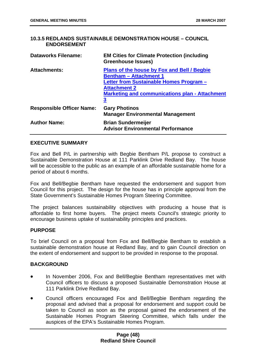# **10.3.5 REDLANDS SUSTAINABLE DEMONSTRATION HOUSE – COUNCIL ENDORSEMENT**

| <b>Dataworks Filename:</b>       | <b>EM Cities for Climate Protection (including</b><br><b>Greenhouse Issues)</b>                                                                                                                                     |
|----------------------------------|---------------------------------------------------------------------------------------------------------------------------------------------------------------------------------------------------------------------|
| <b>Attachments:</b>              | Plans of the house by Fox and Bell / Begbie<br><b>Bentham - Attachment 1</b><br>Letter from Sustainable Homes Program -<br><b>Attachment 2</b><br><b>Marketing and communications plan - Attachment</b><br><u>3</u> |
| <b>Responsible Officer Name:</b> | <b>Gary Photinos</b><br><b>Manager Environmental Management</b>                                                                                                                                                     |
| <b>Author Name:</b>              | <b>Brian Sundermeijer</b><br><b>Advisor Environmental Performance</b>                                                                                                                                               |

## **EXECUTIVE SUMMARY**

Fox and Bell P/L in partnership with Begbie Bentham P/L propose to construct a Sustainable Demonstration House at 111 Parklink Drive Redland Bay. The house will be accessible to the public as an example of an affordable sustainable home for a period of about 6 months.

Fox and Bell/Begbie Bentham have requested the endorsement and support from Council for this project. The design for the house has in principle approval from the State Government's Sustainable Homes Program Steering Committee.

The project balances sustainability objectives with producing a house that is affordable to first home buyers. The project meets Council's strategic priority to encourage business uptake of sustainability principles and practices.

# **PURPOSE**

To brief Council on a proposal from Fox and Bell/Begbie Bentham to establish a sustainable demonstration house at Redland Bay, and to gain Council direction on the extent of endorsement and support to be provided in response to the proposal.

## **BACKGROUND**

- In November 2006, Fox and Bell/Begbie Bentham representatives met with Council officers to discuss a proposed Sustainable Demonstration House at 111 Parklink Drive Redland Bay.
- Council officers encouraged Fox and Bell/Begbie Bentham regarding the proposal and advised that a proposal for endorsement and support could be taken to Council as soon as the proposal gained the endorsement of the Sustainable Homes Program Steering Committee, which falls under the auspices of the EPA's Sustainable Homes Program.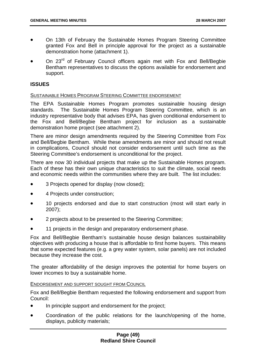- On 13th of February the Sustainable Homes Program Steering Committee granted Fox and Bell in principle approval for the project as a sustainable demonstration home (attachment 1).
- On 23<sup>rd</sup> of February Council officers again met with Fox and Bell/Begbie Bentham representatives to discuss the options available for endorsement and support.

# **ISSUES**

### SUSTAINABLE HOMES PROGRAM STEERING COMMITTEE ENDORSEMENT

The EPA Sustainable Homes Program promotes sustainable housing design standards. The Sustainable Homes Program Steering Committee, which is an industry representative body that advises EPA, has given conditional endorsement to the Fox and Bell/Begbie Bentham project for inclusion as a sustainable demonstration home project (see attachment 2).

There are minor design amendments required by the Steering Committee from Fox and Bell/Begbie Bentham. While these amendments are minor and should not result in complications, Council should not consider endorsement until such time as the Steering Committee's endorsement is unconditional for the project.

There are now 30 individual projects that make up the Sustainable Homes program. Each of these has their own unique characteristics to suit the climate, social needs and economic needs within the communities where they are built. The list includes:

- 3 Projects opened for display (now closed);
- 4 Projects under construction;
- 10 projects endorsed and due to start construction (most will start early in 2007);
- 2 projects about to be presented to the Steering Committee;
- 11 projects in the design and preparatory endorsement phase.

Fox and Bell/Begbie Bentham's sustainable house design balances sustainability objectives with producing a house that is affordable to first home buyers. This means that some expected features (e.g. a grey water system, solar panels) are not included because they increase the cost.

The greater affordability of the design improves the potential for home buyers on lower incomes to buy a sustainable home.

## ENDORSEMENT AND SUPPORT SOUGHT FROM COUNCIL

Fox and Bell/Begbie Bentham requested the following endorsement and support from Council:

- In principle support and endorsement for the project;
- Coordination of the public relations for the launch/opening of the home, displays, publicity materials;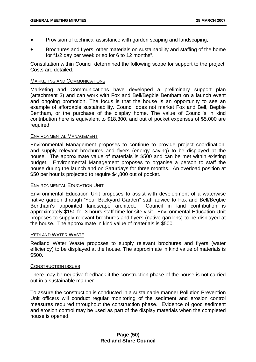- Provision of technical assistance with garden scaping and landscaping;
- Brochures and flyers, other materials on sustainability and staffing of the home for "1/2 day per week or so for 6 to 12 months".

Consultation within Council determined the following scope for support to the project. Costs are detailed.

### MARKETING AND COMMUNICATIONS

Marketing and Communications have developed a preliminary support plan (attachment 3) and can work with Fox and Bell/Begbie Bentham on a launch event and ongoing promotion. The focus is that the house is an opportunity to see an example of affordable sustainability. Council does not market Fox and Bell, Begbie Bentham, or the purchase of the display home. The value of Council's in kind contribution here is equivalent to \$18,300, and out of pocket expenses of \$5,000 are required.

### ENVIRONMENTAL MANAGEMENT

Environmental Management proposes to continue to provide project coordination, and supply relevant brochures and flyers (energy saving) to be displayed at the house. The approximate value of materials is \$500 and can be met within existing budget. Environmental Management proposes to organise a person to staff the house during the launch and on Saturdays for three months. An overload position at \$50 per hour is projected to require \$4,800 out of pocket.

#### ENVIRONMENTAL EDUCATION UNIT

Environmental Education Unit proposes to assist with development of a waterwise native garden through 'Your Backyard Garden" staff advice to Fox and Bell/Begbie Bentham's appointed landscape architect. Council in kind contribution is approximately \$150 for 3 hours staff time for site visit. Environmental Education Unit proposes to supply relevant brochures and flyers (native gardens) to be displayed at the house. The approximate in kind value of materials is \$500.

### REDLAND WATER WASTE

Redland Water Waste proposes to supply relevant brochures and flyers (water efficiency) to be displayed at the house. The approximate in kind value of materials is \$500.

#### CONSTRUCTION ISSUES

There may be negative feedback if the construction phase of the house is not carried out in a sustainable manner.

To assure the construction is conducted in a sustainable manner Pollution Prevention Unit officers will conduct regular monitoring of the sediment and erosion control measures required throughout the construction phase. Evidence of good sediment and erosion control may be used as part of the display materials when the completed house is opened.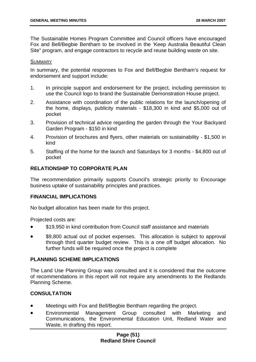The Sustainable Homes Program Committee and Council officers have encouraged Fox and Bell/Begbie Bentham to be involved in the 'Keep Australia Beautiful Clean Site" program, and engage contractors to recycle and reuse building waste on site.

#### **SUMMARY**

In summary, the potential responses to Fox and Bell/Begbie Bentham's request for endorsement and support include:

- 1. In principle support and endorsement for the project, including permission to use the Council logo to brand the Sustainable Demonstration House project.
- 2. Assistance with coordination of the public relations for the launch/opening of the home, displays, publicity materials - \$18,300 in kind and \$5,000 out of pocket
- 3. Provision of technical advice regarding the garden through the Your Backyard Garden Program - \$150 in kind
- 4. Provision of brochures and flyers, other materials on sustainability \$1,500 in kind
- 5. Staffing of the home for the launch and Saturdays for 3 months \$4,800 out of pocket

## **RELATIONSHIP TO CORPORATE PLAN**

The recommendation primarily supports Council's strategic priority to Encourage business uptake of sustainability principles and practices.

## **FINANCIAL IMPLICATIONS**

No budget allocation has been made for this project.

Projected costs are:

- \$19,950 in kind contribution from Council staff assistance and materials
- \$9,800 actual out of pocket expenses. This allocation is subject to approval through third quarter budget review. This is a one off budget allocation. No further funds will be required once the project is complete

## **PLANNING SCHEME IMPLICATIONS**

The Land Use Planning Group was consulted and it is considered that the outcome of recommendations in this report will not require any amendments to the Redlands Planning Scheme.

# **CONSULTATION**

- Meetings with Fox and Bell/Begbie Bentham regarding the project.
- Environmental Management Group consulted with Marketing and Communications, the Environmental Education Unit, Redland Water and Waste, in drafting this report.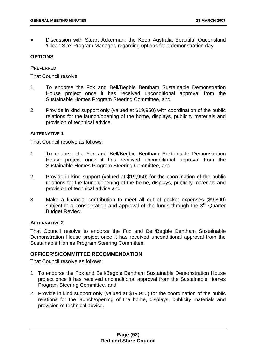• Discussion with Stuart Ackerman, the Keep Australia Beautiful Queensland 'Clean Site' Program Manager, regarding options for a demonstration day.

## **OPTIONS**

## **PREFERRED**

That Council resolve

- 1. To endorse the Fox and Bell/Begbie Bentham Sustainable Demonstration House project once it has received unconditional approval from the Sustainable Homes Program Steering Committee, and.
- 2. Provide in kind support only (valued at \$19,950) with coordination of the public relations for the launch/opening of the home, displays, publicity materials and provision of technical advice.

# **ALTERNATIVE 1**

That Council resolve as follows:

- 1. To endorse the Fox and Bell/Begbie Bentham Sustainable Demonstration House project once it has received unconditional approval from the Sustainable Homes Program Steering Committee, and
- 2. Provide in kind support (valued at \$19,950) for the coordination of the public relations for the launch/opening of the home, displays, publicity materials and provision of technical advice and
- 3. Make a financial contribution to meet all out of pocket expenses (\$9,800) subject to a consideration and approval of the funds through the 3<sup>rd</sup> Quarter Budget Review.

# **ALTERNATIVE 2**

That Council resolve to endorse the Fox and Bell/Begbie Bentham Sustainable Demonstration House project once it has received unconditional approval from the Sustainable Homes Program Steering Committee.

# **OFFICER'S/COMMITTEE RECOMMENDATION**

That Council resolve as follows:

- 1. To endorse the Fox and Bell/Begbie Bentham Sustainable Demonstration House project once it has received unconditional approval from the Sustainable Homes Program Steering Committee, and
- 2. Provide in kind support only (valued at \$19,950) for the coordination of the public relations for the launch/opening of the home, displays, publicity materials and provision of technical advice.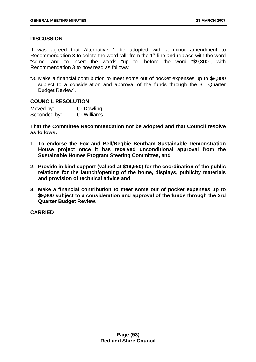# **DISCUSSION**

It was agreed that Alternative 1 be adopted with a minor amendment to Recommendation 3 to delete the word "all" from the 1<sup>st</sup> line and replace with the word "some" and to insert the words "up to" before the word "\$9,800", with Recommendation 3 to now read as follows:

"3. Make a financial contribution to meet some out of pocket expenses up to \$9,800 subject to a consideration and approval of the funds through the 3rd Quarter Budget Review".

# **COUNCIL RESOLUTION**

| Moved by:    | <b>Cr Dowling</b> |
|--------------|-------------------|
| Seconded by: | Cr Williams       |

**That the Committee Recommendation not be adopted and that Council resolve as follows:** 

- **1. To endorse the Fox and Bell/Begbie Bentham Sustainable Demonstration House project once it has received unconditional approval from the Sustainable Homes Program Steering Committee, and**
- **2. Provide in kind support (valued at \$19,950) for the coordination of the public relations for the launch/opening of the home, displays, publicity materials and provision of technical advice and**
- **3. Make a financial contribution to meet some out of pocket expenses up to \$9,800 subject to a consideration and approval of the funds through the 3rd Quarter Budget Review.**

**CARRIED**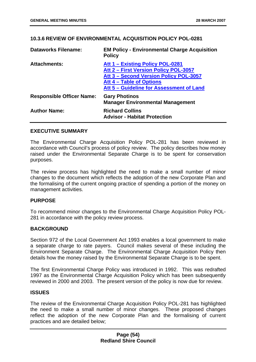## **10.3.6 REVIEW OF ENVIRONMENTAL ACQUISITION POLICY POL-0281**

| <b>Dataworks Filename:</b>       | <b>EM Policy - Environmental Charge Acquisition</b><br><b>Policy</b>      |
|----------------------------------|---------------------------------------------------------------------------|
| <b>Attachments:</b>              | Att 1 - Existing Policy POL-0281<br>Att 2 - First Version Policy POL-3057 |
|                                  | Att 3 - Second Version Policy POL-3057                                    |
|                                  | Att 4 – Table of Options<br>Att 5 – Guideline for Assessment of Land      |
| <b>Responsible Officer Name:</b> | <b>Gary Photinos</b><br><b>Manager Environmental Management</b>           |
| <b>Author Name:</b>              | <b>Richard Collins</b><br><b>Advisor - Habitat Protection</b>             |

## **EXECUTIVE SUMMARY**

The Environmental Charge Acquisition Policy POL-281 has been reviewed in accordance with Council's process of policy review. The policy describes how money raised under the Environmental Separate Charge is to be spent for conservation purposes.

The review process has highlighted the need to make a small number of minor changes to the document which reflects the adoption of the new Corporate Plan and the formalising of the current ongoing practice of spending a portion of the money on management activities.

## **PURPOSE**

To recommend minor changes to the Environmental Charge Acquisition Policy POL-281 in accordance with the policy review process.

## **BACKGROUND**

Section 972 of the Local Government Act 1993 enables a local government to make a separate charge to rate payers. Council makes several of these including the Environment Separate Charge. The Environmental Charge Acquisition Policy then details how the money raised by the Environmental Separate Charge is to be spent.

The first Environmental Charge Policy was introduced in 1992. This was redrafted 1997 as the Environmental Charge Acquisition Policy which has been subsequently reviewed in 2000 and 2003. The present version of the policy is now due for review.

## **ISSUES**

The review of the Environmental Charge Acquisition Policy POL-281 has highlighted the need to make a small number of minor changes. These proposed changes reflect the adoption of the new Corporate Plan and the formalising of current practices and are detailed below;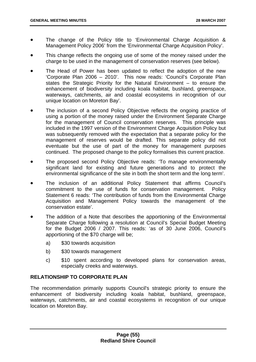- The change of the Policy title to 'Environmental Charge Acquisition & Management Policy 2006' from the 'Environmental Charge Acquisition Policy'.
- This change reflects the ongoing use of some of the money raised under the charge to be used in the management of conservation reserves (see below).
- The Head of Power has been updated to reflect the adoption of the new 'Corporate Plan 2006 – 2010'. This now reads: 'Council's Corporate Plan states the Strategic Priority for the Natural Environment – to ensure the enhancement of biodiversity including koala habitat, bushland, greenspace, waterways, catchments, air and coastal ecosystems in recognition of our unique location on Moreton Bay'.
- The inclusion of a second Policy Objective reflects the ongoing practice of using a portion of the money raised under the Environment Separate Charge for the management of Council conservation reserves. This principle was included in the 1997 version of the Environment Charge Acquisition Policy but was subsequently removed with the expectation that a separate policy for the management of reserves would be drafted. This separate policy did not eventuate but the use of part of the money for management purposes continued. The proposed change to the policy formalises this current practice.
- The proposed second Policy Objective reads: 'To manage environmentally significant land for existing and future generations and to protect the environmental significance of the site in both the short term and the long term'.
- The inclusion of an additional Policy Statement that affirms Council's commitment to the use of funds for conservation management. Policy Statement 6 reads: 'The contribution of funds from the Environmental Charge Acquisition and Management Policy towards the management of the conservation estate'.
- The addition of a Note that describes the apportioning of the Environmental Separate Charge following a resolution at Council's Special Budget Meeting for the Budget 2006 / 2007. This reads: 'as of 30 June 2006, Council's apportioning of the \$70 charge will be;
	- a) \$30 towards acquisition
	- b) \$30 towards management
	- c) \$10 spent according to developed plans for conservation areas, especially creeks and waterways.

# **RELATIONSHIP TO CORPORATE PLAN**

The recommendation primarily supports Council's strategic priority to ensure the enhancement of biodiversity including koala habitat, bushland, greenspace, waterways, catchments, air and coastal ecosystems in recognition of our unique location on Moreton Bay.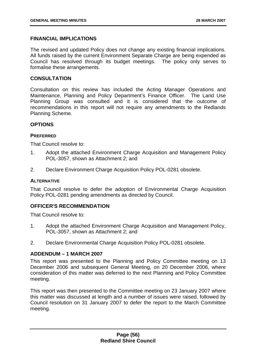## **FINANCIAL IMPLICATIONS**

The revised and updated Policy does not change any existing financial implications. All funds raised by the current Environment Separate Charge are being expended as Council has resolved through its budget meetings. The policy only serves to formalise these arrangements.

## **CONSULTATION**

Consultation on this review has included the Acting Manager Operations and Maintenance, Planning and Policy Department's Finance Officer. The Land Use Planning Group was consulted and it is considered that the outcome of recommendations in this report will not require any amendments to the Redlands Planning Scheme.

### **OPTIONS**

### **PREFERRED**

That Council resolve to:

- 1. Adopt the attached Environment Charge Acquisition and Management Policy POL-3057, shown as Attachment 2; and
- 2. Declare Environment Charge Acquisition Policy POL-0281 obsolete.

#### **ALTERNATIVE**

That Council resolve to defer the adoption of Environmental Charge Acquisition Policy POL-0281 pending amendments as directed by Council.

## **OFFICER'S RECOMMENDATION**

That Council resolve to:

- 1. Adopt the attached Environment Charge Acquisition and Management Policy, POL-3057, shown as Attachment 2; and
- 2. Declare Environmental Charge Acquisition Policy POL-0281 obsolete.

## **ADDENDUM – 1 MARCH 2007**

This report was presented to the Planning and Policy Committee meeting on 13 December 2006 and subsequent General Meeting, on 20 December 2006, where consideration of this matter was deferred to the next Planning and Policy Committee meeting.

This report was then presented to the Committee meeting on 23 January 2007 where this matter was discussed at length and a number of issues were raised, followed by Council resolution on 31 January 2007 to defer the report to the March Committee meeting.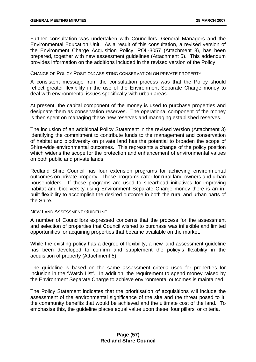Further consultation was undertaken with Councillors, General Managers and the Environmental Education Unit. As a result of this consultation, a revised version of the Environment Charge Acquisition Policy, POL-3057 (Attachment 3), has been prepared, together with new assessment guidelines (Attachment 5). This addendum provides information on the additions included in the revised version of the Policy.

### CHANGE OF POLICY POSITION: ASSISTING CONSERVATION ON PRIVATE PROPERTY

A consistent message from the consultation process was that the Policy should reflect greater flexibility in the use of the Environment Separate Charge money to deal with environmental issues specifically with urban areas.

At present, the capital component of the money is used to purchase properties and designate them as conservation reserves. The operational component of the money is then spent on managing these new reserves and managing established reserves.

The inclusion of an additional Policy Statement in the revised version (Attachment 3) identifying the commitment to contribute funds to the management and conservation of habitat and biodiversity on private land has the potential to broaden the scope of Shire-wide environmental outcomes. This represents a change of the policy position which widens the scope for the protection and enhancement of environmental values on both public and private lands.

Redland Shire Council has four extension programs for achieving environmental outcomes on private property. These programs cater for rural land-owners and urban householders. If these programs are used to spearhead initiatives for improving habitat and biodiversity using Environment Separate Charge money there is an inbuilt flexibility to accomplish the desired outcome in both the rural and urban parts of the Shire.

## NEW LAND ASSESSMENT GUIDELINE

A number of Councillors expressed concerns that the process for the assessment and selection of properties that Council wished to purchase was inflexible and limited opportunities for acquiring properties that became available on the market.

While the existing policy has a degree of flexibility, a new land assessment guideline has been developed to confirm and supplement the policy's flexibility in the acquisition of property (Attachment 5).

The guideline is based on the same assessment criteria used for properties for inclusion in the 'Watch List'. In addition, the requirement to spend money raised by the Environment Separate Charge to achieve environmental outcomes is maintained.

The Policy Statement indicates that the prioritisation of acquisitions will include the assessment of the environmental significance of the site and the threat posed to it, the community benefits that would be achieved and the ultimate cost of the land. To emphasise this, the guideline places equal value upon these 'four pillars' or criteria.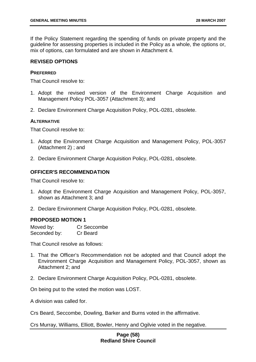If the Policy Statement regarding the spending of funds on private property and the guideline for assessing properties is included in the Policy as a whole, the options or, mix of options, can formulated and are shown in Attachment 4.

## **REVISED OPTIONS**

### **PREFERRED**

That Council resolve to:

- 1. Adopt the revised version of the Environment Charge Acquisition and Management Policy POL-3057 (Attachment 3); and
- 2. Declare Environment Charge Acquisition Policy, POL-0281, obsolete.

### **ALTERNATIVE**

That Council resolve to:

- 1. Adopt the Environment Charge Acquisition and Management Policy, POL-3057 (Attachment 2) ; and
- 2. Declare Environment Charge Acquisition Policy, POL-0281, obsolete.

## **OFFICER'S RECOMMENDATION**

That Council resolve to:

- 1. Adopt the Environment Charge Acquisition and Management Policy, POL-3057, shown as Attachment 3; and
- 2. Declare Environment Charge Acquisition Policy, POL-0281, obsolete.

#### **PROPOSED MOTION 1**

| Moved by:    | Cr Seccombe |
|--------------|-------------|
| Seconded by: | Cr Beard    |

That Council resolve as follows:

- 1. That the Officer's Recommendation not be adopted and that Council adopt the Environment Charge Acquisition and Management Policy, POL-3057, shown as Attachment 2; and
- 2. Declare Environment Charge Acquisition Policy, POL-0281, obsolete.

On being put to the voted the motion was LOST.

A division was called for.

Crs Beard, Seccombe, Dowling, Barker and Burns voted in the affirmative.

Crs Murray, Williams, Elliott, Bowler, Henry and Ogilvie voted in the negative.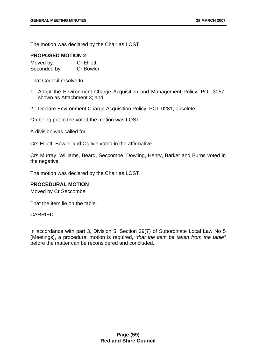The motion was declared by the Chair as LOST.

## **PROPOSED MOTION 2**

| Moved by:    | <b>Cr Elliott</b> |
|--------------|-------------------|
| Seconded by: | <b>Cr Bowler</b>  |

That Council resolve to:

- 1. Adopt the Environment Charge Acquisition and Management Policy, POL-3057, shown as Attachment 3; and
- 2. Declare Environment Charge Acquisition Policy, POL-0281, obsolete.

On being put to the voted the motion was LOST.

A division was called for.

Crs Elliott, Bowler and Ogilvie voted in the affirmative.

Crs Murray, Williams, Beard, Seccombe, Dowling, Henry, Barker and Burns voted in the negative.

The motion was declared by the Chair as LOST.

## **PROCEDURAL MOTION**

Moved by Cr Seccombe

That the item lie on the table.

CARRIED

In accordance with part 3, Division 5, Section 29(7) of Subordinate Local Law No 5 (Meetings), a procedural motion is required, *"that the item be taken from the table"* before the matter can be reconsidered and concluded.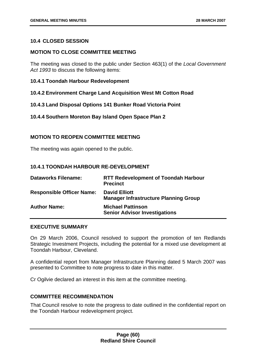## **10.4 CLOSED SESSION**

## **MOTION TO CLOSE COMMITTEE MEETING**

The meeting was closed to the public under Section 463(1) of the *Local Government Act 1993* to discuss the following items:

- **10.4.1 Toondah Harbour Redevelopment**
- **10.4.2 Environment Charge Land Acquisition West Mt Cotton Road**
- **10.4.3 Land Disposal Options 141 Bunker Road Victoria Point**
- **10.4.4 Southern Moreton Bay Island Open Space Plan 2**

## **MOTION TO REOPEN COMMITTEE MEETING**

The meeting was again opened to the public.

## **10.4.1 TOONDAH HARBOUR RE-DEVELOPMENT**

| <b>Dataworks Filename:</b>       | <b>RTT Redevelopment of Toondah Harbour</b><br><b>Precinct</b>       |
|----------------------------------|----------------------------------------------------------------------|
| <b>Responsible Officer Name:</b> | <b>David Elliott</b><br><b>Manager Infrastructure Planning Group</b> |
| <b>Author Name:</b>              | <b>Michael Pattinson</b><br><b>Senior Advisor Investigations</b>     |

# **EXECUTIVE SUMMARY**

On 29 March 2006, Council resolved to support the promotion of ten Redlands Strategic Investment Projects, including the potential for a mixed use development at Toondah Harbour, Cleveland.

A confidential report from Manager Infrastructure Planning dated 5 March 2007 was presented to Committee to note progress to date in this matter.

Cr Ogilvie declared an interest in this item at the committee meeting.

## **COMMITTEE RECOMMENDATION**

That Council resolve to note the progress to date outlined in the confidential report on the Toondah Harbour redevelopment project.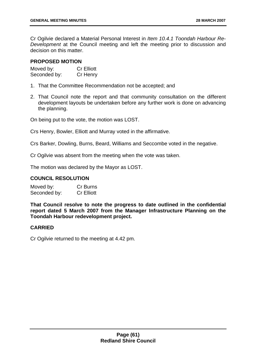Cr Ogilvie declared a Material Personal Interest in *Item 10.4.1 Toondah Harbour Re-Development* at the Council meeting and left the meeting prior to discussion and decision on this matter.

## **PROPOSED MOTION**

| Moved by:    | <b>Cr Elliott</b> |
|--------------|-------------------|
| Seconded by: | Cr Henry          |

- 1. That the Committee Recommendation not be accepted; and
- 2. That Council note the report and that community consultation on the different development layouts be undertaken before any further work is done on advancing the planning.

On being put to the vote, the motion was LOST.

Crs Henry, Bowler, Elliott and Murray voted in the affirmative.

Crs Barker, Dowling, Burns, Beard, Williams and Seccombe voted in the negative.

Cr Ogilvie was absent from the meeting when the vote was taken.

The motion was declared by the Mayor as LOST.

## **COUNCIL RESOLUTION**

| Moved by:    | Cr Burns          |
|--------------|-------------------|
| Seconded by: | <b>Cr Elliott</b> |

**That Council resolve to note the progress to date outlined in the confidential report dated 5 March 2007 from the Manager Infrastructure Planning on the Toondah Harbour redevelopment project.** 

## **CARRIED**

Cr Ogilvie returned to the meeting at 4.42 pm.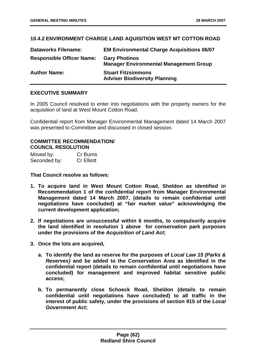# **10.4.2 ENVIRONMENT CHARGE LAND AQUISITION WEST MT COTTON ROAD**

| <b>Dataworks Filename:</b>       | <b>EM Environmental Charge Acquisitions 06/07</b>                     |
|----------------------------------|-----------------------------------------------------------------------|
| <b>Responsible Officer Name:</b> | <b>Gary Photinos</b><br><b>Manager Environmental Management Group</b> |
| <b>Author Name:</b>              | <b>Stuart Fitzsimmons</b><br><b>Adviser Biodiversity Planning</b>     |

## **EXECUTIVE SUMMARY**

In 2005 Council resolved to enter into negotiations with the property owners for the acquisition of land at West Mount Cotton Road.

Confidential report from Manager Environmental Management dated 14 March 2007 was presented to Committee and discussed in closed session.

## **COMMITTEE RECOMMENDATION/ COUNCIL RESOLUTION**

| Moved by:    | <b>Cr Burns</b>   |
|--------------|-------------------|
| Seconded by: | <b>Cr Elliott</b> |

**That Council resolve as follows:** 

- **1. To acquire land in West Mount Cotton Road, Sheldon as identified in Recommendation 1 of the confidential report from Manager Environmental Management dated 14 March 2007, (details to remain confidential until negotiations have concluded) at "fair market value" acknowledging the current development application;**
- **2. If negotiations are unsuccessful within 6 months, to compulsorily acquire the land identified in resolution 1 above for conservation park purposes under the provisions of the** *Acquisition of Land Act***;**
- **3. Once the lots are acquired,** 
	- **a. To identify the land as reserve for the purposes of** *Local Law 15 (Parks & Reserves)* **and be added to the Conservation Area as identified in the confidential report (details to remain confidential until negotiations have concluded) for management and improved habitat sensitive public access;**
	- **b. To permanently close Schoeck Road, Sheldon (details to remain confidential until negotiations have concluded) to all traffic in the interest of public safety, under the provisions of section 915 of the** *Local Government Act***;**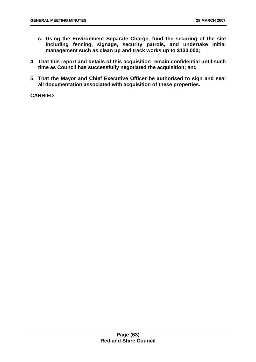- **c. Using the Environment Separate Charge, fund the securing of the site including fencing, signage, security patrols, and undertake initial management such as clean up and track works up to \$130,000;**
- **4. That this report and details of this acquisition remain confidential until such time as Council has successfully negotiated the acquisition; and**
- **5. That the Mayor and Chief Executive Officer be authorised to sign and seal all documentation associated with acquisition of these properties.**

## **CARRIED**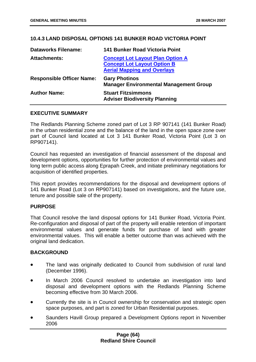# **10.4.3 LAND DISPOSAL OPTIONS 141 BUNKER ROAD VICTORIA POINT**

| <b>Dataworks Filename:</b>       | <b>141 Bunker Road Victoria Point</b>                                                                               |
|----------------------------------|---------------------------------------------------------------------------------------------------------------------|
| <b>Attachments:</b>              | <b>Concept Lot Layout Plan Option A</b><br><b>Concept Lot Layout Option B</b><br><b>Aerial Mapping and Overlays</b> |
| <b>Responsible Officer Name:</b> | <b>Gary Photinos</b><br><b>Manager Environmental Management Group</b>                                               |
| <b>Author Name:</b>              | <b>Stuart Fitzsimmons</b><br><b>Adviser Biodiversity Planning</b>                                                   |

## **EXECUTIVE SUMMARY**

The Redlands Planning Scheme zoned part of Lot 3 RP 907141 (141 Bunker Road) in the urban residential zone and the balance of the land in the open space zone over part of Council land located at Lot 3 141 Bunker Road, Victoria Point (Lot 3 on RP907141).

Council has requested an investigation of financial assessment of the disposal and development options, opportunities for further protection of environmental values and long term public access along Eprapah Creek, and initiate preliminary negotiations for acquisition of identified properties.

This report provides recommendations for the disposal and development options of 141 Bunker Road (Lot 3 on RP907141) based on investigations, and the future use, tenure and possible sale of the property.

## **PURPOSE**

That Council resolve the land disposal options for 141 Bunker Road, Victoria Point. Re-configuration and disposal of part of the property will enable retention of important environmental values and generate funds for purchase of land with greater environmental values. This will enable a better outcome than was achieved with the original land dedication.

# **BACKGROUND**

- The land was originally dedicated to Council from subdivision of rural land (December 1996).
- In March 2006 Council resolved to undertake an investigation into land disposal and development options with the Redlands Planning Scheme becoming effective from 30 March 2006.
- Currently the site is in Council ownership for conservation and strategic open space purposes, and part is zoned for Urban Residential purposes.
- Saunders Havill Group prepared a Development Options report in November 2006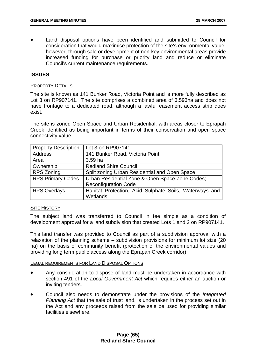Land disposal options have been identified and submitted to Council for consideration that would maximise protection of the site's environmental value, however, through sale or development of non-key environmental areas provide increased funding for purchase or priority land and reduce or eliminate Council's current maintenance requirements.

## **ISSUES**

### PROPERTY DETAILS

The site is known as 141 Bunker Road, Victoria Point and is more fully described as Lot 3 on RP907141. The site comprises a combined area of 3.593ha and does not have frontage to a dedicated road, although a lawful easement access strip does exist.

The site is zoned Open Space and Urban Residential, with areas closer to Eprapah Creek identified as being important in terms of their conservation and open space connectivity value.

| <b>Property Description</b> | Lot 3 on RP907141                                      |
|-----------------------------|--------------------------------------------------------|
| <b>Address</b>              | 141 Bunker Road, Victoria Point                        |
| Area                        | 3.59 ha                                                |
| Ownership                   | <b>Redland Shire Council</b>                           |
| <b>RPS Zoning</b>           | Split zoning Urban Residential and Open Space          |
| <b>RPS Primary Codes</b>    | Urban Residential Zone & Open Space Zone Codes;        |
|                             | <b>Reconfiguration Code</b>                            |
| <b>RPS Overlays</b>         | Habitat Protection, Acid Sulphate Soils, Waterways and |
|                             | Wetlands                                               |

## **SITE HISTORY**

The subject land was transferred to Council in fee simple as a condition of development approval for a land subdivision that created Lots 1 and 2 on RP907141.

This land transfer was provided to Council as part of a subdivision approval with a relaxation of the planning scheme – subdivision provisions for minimum lot size (20 ha) on the basis of community benefit (protection of the environmental values and providing long term public access along the Eprapah Creek corridor).

#### LEGAL REQUIREMENTS FOR LAND DISPOSAL OPTIONS

- Any consideration to dispose of land must be undertaken in accordance with section 491 of the *Local Government Act* which requires either an auction or inviting tenders.
- Council also needs to demonstrate under the provisions of the *Integrated Planning Act* that the sale of trust land, is undertaken in the process set out in the Act and any proceeds raised from the sale be used for providing similar facilities elsewhere.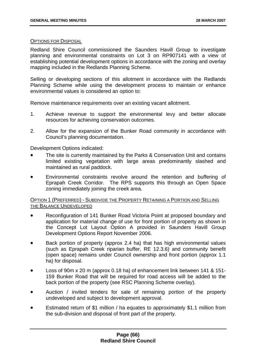## OPTIONS FOR DISPOSAL

Redland Shire Council commissioned the Saunders Havill Group to investigate planning and environmental constraints on Lot 3 on RP907141 with a view of establishing potential development options in accordance with the zoning and overlay mapping included in the Redlands Planning Scheme.

Selling or developing sections of this allotment in accordance with the Redlands Planning Scheme while using the development process to maintain or enhance environmental values is considered an option to:

Remove maintenance requirements over an existing vacant allotment.

- 1. Achieve revenue to support the environmental levy and better allocate resources for achieving conservation outcomes.
- 2. Allow for the expansion of the Bunker Road community in accordance with Council's planning documentation.

Development Options indicated:

- The site is currently maintained by the Parks & Conservation Unit and contains limited existing vegetation with large areas predominantly slashed and maintained as rural paddock.
- Environmental constraints revolve around the retention and buffering of Eprapah Creek Corridor. The RPS supports this through an Open Space zoning immediately joining the creek area.

## OPTION 1 (PREFERRED) - SUBDIVIDE THE PROPERTY RETAINING A PORTION AND SELLING THE BALANCE UNDEVELOPED

- Reconfiguration of 141 Bunker Road Victoria Point at proposed boundary and application for material change of use for front portion of property as shown in the Concept Lot Layout Option A provided in Saunders Havill Group Development Options Report November 2006.
- Back portion of property (approx 2.4 ha) that has high environmental values (such as Eprapah Creek riparian buffer, RE 12.3.6) and community benefit (open space) remains under Council ownership and front portion (approx 1.1 ha) for disposal.
- Loss of 90m x 20 m (approx 0.18 ha) of enhancement link between 141 & 151- 159 Bunker Road that will be required for road access will be added to the back portion of the property (see RSC Planning Scheme overlay).
- Auction / invited tenders for sale of remaining portion of the property undeveloped and subject to development approval.
- Estimated return of \$1 million / ha equates to approximately \$1.1 million from the sub-division and disposal of front part of the property.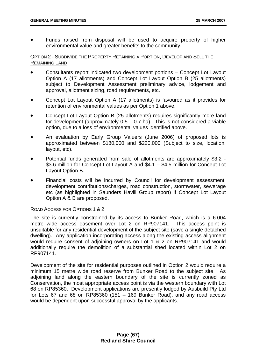• Funds raised from disposal will be used to acquire property of higher environmental value and greater benefits to the community.

## OPTION 2 - SUBDIVIDE THE PROPERTY RETAINING A PORTION, DEVELOP AND SELL THE REMAINING LAND

- Consultants report indicated two development portions Concept Lot Layout Option A (17 allotments) and Concept Lot Layout Option B (25 allotments) subject to Development Assessment preliminary advice, lodgement and approval, allotment sizing, road requirements, etc.
- Concept Lot Layout Option A (17 allotments) is favoured as it provides for retention of environmental values as per Option 1 above.
- Concept Lot Layout Option B (25 allotments) requires significantly more land for development (approximately  $0.5 - 0.7$  ha). This is not considered a viable option, due to a loss of environmental values identified above.
- An evaluation by Early Group Valuers (June 2006) of proposed lots is approximated between \$180,000 and \$220,000 (Subject to size, location, layout, etc).
- Potential funds generated from sale of allotments are approximately \$3.2 \$3.6 million for Concept Lot Layout A and \$4.1 – \$4.5 million for Concept Lot Layout Option B.
- Financial costs will be incurred by Council for development assessment, development contributions/charges, road construction, stormwater, sewerage etc (as highlighted in Saunders Havill Group report) if Concept Lot Layout Option A & B are proposed.

# ROAD ACCESS FOR OPTIONS 1 & 2

The site is currently constrained by its access to Bunker Road, which is a 6.004 metre wide access easement over Lot 2 on RP907141. This access point is unsuitable for any residential development of the subject site (save a single detached dwelling). Any application incorporating access along the existing access alignment would require consent of adjoining owners on Lot 1 & 2 on RP907141 and would additionally require the demolition of a substantial shed located within Lot 2 on RP907141.

Development of the site for residential purposes outlined in Option 2 would require a minimum 15 metre wide road reserve from Bunker Road to the subject site. As adjoining land along the eastern boundary of the site is currently zoned as Conservation, the most appropriate access point is via the western boundary with Lot 68 on RP85360. Development applications are presently lodged by Ausbuild Pty Ltd for Lots 67 and 68 on RP85360 (151 – 169 Bunker Road), and any road access would be dependent upon successful approval by the applicants.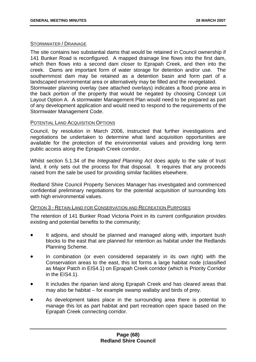### STORMWATER / DRAINAGE

The site contains two substantial dams that would be retained in Council ownership if 141 Bunker Road is reconfigured. A mapped drainage line flows into the first dam, which then flows into a second dam closer to Eprapah Creek, and then into the creek. Dams are important form of water storage for detention and/or use. The southernmost dam may be retained as a detention basin and form part of a landscaped environmental area or alternatively may be filled and the revegetated. Stormwater planning overlay (see attached overlays) indicates a flood prone area in the back portion of the property that would be negated by choosing Concept Lot Layout Option A. A stormwater Management Plan would need to be prepared as part of any development application and would need to respond to the requirements of the Stormwater Management Code.

## POTENTIAL LAND ACQUISITION OPTIONS

Council, by resolution in March 2006, instructed that further investigations and negotiations be undertaken to determine what land acquisition opportunities are available for the protection of the environmental values and providing long term public access along the Eprapah Creek corridor.

Whilst section 5.1.34 of the *Integrated Planning Act* does apply to the sale of trust land, it only sets out the process for that disposal. It requires that any proceeds raised from the sale be used for providing similar facilities elsewhere.

Redland Shire Council Property Services Manager has investigated and commenced confidential preliminary negotiations for the potential acquisition of surrounding lots with high environmental values.

#### OPTION 3 - RETAIN LAND FOR CONSERVATION AND RECREATION PURPOSES

The retention of 141 Bunker Road Victoria Point in its current configuration provides existing and potential benefits to the community;

- It adjoins, and should be planned and managed along with, important bush blocks to the east that are planned for retention as habitat under the Redlands Planning Scheme.
- In combination (or even considered separately in its own right) with the Conservation areas to the east, this lot forms a large habitat node (classified as Major Patch in EIS4.1) on Eprapah Creek corridor (which is Priority Corridor in the EIS4.1).
- It includes the riparian land along Eprapah Creek and has cleared areas that may also be habitat – for example swamp wallaby and birds of prey.
- As development takes place in the surrounding area there is potential to manage this lot as part habitat and part recreation open space based on the Eprapah Creek connecting corridor.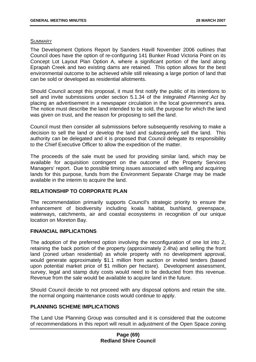#### **SUMMARY**

The Development Options Report by Sanders Havill November 2006 outlines that Council does have the option of re-configuring 141 Bunker Road Victoria Point on its Concept Lot Layout Plan Option A, where a significant portion of the land along Eprapah Creek and two existing dams are retained. This option allows for the best environmental outcome to be achieved while still releasing a large portion of land that can be sold or developed as residential allotments.

Should Council accept this proposal, it must first notify the public of its intentions to sell and invite submissions under section 5.1.34 of the *Integrated Planning Act* by placing an advertisement in a newspaper circulation in the local government's area. The notice must describe the land intended to be sold, the purpose for which the land was given on trust, and the reason for proposing to sell the land.

Council must then consider all submissions before subsequently resolving to make a decision to sell the land or develop the land and subsequently sell the land. This authority can be delegated and it is proposed that Council delegate its responsibility to the Chief Executive Officer to allow the expedition of the matter.

The proceeds of the sale must be used for providing similar land, which may be available for acquisition contingent on the outcome of the Property Services Managers' report. Due to possible timing issues associated with selling and acquiring lands for this purpose, funds from the Environment Separate Charge may be made available in the interim to acquire the land.

# **RELATIONSHIP TO CORPORATE PLAN**

The recommendation primarily supports Council's strategic priority to ensure the enhancement of biodiversity including koala habitat, bushland, greenspace, waterways, catchments, air and coastal ecosystems in recognition of our unique location on Moreton Bay.

#### **FINANCIAL IMPLICATIONS**

The adoption of the preferred option involving the reconfiguration of one lot into 2, retaining the back portion of the property (approximately 2.4ha) and selling the front land (zoned urban residential) as whole property with no development approval, would generate approximately \$1.1 million from auction or invited tenders (based upon potential market price of \$1 million per hectare). Development assessment, survey, legal and stamp duty costs would need to be deducted from this revenue. Revenue from the sale would be available to acquire land in the future.

Should Council decide to not proceed with any disposal options and retain the site, the normal ongoing maintenance costs would continue to apply.

#### **PLANNING SCHEME IMPLICATIONS**

The Land Use Planning Group was consulted and it is considered that the outcome of recommendations in this report will result in adjustment of the Open Space zoning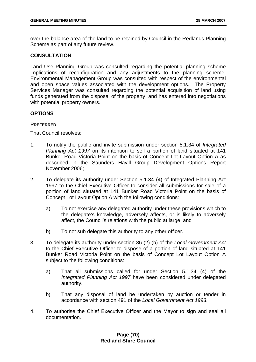over the balance area of the land to be retained by Council in the Redlands Planning Scheme as part of any future review.

# **CONSULTATION**

Land Use Planning Group was consulted regarding the potential planning scheme implications of reconfiguration and any adjustments to the planning scheme. Environmental Management Group was consulted with respect of the environmental and open space values associated with the development options. The Property Services Manager was consulted regarding the potential acquisition of land using funds generated from the disposal of the property, and has entered into negotiations with potential property owners.

#### **OPTIONS**

#### **PREFERRED**

That Council resolves;

- 1. To notify the public and invite submission under section 5.1.34 of *Integrated Planning Act 1997* on its intention to sell a portion of land situated at 141 Bunker Road Victoria Point on the basis of Concept Lot Layout Option A as described in the Saunders Havill Group Development Options Report November 2006;
- 2. To delegate its authority under Section 5.1.34 (4) of Integrated Planning Act 1997 to the Chief Executive Officer to consider all submissions for sale of a portion of land situated at 141 Bunker Road Victoria Point on the basis of Concept Lot Layout Option A with the following conditions:
	- a) To not exercise any delegated authority under these provisions which to the delegate's knowledge, adversely affects, or is likely to adversely affect, the Council's relations with the public at large, and
	- b) To not sub delegate this authority to any other officer.
- 3. To delegate its authority under section 36 (2) (b) of the *Local Government Act* to the Chief Executive Officer to dispose of a portion of land situated at 141 Bunker Road Victoria Point on the basis of Concept Lot Layout Option A subject to the following conditions:
	- a) That all submissions called for under Section 5.1.34 (4) of the *Integrated Planning Act 1997* have been considered under delegated authority.
	- b) That any disposal of land be undertaken by auction or tender in accordance with section 491 of the *Local Government Act 1993*.
- 4. To authorise the Chief Executive Officer and the Mayor to sign and seal all documentation.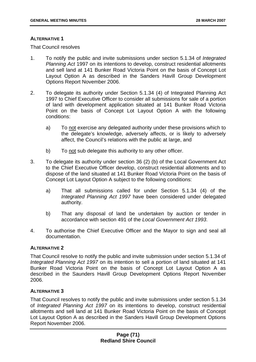### **ALTERNATIVE 1**

That Council resolves

- 1. To notify the public and invite submissions under section 5.1.34 of *Integrated Planning Act* 1997 on its intentions to develop, construct residential allotments and sell land at 141 Bunker Road Victoria Point on the basis of Concept Lot Layout Option A as described in the Sanders Havill Group Development Options Report November 2006.
- 2. To delegate its authority under Section 5.1.34 (4) of Integrated Planning Act 1997 to Chief Executive Officer to consider all submissions for sale of a portion of land with development application situated at 141 Bunker Road Victoria Point on the basis of Concept Lot Layout Option A with the following conditions:
	- a) To not exercise any delegated authority under these provisions which to the delegate's knowledge, adversely affects, or is likely to adversely affect, the Council's relations with the public at large, and
	- b) To not sub delegate this authority to any other officer.
- 3. To delegate its authority under section 36 (2) (b) of the Local Government Act to the Chief Executive Officer develop, construct residential allotments and to dispose of the land situated at 141 Bunker Road Victoria Point on the basis of Concept Lot Layout Option A subject to the following conditions:
	- a) That all submissions called for under Section 5.1.34 (4) of the *Integrated Planning Act 1997* have been considered under delegated authority.
	- b) That any disposal of land be undertaken by auction or tender in accordance with section 491 of the *Local Government Act 1993*.
- 4. To authorise the Chief Executive Officer and the Mayor to sign and seal all documentation.

# **ALTERNATIVE 2**

That Council resolve to notify the public and invite submission under section 5.1.34 of *Integrated Planning Act 1997* on its intention to sell a portion of land situated at 141 Bunker Road Victoria Point on the basis of Concept Lot Layout Option A as described in the Saunders Havill Group Development Options Report November 2006.

# **ALTERNATIVE 3**

That Council resolves to notify the public and invite submissions under section 5.1.34 of *Integrated Planning Act 1997* on its intentions to develop, construct residential allotments and sell land at 141 Bunker Road Victoria Point on the basis of Concept Lot Layout Option A as described in the Sanders Havill Group Development Options Report November 2006.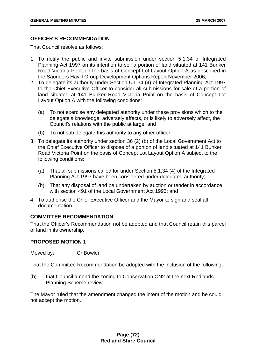# **OFFICER'S RECOMMENDATION**

That Council resolve as follows:

- 1. To notify the public and invite submission under section 5.1.34 of Integrated Planning Act 1997 on its intention to sell a portion of land situated at 141 Bunker Road Victoria Point on the basis of Concept Lot Layout Option A as described in the Saunders Havill Group Development Options Report November 2006;
- 2. To delegate its authority under Section 5.1.34 (4) of Integrated Planning Act 1997 to the Chief Executive Officer to consider all submissions for sale of a portion of land situated at 141 Bunker Road Victoria Point on the basis of Concept Lot Layout Option A with the following conditions:
	- (a) To not exercise any delegated authority under these provisions which to the delegate's knowledge, adversely affects, or is likely to adversely affect, the Council's relations with the public at large; and
	- (b) To not sub delegate this authority to any other officer;
- 3. To delegate its authority under section 36 (2) (b) of the Local Government Act to the Chief Executive Officer to dispose of a portion of land situated at 141 Bunker Road Victoria Point on the basis of Concept Lot Layout Option A subject to the following conditions:
	- (a) That all submissions called for under Section 5.1.34 (4) of the Integrated Planning Act 1997 have been considered under delegated authority;
	- (b) That any disposal of land be undertaken by auction or tender in accordance with section 491 of the Local Government Act 1993; and
- 4. To authorise the Chief Executive Officer and the Mayor to sign and seal all documentation.

# **COMMITTEE RECOMMENDATION**

That the Officer's Recommendation not be adopted and that Council retain this parcel of land in its ownership.

#### **PROPOSED MOTION 1**

Moved by: Cr Bowler

That the Committee Recommendation be adopted with the inclusion of the following;

(b) that Council amend the zoning to Conservation CN2 at the next Redlands Planning Scheme review.

The Mayor ruled that the amendment changed the intent of the motion and he could not accept the motion.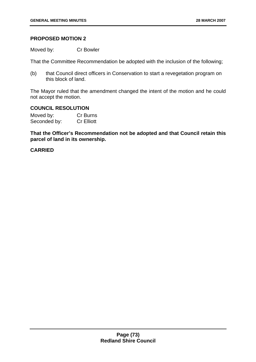## **PROPOSED MOTION 2**

Moved by: Cr Bowler

That the Committee Recommendation be adopted with the inclusion of the following;

(b) that Council direct officers in Conservation to start a revegetation program on this block of land.

The Mayor ruled that the amendment changed the intent of the motion and he could not accept the motion.

## **COUNCIL RESOLUTION**

Moved by: Cr Burns Seconded by: Cr Elliott

**That the Officer's Recommendation not be adopted and that Council retain this parcel of land in its ownership.**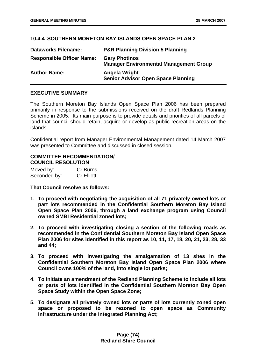## **10.4.4 SOUTHERN MORETON BAY ISLANDS OPEN SPACE PLAN 2**

| <b>Dataworks Filename:</b>       | <b>P&amp;R Planning Division 5 Planning</b>                           |
|----------------------------------|-----------------------------------------------------------------------|
| <b>Responsible Officer Name:</b> | <b>Gary Photinos</b><br><b>Manager Environmental Management Group</b> |
| <b>Author Name:</b>              | Angela Wright<br><b>Senior Advisor Open Space Planning</b>            |

### **EXECUTIVE SUMMARY**

The Southern Moreton Bay Islands Open Space Plan 2006 has been prepared primarily in response to the submissions received on the draft Redlands Planning Scheme in 2005. Its main purpose is to provide details and priorities of all parcels of land that council should retain, acquire or develop as public recreation areas on the islands.

Confidential report from Manager Environmental Management dated 14 March 2007 was presented to Committee and discussed in closed session.

# **COMMITTEE RECOMMENDATION/ COUNCIL RESOLUTION**

| Moved by:    | Cr Burns          |
|--------------|-------------------|
| Seconded by: | <b>Cr Elliott</b> |

**That Council resolve as follows:** 

- **1. To proceed with negotiating the acquisition of all 71 privately owned lots or part lots recommended in the Confidential Southern Moreton Bay Island Open Space Plan 2006, through a land exchange program using Council owned SMBI Residential zoned lots;**
- **2. To proceed with investigating closing a section of the following roads as recommended in the Confidential Southern Moreton Bay Island Open Space Plan 2006 for sites identified in this report as 10, 11, 17, 18, 20, 21, 23, 28, 33 and 44;**
- **3. To proceed with investigating the amalgamation of 13 sites in the Confidential Southern Moreton Bay Island Open Space Plan 2006 where Council owns 100% of the land, into single lot parks;**
- **4. To initiate an amendment of the Redland Planning Scheme to include all lots or parts of lots identified in the Confidential Southern Moreton Bay Open Space Study within the Open Space Zone;**
- **5. To designate all privately owned lots or parts of lots currently zoned open space or proposed to be rezoned to open space as Community Infrastructure under the Integrated Planning Act;**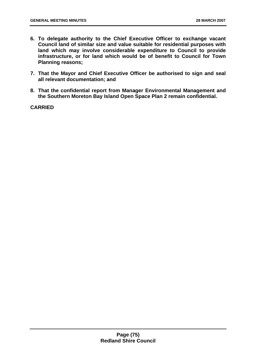- **6. To delegate authority to the Chief Executive Officer to exchange vacant Council land of similar size and value suitable for residential purposes with land which may involve considerable expenditure to Council to provide infrastructure, or for land which would be of benefit to Council for Town Planning reasons;**
- **7. That the Mayor and Chief Executive Officer be authorised to sign and seal all relevant documentation; and**
- **8. That the confidential report from Manager Environmental Management and the Southern Moreton Bay Island Open Space Plan 2 remain confidential.**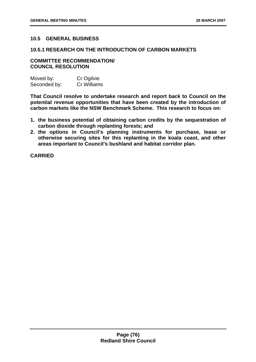## **10.5 GENERAL BUSINESS**

#### **10.5.1 RESEARCH ON THE INTRODUCTION OF CARBON MARKETS**

#### **COMMITTEE RECOMMENDATION/ COUNCIL RESOLUTION**

| Moved by:    | Cr Ogilvie  |
|--------------|-------------|
| Seconded by: | Cr Williams |

**That Council resolve to undertake research and report back to Council on the potential revenue opportunities that have been created by the introduction of carbon markets like the NSW Benchmark Scheme. This research to focus on:** 

- **1. the business potential of obtaining carbon credits by the sequestration of carbon dioxide through replanting forests; and**
- **2. the options in Council's planning instruments for purchase, lease or otherwise securing sites for this replanting in the koala coast, and other areas important to Council's bushland and habitat corridor plan.**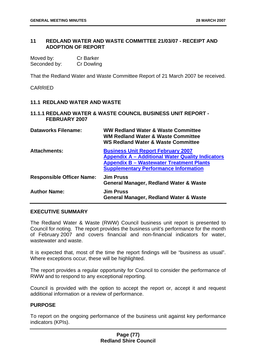## **11 REDLAND WATER AND WASTE COMMITTEE 21/03/07 - RECEIPT AND ADOPTION OF REPORT**

| Moved by:    | <b>Cr Barker</b> |
|--------------|------------------|
| Seconded by: | Cr Dowling       |

That the Redland Water and Waste Committee Report of 21 March 2007 be received.

CARRIED

## **11.1 REDLAND WATER AND WASTE**

#### **11.1.1 REDLAND WATER & WASTE COUNCIL BUSINESS UNIT REPORT - FEBRUARY 2007**

| <b>Dataworks Filename:</b>       | <b>WW Redland Water &amp; Waste Committee</b><br><b>WM Redland Water &amp; Waste Committee</b><br><b>WS Redland Water &amp; Waste Committee</b>                                                         |
|----------------------------------|---------------------------------------------------------------------------------------------------------------------------------------------------------------------------------------------------------|
| <b>Attachments:</b>              | <b>Business Unit Report February 2007</b><br><b>Appendix A - Additional Water Quality Indicators</b><br><b>Appendix B - Wastewater Treatment Plants</b><br><b>Supplementary Performance Information</b> |
| <b>Responsible Officer Name:</b> | <b>Jim Pruss</b><br><b>General Manager, Redland Water &amp; Waste</b>                                                                                                                                   |
| <b>Author Name:</b>              | <b>Jim Pruss</b><br><b>General Manager, Redland Water &amp; Waste</b>                                                                                                                                   |

### **EXECUTIVE SUMMARY**

The Redland Water & Waste (RWW) Council business unit report is presented to Council for noting. The report provides the business unit's performance for the month of February 2007 and covers financial and non-financial indicators for water, wastewater and waste.

It is expected that, most of the time the report findings will be "business as usual". Where exceptions occur, these will be highlighted.

The report provides a regular opportunity for Council to consider the performance of RWW and to respond to any exceptional reporting.

Council is provided with the option to accept the report or, accept it and request additional information or a review of performance.

# **PURPOSE**

To report on the ongoing performance of the business unit against key performance indicators (KPIs).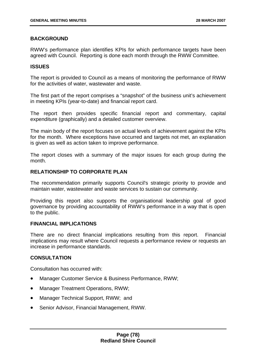## **BACKGROUND**

RWW's performance plan identifies KPIs for which performance targets have been agreed with Council. Reporting is done each month through the RWW Committee.

#### **ISSUES**

The report is provided to Council as a means of monitoring the performance of RWW for the activities of water, wastewater and waste.

The first part of the report comprises a "snapshot" of the business unit's achievement in meeting KPIs (year-to-date) and financial report card.

The report then provides specific financial report and commentary, capital expenditure (graphically) and a detailed customer overview.

The main body of the report focuses on actual levels of achievement against the KPIs for the month. Where exceptions have occurred and targets not met, an explanation is given as well as action taken to improve performance.

The report closes with a summary of the major issues for each group during the month.

#### **RELATIONSHIP TO CORPORATE PLAN**

The recommendation primarily supports Council's strategic priority to provide and maintain water, wastewater and waste services to sustain our community.

Providing this report also supports the organisational leadership goal of good governance by providing accountability of RWW's performance in a way that is open to the public.

## **FINANCIAL IMPLICATIONS**

There are no direct financial implications resulting from this report. Financial implications may result where Council requests a performance review or requests an increase in performance standards.

#### **CONSULTATION**

Consultation has occurred with:

- Manager Customer Service & Business Performance, RWW;
- Manager Treatment Operations, RWW;
- Manager Technical Support, RWW; and
- Senior Advisor, Financial Management, RWW.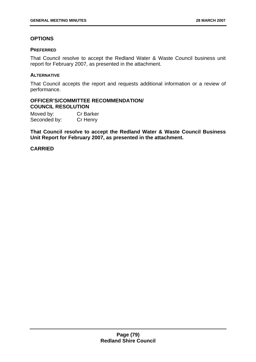# **OPTIONS**

### **PREFERRED**

That Council resolve to accept the Redland Water & Waste Council business unit report for February 2007, as presented in the attachment.

### **ALTERNATIVE**

That Council accepts the report and requests additional information or a review of performance.

#### **OFFICER'S/COMMITTEE RECOMMENDATION/ COUNCIL RESOLUTION**

Moved by: Cr Barker Seconded by: Cr Henry

**That Council resolve to accept the Redland Water & Waste Council Business Unit Report for February 2007, as presented in the attachment.**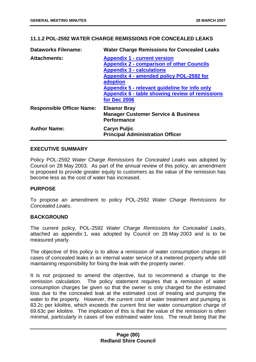# **11.1.2 POL-2592 WATER CHARGE REMISSIONS FOR CONCEALED LEAKS**

| <b>Dataworks Filename:</b>       | <b>Water Charge Remissions for Concealed Leaks</b>                                                                                                                                                                                                                                                      |
|----------------------------------|---------------------------------------------------------------------------------------------------------------------------------------------------------------------------------------------------------------------------------------------------------------------------------------------------------|
| <b>Attachments:</b>              | <b>Appendix 1 - current version</b><br><b>Appendix 2 - comparison of other Councils</b><br><b>Appendix 3 - calculations</b><br>Appendix 4 - amended policy POL-2592 for<br>adoption<br>Appendix 5 - relevant guideline for info only<br>Appendix 6 - table showing review of remissions<br>for Dec 2006 |
| <b>Responsible Officer Name:</b> | <b>Eleanor Bray</b><br><b>Manager Customer Service &amp; Business</b><br><b>Performance</b>                                                                                                                                                                                                             |
| <b>Author Name:</b>              | <b>Caryn Puljic</b><br><b>Principal Administration Officer</b>                                                                                                                                                                                                                                          |

## **EXECUTIVE SUMMARY**

Policy POL-2592 *Water Charge Remissions for Concealed Leaks* was adopted by Council on 28 May 2003. As part of the annual review of this policy, an amendment is proposed to provide greater equity to customers as the value of the remission has become less as the cost of water has increased.

#### **PURPOSE**

To propose an amendment to policy POL-2592 *Water Charge Remissions for Concealed Leaks*.

#### **BACKGROUND**

The current policy, POL-2592 *Water Charge Remissions for Concealed Leaks*, attached as appendix 1, was adopted by Council on 28 May 2003 and is to be measured yearly.

The objective of this policy is to allow a remission of water consumption charges in cases of concealed leaks in an internal water service of a metered property while still maintaining responsibility for fixing the leak with the property owner.

It is not proposed to amend the objective, but to recommend a change to the remission calculation. The policy statement requires that a remission of water consumption charges be given so that the owner is only charged for the estimated loss due to the concealed leak at the estimated cost of treating and pumping the water to the property. However, the current cost of water treatment and pumping is 83.2c per kilolitre, which exceeds the current first tier water consumption charge of 69.63c per kilolitre. The implication of this is that the value of the remission is often minimal, particularly in cases of low estimated water loss. The result being that the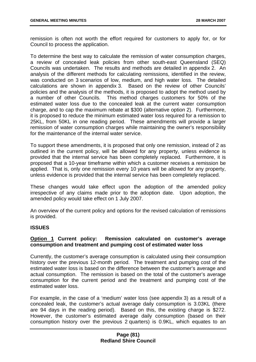remission is often not worth the effort required for customers to apply for, or for Council to process the application.

To determine the best way to calculate the remission of water consumption charges, a review of concealed leak policies from other south-east Queensland (SEQ) Councils was undertaken. The results and methods are detailed in appendix 2. An analysis of the different methods for calculating remissions, identified in the review, was conducted on 3 scenarios of low, medium, and high water loss. The detailed calculations are shown in appendix 3. Based on the review of other Councils' policies and the analysis of the methods, it is proposed to adopt the method used by a number of other Councils. This method charges customers for 50% of the estimated water loss due to the concealed leak at the current water consumption charge, and to cap the maximum rebate at \$300 (alternative option 2). Furthermore, it is proposed to reduce the minimum estimated water loss required for a remission to 25KL, from 50KL in one reading period. These amendments will provide a larger remission of water consumption charges while maintaining the owner's responsibility for the maintenance of the internal water service.

To support these amendments, it is proposed that only one remission, instead of 2 as outlined in the current policy, will be allowed for any property, unless evidence is provided that the internal service has been completely replaced. Furthermore, it is proposed that a 10-year timeframe within which a customer receives a remission be applied. That is, only one remission every 10 years will be allowed for any property, unless evidence is provided that the internal service has been completely replaced.

These changes would take effect upon the adoption of the amended policy irrespective of any claims made prior to the adoption date. Upon adoption, the amended policy would take effect on 1 July 2007.

An overview of the current policy and options for the revised calculation of remissions is provided.

#### **ISSUES**

## **Option 1 Current policy: Remission calculated on customer's average consumption and treatment and pumping cost of estimated water loss**

Currently, the customer's average consumption is calculated using their consumption history over the previous 12-month period. The treatment and pumping cost of the estimated water loss is based on the difference between the customer's average and actual consumption. The remission is based on the total of the customer's average consumption for the current period and the treatment and pumping cost of the estimated water loss.

For example, in the case of a 'medium' water loss (see appendix 3) as a result of a concealed leak, the customer's actual average daily consumption is 3.03KL (there are 94 days in the reading period). Based on this, the existing charge is \$272. However, the customer's estimated average daily consumption (based on their consumption history over the previous 2 quarters) is 0.9KL, which equates to an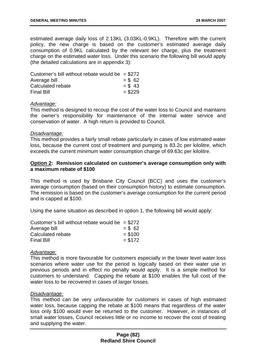estimated average daily loss of 2.13KL (3.03KL-0.9KL). Therefore with the current policy, the new charge is based on the customer's estimated average daily consumption of 0.9KL calculated by the relevant tier charge, plus the treatment charge on the estimated water loss. Under this scenario the following bill would apply (the detailed calculations are in appendix 3):

| Customer's bill without rebate would be $= $272$ |           |
|--------------------------------------------------|-----------|
| Average bill                                     | $=$ \$ 62 |
| Calculated rebate                                | $= $43$   |
| <b>Final Bill</b>                                | $= $229$  |

## *Advantage:*

This method is designed to recoup the cost of the water loss to Council and maintains the owner's responsibility for maintenance of the internal water service and conservation of water. A high return is provided to Council.

#### *Disadvantage:*

This method provides a fairly small rebate particularly in cases of low estimated water loss, because the current cost of treatment and pumping is 83.2c per kilolitre, which exceeds the current minimum water consumption charge of 69.63c per kilolitre.

### **Option 2: Remission calculated on customer's average consumption only with a maximum rebate of \$100**

This method is used by Brisbane City Council (BCC) and uses the customer's average consumption (based on their consumption history) to estimate consumption. The remission is based on the customer's average consumption for the current period and is capped at \$100.

Using the same situation as described in option 1, the following bill would apply:

| Customer's bill without rebate would be $= $272$ |          |
|--------------------------------------------------|----------|
| Average bill                                     | $= $62$  |
| Calculated rebate                                | $= $100$ |
| <b>Final Bill</b>                                | $= $172$ |

#### *Advantage:*

This method is more favourable for customers especially in the lower level water loss scenarios where water use for the period is logically based on their water use in previous periods and in effect no penalty would apply. It is a simple method for customers to understand. Capping the rebate at \$100 enables the full cost of the water loss to be recovered in cases of larger losses.

#### *Disadvantage:*

This method can be very unfavourable for customers in cases of high estimated water loss, because capping the rebate at \$100 means that regardless of the water loss only \$100 would ever be returned to the customer. However, in instances of small water losses, Council receives little or no income to recover the cost of treating and supplying the water.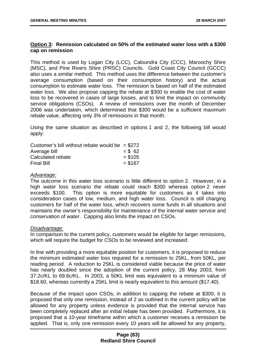## **Option 3: Remission calculated on 50% of the estimated water loss with a \$300 cap on remission**

This method is used by Logan City (LCC), Caloundra City (CCC), Maroochy Shire (MSC), and Pine Rivers Shire (PRSC) Councils. Gold Coast City Council (GCCC) also uses a similar method. This method uses the difference between the customer's average consumption (based on their consumption history) and the actual consumption to estimate water loss. The remission is based on half of the estimated water loss. We also propose capping the rebate at \$300 to enable the cost of water loss to be recovered in cases of large losses, and to limit the impact on community service obligations (CSOs). A review of remissions over the month of December 2006 was undertaken, which determined that \$300 would be a sufficient maximum rebate value, affecting only 3% of remissions in that month.

Using the same situation as described in options 1 and 2, the following bill would apply:

| Customer's bill without rebate would be $= $272$ |          |
|--------------------------------------------------|----------|
| Average bill                                     | $= $62$  |
| Calculated rebate                                | $= $105$ |
| <b>Final Bill</b>                                | $= $167$ |

## *Advantage:*

The outcome in this water loss scenario is little different to option 2. However, in a high water loss scenario the rebate could reach \$300 whereas option 2 never exceeds \$100. This option is more equitable for customers as it takes into consideration cases of low, medium, and high water loss. Council is still charging customers for half of the water loss, which recovers some funds in all situations and maintains the owner's responsibility for maintenance of the internal water service and conservation of water. Capping also limits the impact on CSOs.

#### *Disadvantage:*

In comparison to the current policy, customers would be eligible for larger remissions, which will require the budget for CSOs to be reviewed and increased.

In line with providing a more equitable position for customers, it is proposed to reduce the minimum estimated water loss required for a remission to 25KL, from 50KL, per reading period. A reduction to 25KL is considered viable because the price of water has nearly doubled since the adoption of the current policy, 28 May 2003, from 37.2c/KL to 69.6c/KL. In 2003, a 50KL limit was equivalent to a minimum value of \$18.60, whereas currently a 25KL limit is nearly equivalent to this amount (\$17.40).

Because of the impact upon CSOs, in addition to capping the rebate at \$300, it is proposed that only one remission, instead of 2 as outlined in the current policy will be allowed for any property unless evidence is provided that the internal service has been completely replaced after an initial rebate has been provided. Furthermore, it is proposed that a 10-year timeframe within which a customer receives a remission be applied. That is, only one remission every 10 years will be allowed for any property,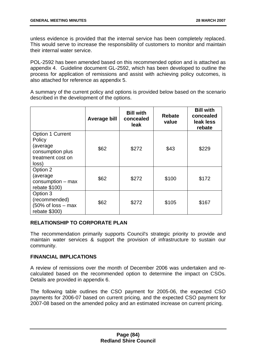unless evidence is provided that the internal service has been completely replaced. This would serve to increase the responsibility of customers to monitor and maintain their internal water service.

POL-2592 has been amended based on this recommended option and is attached as appendix 4. Guideline document GL-2592, which has been developed to outline the process for application of remissions and assist with achieving policy outcomes, is also attached for reference as appendix 5.

A summary of the current policy and options is provided below based on the scenario described in the development of the options.

|                                                                                                  | <b>Average bill</b> | <b>Bill with</b><br>concealed<br>leak | <b>Rebate</b><br>value | <b>Bill with</b><br>concealed<br>leak less<br>rebate |
|--------------------------------------------------------------------------------------------------|---------------------|---------------------------------------|------------------------|------------------------------------------------------|
| <b>Option 1 Current</b><br>Policy<br>(average)<br>consumption plus<br>treatment cost on<br>loss) | \$62                | \$272                                 | \$43                   | \$229                                                |
| Option 2<br>(average)<br>$consumption - max$<br>rebate \$100)                                    | \$62                | \$272                                 | \$100                  | \$172                                                |
| Option 3<br>(recommended)<br>$(50\% \text{ of loss} - \text{max})$<br>rebate \$300)              | \$62                | \$272                                 | \$105                  | \$167                                                |

# **RELATIONSHIP TO CORPORATE PLAN**

The recommendation primarily supports Council's strategic priority to provide and maintain water services & support the provision of infrastructure to sustain our community.

## **FINANCIAL IMPLICATIONS**

A review of remissions over the month of December 2006 was undertaken and recalculated based on the recommended option to determine the impact on CSOs. Details are provided in appendix 6.

The following table outlines the CSO payment for 2005-06, the expected CSO payments for 2006-07 based on current pricing, and the expected CSO payment for 2007-08 based on the amended policy and an estimated increase on current pricing.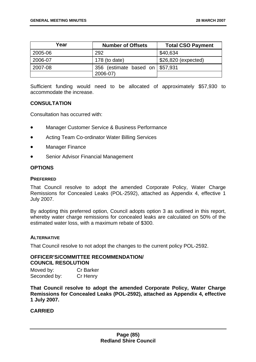| Year    | <b>Number of Offsets</b>        | <b>Total CSO Payment</b> |
|---------|---------------------------------|--------------------------|
| 2005-06 | 292                             | \$40,634                 |
| 2006-07 | 178 (to date)                   | \$26,820 (expected)      |
| 2007-08 | 356 (estimate based on \$57,931 |                          |
|         | 2006-07)                        |                          |

Sufficient funding would need to be allocated of approximately \$57,930 to accommodate the increase.

## **CONSULTATION**

Consultation has occurred with:

- Manager Customer Service & Business Performance
- Acting Team Co-ordinator Water Billing Services
- **Manager Finance**
- Senior Advisor Financial Management

# **OPTIONS**

#### **PREFERRED**

That Council resolve to adopt the amended Corporate Policy, Water Charge Remissions for Concealed Leaks (POL-2592), attached as Appendix 4, effective 1 July 2007.

By adopting this preferred option, Council adopts option 3 as outlined in this report, whereby water charge remissions for concealed leaks are calculated on 50% of the estimated water loss, with a maximum rebate of \$300.

#### **ALTERNATIVE**

That Council resolve to not adopt the changes to the current policy POL-2592.

#### **OFFICER'S/COMMITTEE RECOMMENDATION/ COUNCIL RESOLUTION**

| Moved by:    | <b>Cr Barker</b> |
|--------------|------------------|
| Seconded by: | Cr Henry         |

**That Council resolve to adopt the amended Corporate Policy, Water Charge Remissions for Concealed Leaks (POL-2592), attached as Appendix 4, effective 1 July 2007.**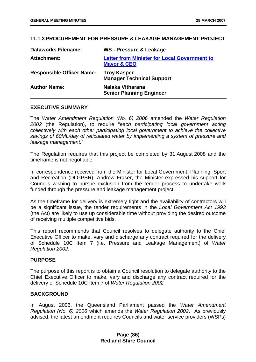## **11.1.3 PROCUREMENT FOR PRESSURE & LEAKAGE MANAGEMENT PROJECT**

| <b>Dataworks Filename:</b>       | <b>WS - Pressure &amp; Leakage</b>                                            |
|----------------------------------|-------------------------------------------------------------------------------|
| Attachment:                      | <b>Letter from Minister for Local Government to</b><br><b>Mayor &amp; CEO</b> |
| <b>Responsible Officer Name:</b> | <b>Troy Kasper</b><br><b>Manager Technical Support</b>                        |
| <b>Author Name:</b>              | <b>Nalaka Vitharana</b><br><b>Senior Planning Engineer</b>                    |

#### **EXECUTIVE SUMMARY**

The *Water Amendment Regulation (No. 6) 2006* amended the *Water Regulation 2002* (the Regulation), to require "*each participating local government acting collectively with each other participating local government to achieve the collective savings of 60ML/day of reticulated water by implementing a system of pressure and leakage management."*

The Regulation requires that this project be completed by 31 August 2008 and the timeframe is not negotiable.

In correspondence received from the Minister for Local Government, Planning, Sport and Recreation (DLGPSR), Andrew Fraser, the Minister expressed his support for Councils wishing to pursue exclusion from the tender process to undertake work funded through the pressure and leakage management project.

As the timeframe for delivery is extremely tight and the availability of contractors will be a significant issue, the tender requirements in the *Local Government Act 1993*  (the Act) are likely to use up considerable time without providing the desired outcome of receiving multiple competitive bids.

This report recommends that Council resolves to delegate authority to the Chief Executive Officer to make, vary and discharge any contract required for the delivery of Schedule 10C Item 7 (i.e. Pressure and Leakage Management) of *Water Regulation 2002.* 

#### **PURPOSE**

The purpose of this report is to obtain a Council resolution to delegate authority to the Chief Executive Officer to make, vary and discharge any contract required for the delivery of Schedule 10C Item 7 of *Water Regulation 2002.*

#### **BACKGROUND**

In August 2006, the Queensland Parliament passed the *Water Amendment Regulation (No. 6) 2006* which amends the *Water Regulation 2002*. As previously advised, the latest amendment requires Councils and water service providers (WSPs)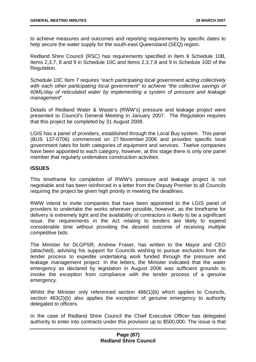to achieve measures and outcomes and reporting requirements by specific dates to help secure the water supply for the south-east Queensland (SEQ) region.

Redland Shire Council (RSC) has requirements specified in Item 9 Schedule 10B, Items 2,3,7, 8 and 9 in Schedule 10C and Items 2,3,7,8 and 9 in Schedule 10D of the Regulation.

Schedule 10C Item 7 requires "*each participating local government acting collectively with each other participating local government" to achieve "the collective savings of 60ML/day of reticulated water by implementing a system of pressure and leakage management*"

Details of Redland Water & Waste's (RWW's) pressure and leakage project were presented to Council's General Meeting in January 2007. The Regulation requires that this project be completed by 31 August 2008.

LGIS has a panel of providers, established through the Local Buy system. This panel (BUS 137-0706) commenced on 27 November 2006 and provides specific local government rates for both categories of equipment and services. Twelve companies have been appointed to each category, however, at this stage there is only one panel member that regularly undertakes construction activities.

## **ISSUES**

This timeframe for completion of RWW's pressure and leakage project is not negotiable and has been reinforced in a letter from the Deputy Premier to all Councils requiring the project be given high priority in meeting the deadlines.

RWW intend to invite companies that have been appointed to the LGIS panel of providers to undertake the works wherever possible, however, as the timeframe for delivery is extremely tight and the availability of contractors is likely to be a significant issue, the requirements in the Act relating to tenders are likely to expend considerable time without providing the desired outcome of receiving multiple competitive bids.

The Minister for DLGPSR, Andrew Fraser, has written to the Mayor and CEO (attached), advising his support for Councils wishing to pursue exclusion from the tender process to expedite undertaking work funded through the pressure and leakage management project. In the letters, the Minister indicated that the water emergency as declared by legislation in August 2006 was sufficient grounds to invoke the exception from compliance with the tender process of a genuine emergency.

Whilst the Minister only referenced section 486(1)(b) which applies to Councils, section 483(2)(b) also applies the exception of genuine emergency to authority delegated to officers.

In the case of Redland Shire Council the Chief Executive Officer has delegated authority to enter into contracts under this provision up to \$500,000. The issue is that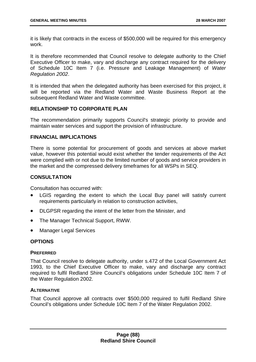it is likely that contracts in the excess of \$500,000 will be required for this emergency work.

It is therefore recommended that Council resolve to delegate authority to the Chief Executive Officer to make, vary and discharge any contract required for the delivery of Schedule 10C Item 7 (i.e. Pressure and Leakage Management) of *Water Regulation 2002*.

It is intended that when the delegated authority has been exercised for this project, it will be reported via the Redland Water and Waste Business Report at the subsequent Redland Water and Waste committee.

## **RELATIONSHIP TO CORPORATE PLAN**

The recommendation primarily supports Council's strategic priority to provide and maintain water services and support the provision of infrastructure.

#### **FINANCIAL IMPLICATIONS**

There is some potential for procurement of goods and services at above market value, however this potential would exist whether the tender requirements of the Act were complied with or not due to the limited number of goods and service providers in the market and the compressed delivery timeframes for all WSPs in SEQ.

# **CONSULTATION**

Consultation has occurred with:

- LGIS regarding the extent to which the Local Buy panel will satisfy current requirements particularly in relation to construction activities,
- DLGPSR regarding the intent of the letter from the Minister, and
- The Manager Technical Support, RWW.
- Manager Legal Services

#### **OPTIONS**

#### **PREFERRED**

That Council resolve to delegate authority, under s.472 of the Local Government Act 1993, to the Chief Executive Officer to make, vary and discharge any contract required to fulfil Redland Shire Council's obligations under Schedule 10C Item 7 of the Water Regulation 2002.

# **ALTERNATIVE**

That Council approve all contracts over \$500,000 required to fulfil Redland Shire Council's obligations under Schedule 10C Item 7 of the Water Regulation 2002.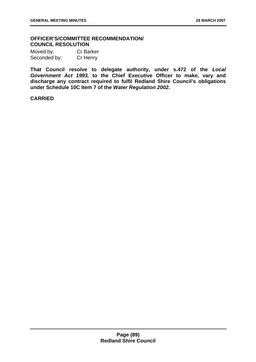# **OFFICER'S/COMMITTEE RECOMMENDATION/ COUNCIL RESOLUTION**

| Moved by:    | <b>Cr Barker</b> |
|--------------|------------------|
| Seconded by: | Cr Henry         |

**That Council resolve to delegate authority, under s.472 of the** *Local Government Act 1993,* **to the Chief Executive Officer to make, vary and discharge any contract required to fulfil Redland Shire Council's obligations under Schedule 10C Item 7 of the** *Water Regulation 2002***.**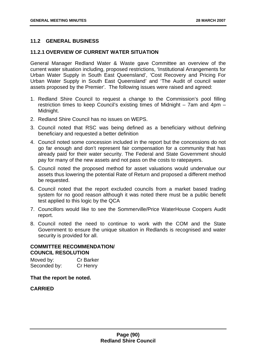## **11.2 GENERAL BUSINESS**

## **11.2.1 OVERVIEW OF CURRENT WATER SITUATION**

General Manager Redland Water & Waste gave Committee an overview of the current water situation including, proposed restrictions, 'Institutional Arrangements for Urban Water Supply in South East Queensland', 'Cost Recovery and Pricing For Urban Water Supply in South East Queensland' and 'The Audit of council water assets proposed by the Premier'. The following issues were raised and agreed:

- 1. Redland Shire Council to request a change to the Commission's pool filling restriction times to keep Council's existing times of Midnight – 7am and 4pm – Midnight.
- 2. Redland Shire Council has no issues on WEPS.
- 3. Council noted that RSC was being defined as a beneficiary without defining beneficiary and requested a better definition
- 4. Council noted some concession included in the report but the concessions do not go far enough and don't represent fair compensation for a community that has already paid for their water security. The Federal and State Government should pay for many of the new assets and not pass on the costs to ratepayers.
- 5. Council noted the proposed method for asset valuations would undervalue our assets thus lowering the potential Rate of Return and proposed a different method be requested.
- 6. Council noted that the report excluded councils from a market based trading system for no good reason although it was noted there must be a public benefit test applied to this logic by the QCA
- 7. Councillors would like to see the Sommerville/Price WaterHouse Coopers Audit report.
- 8. Council noted the need to continue to work with the COM and the State Government to ensure the unique situation in Redlands is recognised and water security is provided for all.

#### **COMMITTEE RECOMMENDATION/ COUNCIL RESOLUTION**

Moved by: Cr Barker Seconded by: Cr Henry

**That the report be noted.**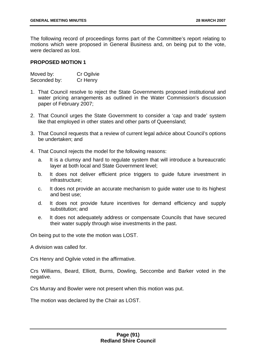The following record of proceedings forms part of the Committee's report relating to motions which were proposed in General Business and, on being put to the vote, were declared as lost.

## **PROPOSED MOTION 1**

| Moved by:    | Cr Ogilvie |
|--------------|------------|
| Seconded by: | Cr Henry   |

- 1. That Council resolve to reject the State Governments proposed institutional and water pricing arrangements as outlined in the Water Commission's discussion paper of February 2007;
- 2. That Council urges the State Government to consider a 'cap and trade' system like that employed in other states and other parts of Queensland;
- 3. That Council requests that a review of current legal advice about Council's options be undertaken; and
- 4. That Council rejects the model for the following reasons:
	- a. It is a clumsy and hard to regulate system that will introduce a bureaucratic layer at both local and State Government level;
	- b. It does not deliver efficient price triggers to guide future investment in infrastructure;
	- c. It does not provide an accurate mechanism to guide water use to its highest and best use;
	- d. It does not provide future incentives for demand efficiency and supply substitution; and
	- e. It does not adequately address or compensate Councils that have secured their water supply through wise investments in the past.

On being put to the vote the motion was LOST.

A division was called for.

Crs Henry and Ogilvie voted in the affirmative.

Crs Williams, Beard, Elliott, Burns, Dowling, Seccombe and Barker voted in the negative.

Crs Murray and Bowler were not present when this motion was put.

The motion was declared by the Chair as LOST.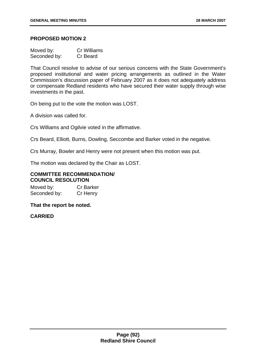### **PROPOSED MOTION 2**

| Moved by:    | Cr Williams |
|--------------|-------------|
| Seconded by: | Cr Beard    |

That Council resolve to advise of our serious concerns with the State Government's proposed institutional and water pricing arrangements as outlined in the Water Commission's discussion paper of February 2007 as it does not adequately address or compensate Redland residents who have secured their water supply through wise investments in the past.

On being put to the vote the motion was LOST.

A division was called for.

Crs Williams and Ogilvie voted in the affirmative.

Crs Beard, Elliott, Burns, Dowling, Seccombe and Barker voted in the negative.

Crs Murray, Bowler and Henry were not present when this motion was put.

The motion was declared by the Chair as LOST.

#### **COMMITTEE RECOMMENDATION/ COUNCIL RESOLUTION**

Moved by: Cr Barker Seconded by: Cr Henry

#### **That the report be noted.**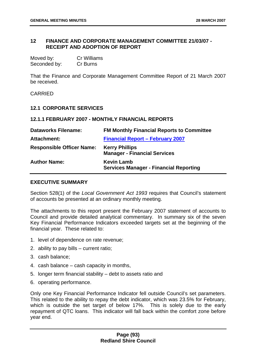### **12 FINANCE AND CORPORATE MANAGEMENT COMMITTEE 21/03/07 - RECEIPT AND ADOPTION OF REPORT**

| Moved by:    | <b>Cr Williams</b> |
|--------------|--------------------|
| Seconded by: | Cr Burns           |

That the Finance and Corporate Management Committee Report of 21 March 2007 be received.

CARRIED

#### **12.1 CORPORATE SERVICES**

#### **12.1.1 FEBRUARY 2007 - MONTHLY FINANCIAL REPORTS**

| <b>Dataworks Filename:</b>       | <b>FM Monthly Financial Reports to Committee</b>                   |
|----------------------------------|--------------------------------------------------------------------|
| Attachment:                      | <b>Financial Report - February 2007</b>                            |
| <b>Responsible Officer Name:</b> | <b>Kerry Phillips</b><br><b>Manager - Financial Services</b>       |
| <b>Author Name:</b>              | <b>Kevin Lamb</b><br><b>Services Manager - Financial Reporting</b> |

#### **EXECUTIVE SUMMARY**

Section 528(1) of the *Local Government Act 1993* requires that Council's statement of accounts be presented at an ordinary monthly meeting.

The attachments to this report present the February 2007 statement of accounts to Council and provide detailed analytical commentary. In summary six of the seven Key Financial Performance Indicators exceeded targets set at the beginning of the financial year. These related to:

- 1. level of dependence on rate revenue;
- 2. ability to pay bills current ratio;
- 3. cash balance;
- 4. cash balance cash capacity in months,
- 5. longer term financial stability debt to assets ratio and
- 6. operating performance.

Only one Key Financial Performance Indicator fell outside Council's set parameters. This related to the ability to repay the debt indicator, which was 23.5% for February, which is outside the set target of below 17%. This is solely due to the early repayment of QTC loans. This indicator will fall back within the comfort zone before year end.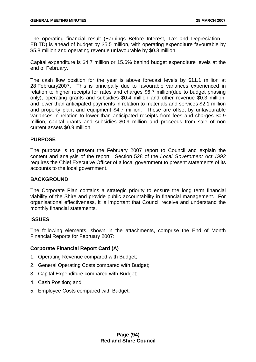The operating financial result (Earnings Before Interest, Tax and Depreciation – EBITD) is ahead of budget by \$5.5 million, with operating expenditure favourable by \$5.8 million and operating revenue unfavourable by \$0.3 million.

Capital expenditure is \$4.7 million or 15.6% behind budget expenditure levels at the end of February.

The cash flow position for the year is above forecast levels by \$11.1 million at 28 February2007. This is principally due to favourable variances experienced in relation to higher receipts for rates and charges \$6.7 million(due to budget phasing only), operating grants and subsidies \$0.4 million and other revenue \$0.3 million, and lower than anticipated payments in relation to materials and services \$2.1 million and property plant and equipment \$4.7 million. These are offset by unfavourable variances in relation to lower than anticipated receipts from fees and charges \$0.9 million, capital grants and subsidies \$0.9 million and proceeds from sale of non current assets \$0.9 million.

## **PURPOSE**

The purpose is to present the February 2007 report to Council and explain the content and analysis of the report. Section 528 of the *Local Government Act 1993* requires the Chief Executive Officer of a local government to present statements of its accounts to the local government.

#### **BACKGROUND**

The Corporate Plan contains a strategic priority to ensure the long term financial viability of the Shire and provide public accountability in financial management. For organisational effectiveness, it is important that Council receive and understand the monthly financial statements.

#### **ISSUES**

The following elements, shown in the attachments, comprise the End of Month Financial Reports for February 2007:

# **Corporate Financial Report Card (A)**

- 1. Operating Revenue compared with Budget;
- 2. General Operating Costs compared with Budget;
- 3. Capital Expenditure compared with Budget;
- 4. Cash Position; and
- 5. Employee Costs compared with Budget.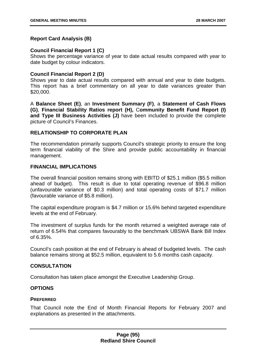## **Report Card Analysis (B)**

### **Council Financial Report 1 (C)**

Shows the percentage variance of year to date actual results compared with year to date budget by colour indicators.

## **Council Financial Report 2 (D)**

Shows year to date actual results compared with annual and year to date budgets. This report has a brief commentary on all year to date variances greater than \$20,000.

A **Balance Sheet (E)**, an **Investment Summary (F)**, a **Statement of Cash Flows (G)**, **Financial Stability Ratios report (H),** C**ommunity Benefit Fund Report (I) and Type III Business Activities (J)** have been included to provide the complete picture of Council's Finances.

## **RELATIONSHIP TO CORPORATE PLAN**

The recommendation primarily supports Council's strategic priority to ensure the long term financial viability of the Shire and provide public accountability in financial management.

#### **FINANCIAL IMPLICATIONS**

The overall financial position remains strong with EBITD of \$25.1 million (\$5.5 million ahead of budget). This result is due to total operating revenue of \$96.8 million (unfavourable variance of \$0.3 million) and total operating costs of \$71.7 million (favourable variance of \$5.8 million).

The capital expenditure program is \$4.7 million or 15.6% behind targeted expenditure levels at the end of February.

The investment of surplus funds for the month returned a weighted average rate of return of 6.54% that compares favourably to the benchmark UBSWA Bank Bill Index of 6.35%.

Council's cash position at the end of February is ahead of budgeted levels. The cash balance remains strong at \$52.5 million, equivalent to 5.6 months cash capacity.

#### **CONSULTATION**

Consultation has taken place amongst the Executive Leadership Group.

#### **OPTIONS**

#### **PREFERRED**

That Council note the End of Month Financial Reports for February 2007 and explanations as presented in the attachments.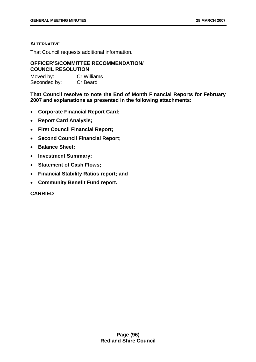## **ALTERNATIVE**

That Council requests additional information.

### **OFFICER'S/COMMITTEE RECOMMENDATION/ COUNCIL RESOLUTION**

Moved by: Cr Williams Seconded by: Cr Beard

**That Council resolve to note the End of Month Financial Reports for February 2007 and explanations as presented in the following attachments:** 

- **Corporate Financial Report Card;**
- **Report Card Analysis;**
- **First Council Financial Report;**
- **Second Council Financial Report;**
- **Balance Sheet;**
- **Investment Summary;**
- **Statement of Cash Flows;**
- **Financial Stability Ratios report; and**
- **Community Benefit Fund report.**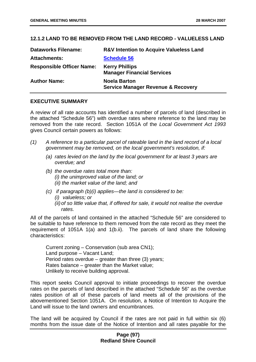# **12.1.2 LAND TO BE REMOVED FROM THE LAND RECORD - VALUELESS LAND**

| <b>Dataworks Filename:</b>       | <b>R&amp;V Intention to Acquire Valueless Land</b>                   |
|----------------------------------|----------------------------------------------------------------------|
| <b>Attachments:</b>              | <b>Schedule 56</b>                                                   |
| <b>Responsible Officer Name:</b> | <b>Kerry Phillips</b><br><b>Manager Financial Services</b>           |
| <b>Author Name:</b>              | <b>Noela Barton</b><br><b>Service Manager Revenue &amp; Recovery</b> |

# **EXECUTIVE SUMMARY**

A review of all rate accounts has identified a number of parcels of land (described in the attached "Schedule 56") with overdue rates where reference to the land may be removed from the rate record. Section 1051A of the *Local Government Act 1993* gives Council certain powers as follows:

- *(1) A reference to a particular parcel of rateable land in the land record of a local government may be removed, on the local government's resolution, if:* 
	- *(a) rates levied on the land by the local government for at least 3 years are overdue; and*
	- *(b) the overdue rates total more than: (i) the unimproved value of the land; or (ii) the market value of the land; and*
	- *(c) if paragraph (b)(i) applies—the land is considered to be: (i) valueless; or (ii) of so little value that, if offered for sale, it would not realise the overdue rates.*

All of the parcels of land contained in the attached "Schedule 56" are considered to be suitable to have reference to them removed from the rate record as they meet the requirement of 1051A 1(a) and 1(b.ii). The parcels of land share the following characteristics:

Current zoning – Conservation (sub area CN1); Land purpose – Vacant Land; Period rates overdue – greater than three (3) years; Rates balance – greater than the Market value; Unlikely to receive building approval.

This report seeks Council approval to initiate proceedings to recover the overdue rates on the parcels of land described in the attached "Schedule 56" as the overdue rates position of all of these parcels of land meets all of the provisions of the abovementioned Section 1051A. On resolution, a Notice of Intention to Acquire the Land will issue to the land owners and encumbrances.

The land will be acquired by Council if the rates are not paid in full within six (6) months from the issue date of the Notice of Intention and all rates payable for the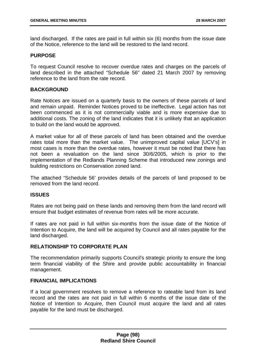land discharged. If the rates are paid in full within six (6) months from the issue date of the Notice, reference to the land will be restored to the land record.

## **PURPOSE**

To request Council resolve to recover overdue rates and charges on the parcels of land described in the attached "Schedule 56" dated 21 March 2007 by removing reference to the land from the rate record.

### **BACKGROUND**

Rate Notices are issued on a quarterly basis to the owners of these parcels of land and remain unpaid. Reminder Notices proved to be ineffective. Legal action has not been commenced as it is not commercially viable and is more expensive due to additional costs. The zoning of the land indicates that it is unlikely that an application to build on the land would be approved.

A market value for all of these parcels of land has been obtained and the overdue rates total more than the market value. The unimproved capital value [UCV's] in most cases is more than the overdue rates, however it must be noted that there has not been a revaluation on the land since 30/6/2005, which is prior to the implementation of the Redlands Planning Scheme that introduced new zonings and building restrictions on Conservation zoned land.

The attached "Schedule 56' provides details of the parcels of land proposed to be removed from the land record.

#### **ISSUES**

Rates are not being paid on these lands and removing them from the land record will ensure that budget estimates of revenue from rates will be more accurate.

If rates are not paid in full within six-months from the issue date of the Notice of Intention to Acquire, the land will be acquired by Council and all rates payable for the land discharged.

# **RELATIONSHIP TO CORPORATE PLAN**

The recommendation primarily supports Council's strategic priority to ensure the long term financial viability of the Shire and provide public accountability in financial management.

# **FINANCIAL IMPLICATIONS**

If a local government resolves to remove a reference to rateable land from its land record and the rates are not paid in full within 6 months of the issue date of the Notice of Intention to Acquire, then Council must acquire the land and all rates payable for the land must be discharged.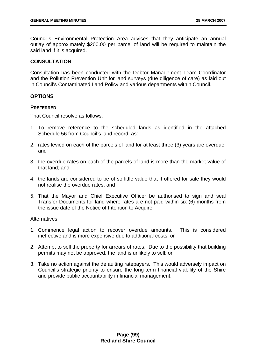Council's Environmental Protection Area advises that they anticipate an annual outlay of approximately \$200.00 per parcel of land will be required to maintain the said land if it is acquired.

### **CONSULTATION**

Consultation has been conducted with the Debtor Management Team Coordinator and the Pollution Prevention Unit for land surveys (due diligence of care) as laid out in Council's Contaminated Land Policy and various departments within Council.

## **OPTIONS**

#### **PREFERRED**

That Council resolve as follows:

- 1. To remove reference to the scheduled lands as identified in the attached Schedule 56 from Council's land record, as:
- 2. rates levied on each of the parcels of land for at least three (3) years are overdue; and
- 3. the overdue rates on each of the parcels of land is more than the market value of that land; and
- 4. the lands are considered to be of so little value that if offered for sale they would not realise the overdue rates; and
- 5. That the Mayor and Chief Executive Officer be authorised to sign and seal Transfer Documents for land where rates are not paid within six (6) months from the issue date of the Notice of Intention to Acquire.

#### **Alternatives**

- 1. Commence legal action to recover overdue amounts. This is considered ineffective and is more expensive due to additional costs; or
- 2. Attempt to sell the property for arrears of rates. Due to the possibility that building permits may not be approved, the land is unlikely to sell; or
- 3. Take no action against the defaulting ratepayers. This would adversely impact on Council's strategic priority to ensure the long-term financial viability of the Shire and provide public accountability in financial management.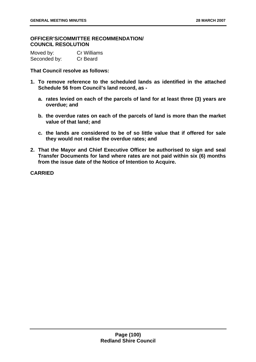## **OFFICER'S/COMMITTEE RECOMMENDATION/ COUNCIL RESOLUTION**

Moved by: Cr Williams Seconded by: Cr Beard

**That Council resolve as follows:** 

- **1. To remove reference to the scheduled lands as identified in the attached Schedule 56 from Council's land record, as** 
	- **a. rates levied on each of the parcels of land for at least three (3) years are overdue; and**
	- **b. the overdue rates on each of the parcels of land is more than the market value of that land; and**
	- **c. the lands are considered to be of so little value that if offered for sale they would not realise the overdue rates; and**
- **2. That the Mayor and Chief Executive Officer be authorised to sign and seal Transfer Documents for land where rates are not paid within six (6) months from the issue date of the Notice of Intention to Acquire.**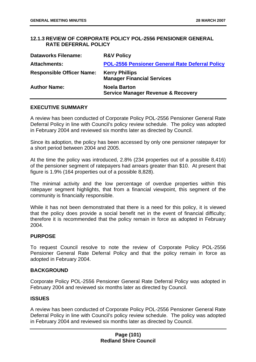## **12.1.3 REVIEW OF CORPORATE POLICY POL-2556 PENSIONER GENERAL RATE DEFERRAL POLICY**

| <b>Dataworks Filename:</b>       | <b>R&amp;V Policy</b>                                                |
|----------------------------------|----------------------------------------------------------------------|
| <b>Attachments:</b>              | POL-2556 Pensioner General Rate Deferral Policy                      |
| <b>Responsible Officer Name:</b> | <b>Kerry Phillips</b><br><b>Manager Financial Services</b>           |
| <b>Author Name:</b>              | <b>Noela Barton</b><br><b>Service Manager Revenue &amp; Recovery</b> |

#### **EXECUTIVE SUMMARY**

A review has been conducted of Corporate Policy POL-2556 Pensioner General Rate Deferral Policy in line with Council's policy review schedule. The policy was adopted in February 2004 and reviewed six months later as directed by Council.

Since its adoption, the policy has been accessed by only one pensioner ratepayer for a short period between 2004 and 2005.

At the time the policy was introduced, 2.8% (234 properties out of a possible 8,416) of the pensioner segment of ratepayers had arrears greater than \$10. At present that figure is 1.9% (164 properties out of a possible 8,828).

The minimal activity and the low percentage of overdue properties within this ratepayer segment highlights, that from a financial viewpoint, this segment of the community is financially responsible.

While it has not been demonstrated that there is a need for this policy, it is viewed that the policy does provide a social benefit net in the event of financial difficulty; therefore it is recommended that the policy remain in force as adopted in February 2004.

#### **PURPOSE**

To request Council resolve to note the review of Corporate Policy POL-2556 Pensioner General Rate Deferral Policy and that the policy remain in force as adopted in February 2004.

#### **BACKGROUND**

Corporate Policy POL-2556 Pensioner General Rate Deferral Policy was adopted in February 2004 and reviewed six months later as directed by Council.

#### **ISSUES**

A review has been conducted of Corporate Policy POL-2556 Pensioner General Rate Deferral Policy in line with Council's policy review schedule. The policy was adopted in February 2004 and reviewed six months later as directed by Council.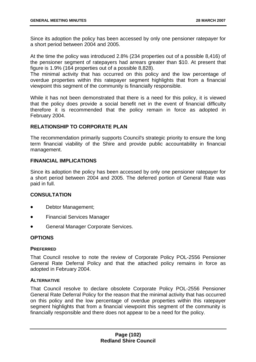Since its adoption the policy has been accessed by only one pensioner ratepayer for a short period between 2004 and 2005.

At the time the policy was introduced 2.8% (234 properties out of a possible 8,416) of the pensioner segment of ratepayers had arrears greater than \$10. At present that figure is 1.9% (164 properties out of a possible 8,828).

The minimal activity that has occurred on this policy and the low percentage of overdue properties within this ratepayer segment highlights that from a financial viewpoint this segment of the community is financially responsible.

While it has not been demonstrated that there is a need for this policy, it is viewed that the policy does provide a social benefit net in the event of financial difficulty therefore it is recommended that the policy remain in force as adopted in February 2004.

# **RELATIONSHIP TO CORPORATE PLAN**

The recommendation primarily supports Council's strategic priority to ensure the long term financial viability of the Shire and provide public accountability in financial management.

## **FINANCIAL IMPLICATIONS**

Since its adoption the policy has been accessed by only one pensioner ratepayer for a short period between 2004 and 2005. The deferred portion of General Rate was paid in full.

# **CONSULTATION**

- Debtor Management;
- Financial Services Manager
- General Manager Corporate Services.

#### **OPTIONS**

#### **PREFERRED**

That Council resolve to note the review of Corporate Policy POL-2556 Pensioner General Rate Deferral Policy and that the attached policy remains in force as adopted in February 2004.

## **ALTERNATIVE**

That Council resolve to declare obsolete Corporate Policy POL-2556 Pensioner General Rate Deferral Policy for the reason that the minimal activity that has occurred on this policy and the low percentage of overdue properties within this ratepayer segment highlights that from a financial viewpoint this segment of the community is financially responsible and there does not appear to be a need for the policy.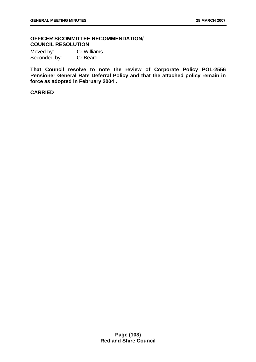# **OFFICER'S/COMMITTEE RECOMMENDATION/ COUNCIL RESOLUTION**

| Moved by:    | Cr Williams |
|--------------|-------------|
| Seconded by: | Cr Beard    |

**That Council resolve to note the review of Corporate Policy POL-2556 Pensioner General Rate Deferral Policy and that the attached policy remain in force as adopted in February 2004 .**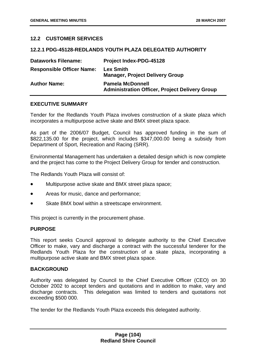# **12.2 CUSTOMER SERVICES**

#### **12.2.1 PDG-45128-REDLANDS YOUTH PLAZA DELEGATED AUTHORITY**

| <b>Dataworks Filename:</b>       | <b>Project Index-PDG-45128</b>                                                   |
|----------------------------------|----------------------------------------------------------------------------------|
| <b>Responsible Officer Name:</b> | <b>Lex Smith</b><br><b>Manager, Project Delivery Group</b>                       |
| <b>Author Name:</b>              | <b>Pamela McDonnell</b><br><b>Administration Officer, Project Delivery Group</b> |

#### **EXECUTIVE SUMMARY**

Tender for the Redlands Youth Plaza involves construction of a skate plaza which incorporates a multipurpose active skate and BMX street plaza space.

As part of the 2006/07 Budget, Council has approved funding in the sum of \$822,135.00 for the project, which includes \$347,000.00 being a subsidy from Department of Sport, Recreation and Racing (SRR).

Environmental Management has undertaken a detailed design which is now complete and the project has come to the Project Delivery Group for tender and construction.

The Redlands Youth Plaza will consist of:

- Multipurpose active skate and BMX street plaza space;
- Areas for music, dance and performance;
- Skate BMX bowl within a streetscape environment.

This project is currently in the procurement phase.

#### **PURPOSE**

This report seeks Council approval to delegate authority to the Chief Executive Officer to make, vary and discharge a contract with the successful tenderer for the Redlands Youth Plaza for the construction of a skate plaza, incorporating a multipurpose active skate and BMX street plaza space.

#### **BACKGROUND**

Authority was delegated by Council to the Chief Executive Officer (CEO) on 30 October 2002 to accept tenders and quotations and in addition to make, vary and discharge contracts. This delegation was limited to tenders and quotations not exceeding \$500 000.

The tender for the Redlands Youth Plaza exceeds this delegated authority.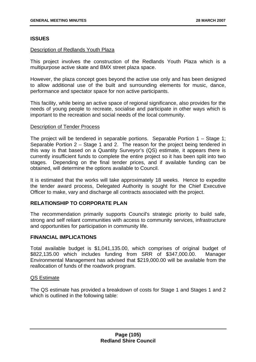## **ISSUES**

#### Description of Redlands Youth Plaza

This project involves the construction of the Redlands Youth Plaza which is a multipurpose active skate and BMX street plaza space.

However, the plaza concept goes beyond the active use only and has been designed to allow additional use of the built and surrounding elements for music, dance, performance and spectator space for non active participants.

This facility, while being an active space of regional significance, also provides for the needs of young people to recreate, socialise and participate in other ways which is important to the recreation and social needs of the local community.

#### Description of Tender Process

The project will be tendered in separable portions. Separable Portion 1 – Stage 1; Separable Portion 2 – Stage 1 and 2. The reason for the project being tendered in this way is that based on a Quantity Surveyor's (QS) estimate, it appears there is currently insufficient funds to complete the entire project so it has been split into two stages. Depending on the final tender prices, and if available funding can be obtained, will determine the options available to Council.

It is estimated that the works will take approximately 18 weeks. Hence to expedite the tender award process, Delegated Authority is sought for the Chief Executive Officer to make, vary and discharge all contracts associated with the project.

#### **RELATIONSHIP TO CORPORATE PLAN**

The recommendation primarily supports Council's strategic priority to build safe, strong and self reliant communities with access to community services, infrastructure and opportunities for participation in community life.

#### **FINANCIAL IMPLICATIONS**

Total available budget is \$1,041,135.00, which comprises of original budget of \$822,135.00 which includes funding from SRR of \$347,000.00. Manager Environmental Management has advised that \$219,000.00 will be available from the reallocation of funds of the roadwork program.

#### QS Estimate

The QS estimate has provided a breakdown of costs for Stage 1 and Stages 1 and 2 which is outlined in the following table: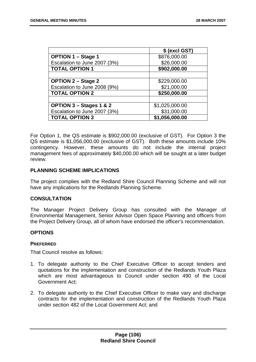|                              | \$ (excl GST)  |
|------------------------------|----------------|
| <b>OPTION 1 - Stage 1</b>    | \$876,000.00   |
| Escalation to June 2007 (3%) | \$26,000.00    |
| <b>TOTAL OPTION 1</b>        | \$902,000.00   |
|                              |                |
| <b>OPTION 2 - Stage 2</b>    | \$229,000.00   |
| Escalation to June 2008 (9%) | \$21,000.00    |
| <b>TOTAL OPTION 2</b>        | \$250,000.00   |
|                              |                |
| OPTION 3 - Stages 1 & 2      | \$1,025,000.00 |
| Escalation to June 2007 (3%) | \$31,000.00    |
| <b>TOTAL OPTION 3</b>        | \$1,056,000.00 |

For Option 1, the QS estimate is \$902,000.00 (exclusive of GST). For Option 3 the QS estimate is \$1,056,000.00 (exclusive of GST). Both these amounts include 10% contingency. However, these amounts do not include the internal project management fees of approximately \$40,000.00 which will be sought at a later budget review.

#### **PLANNING SCHEME IMPLICATIONS**

The project complies with the Redland Shire Council Planning Scheme and will not have any implications for the Redlands Planning Scheme.

# **CONSULTATION**

The Manager Project Delivery Group has consulted with the Manager of Environmental Management, Senior Advisor Open Space Planning and officers from the Project Delivery Group, all of whom have endorsed the officer's recommendation.

#### **OPTIONS**

#### **PREFERRED**

That Council resolve as follows:

- 1. To delegate authority to the Chief Executive Officer to accept tenders and quotations for the implementation and construction of the Redlands Youth Plaza which are most advantageous to Council under section 490 of the Local Government Act;
- 2. To delegate authority to the Chief Executive Officer to make vary and discharge contracts for the implementation and construction of the Redlands Youth Plaza under section 482 of the Local Government Act; and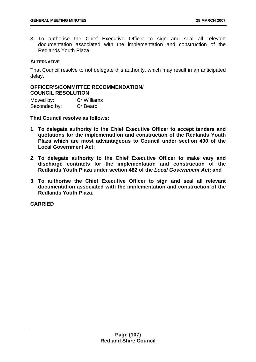3. To authorise the Chief Executive Officer to sign and seal all relevant documentation associated with the implementation and construction of the Redlands Youth Plaza.

#### **ALTERNATIVE**

That Council resolve to not delegate this authority, which may result in an anticipated delay.

# **OFFICER'S/COMMITTEE RECOMMENDATION/ COUNCIL RESOLUTION**

Moved by: Cr Williams Seconded by: Cr Beard

**That Council resolve as follows:** 

- **1. To delegate authority to the Chief Executive Officer to accept tenders and quotations for the implementation and construction of the Redlands Youth Plaza which are most advantageous to Council under section 490 of the Local Government Act;**
- **2. To delegate authority to the Chief Executive Officer to make vary and discharge contracts for the implementation and construction of the Redlands Youth Plaza under section 482 of the** *Local Government Act***; and**
- **3. To authorise the Chief Executive Officer to sign and seal all relevant documentation associated with the implementation and construction of the Redlands Youth Plaza.**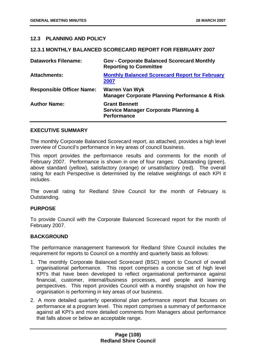# **12.3 PLANNING AND POLICY**

#### **12.3.1 MONTHLY BALANCED SCORECARD REPORT FOR FEBRUARY 2007**

| <b>Dataworks Filename:</b>       | <b>Gov - Corporate Balanced Scorecard Monthly</b><br><b>Reporting to Committee</b>            |
|----------------------------------|-----------------------------------------------------------------------------------------------|
| <b>Attachments:</b>              | <b>Monthly Balanced Scorecard Report for February</b><br>2007                                 |
| <b>Responsible Officer Name:</b> | <b>Warren Van Wyk</b><br><b>Manager Corporate Planning Performance &amp; Risk</b>             |
| <b>Author Name:</b>              | <b>Grant Bennett</b><br><b>Service Manager Corporate Planning &amp;</b><br><b>Performance</b> |

#### **EXECUTIVE SUMMARY**

The monthly Corporate Balanced Scorecard report, as attached, provides a high level overview of Council's performance in key areas of council business.

This report provides the performance results and comments for the month of February 2007. Performance is shown in one of four ranges: Outstanding (green), above standard (yellow), satisfactory (orange) or unsatisfactory (red). The overall rating for each Perspective is determined by the relative weightings of each KPI it includes.

The overall rating for Redland Shire Council for the month of February is Outstanding.

#### **PURPOSE**

To provide Council with the Corporate Balanced Scorecard report for the month of February 2007.

#### **BACKGROUND**

The performance management framework for Redland Shire Council includes the requirement for reports to Council on a monthly and quarterly basis as follows:

- 1. The monthly Corporate Balanced Scorecard (BSC) report to Council of overall organisational performance. This report comprises a concise set of high level KPI's that have been developed to reflect organisational performance against financial, customer, internal/business processes, and people and learning perspectives. This report provides Council with a monthly snapshot on how the organisation is performing in key areas of our business.
- 2. A more detailed quarterly operational plan performance report that focuses on performance at a program level. This report comprises a summary of performance against all KPI's and more detailed comments from Managers about performance that falls above or below an acceptable range.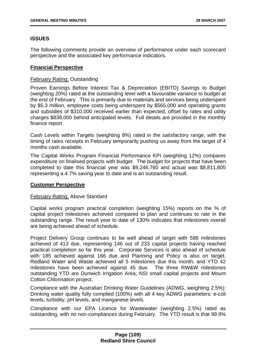# **ISSUES**

The following comments provide an overview of performance under each scorecard perspective and the associated key performance indicators.

### **Financial Perspective**

#### February Rating: Outstanding

Proven Earnings Before Interest Tax & Depreciation (EBITD) Savings to Budget (weighting 20%) rated at the outstanding level with a favourable variance to budget at the end of February. This is primarily due to materials and services being underspent by \$5.3 million, employee costs being underspent by \$565,000 and operating grants and subsidies of \$310,000 received earlier than expected, offset by rates and utility charges \$838,000 behind anticipated levels. Full details are provided in the monthly finance report.

Cash Levels within Targets (weighting 8%) rated in the satisfactory range, with the timing of rates receipts in February temporarily pushing us away from the target of 4 months cash available.

The Capital Works Program Financial Performance KPI (weighting 12%) compares expenditure on finalised projects with budget. The budget for projects that have been completed to date this financial year was \$9,246,760 and actual was \$8,811,805 representing a 4.7% saving year to date and is an outstanding result.

#### **Customer Perspective**

#### February Rating: Above Standard

Capital works program practical completion (weighting 15%) reports on the % of capital project milestones achieved compared to plan and continues to rate in the outstanding range. The result year to date of 130% indicates that milestones overall are being achieved ahead of schedule.

Project Delivery Group continues to be well ahead of target with 588 milestones achieved of 413 due, representing 146 out of 233 capital projects having reached practical completion so far this year. Corporate Services is also ahead of schedule with 185 achieved against 166 due and Planning and Policy is also on target. Redland Water and Waste achieved all 5 milestones due this month, and YTD 42 milestones have been achieved against 45 due. The three RW&W milestones outstanding YTD are Dunwich Irrigation Area, NSI small capital projects and Mount Cotton Chlorination project.

Compliance with the Australian Drinking Water Guidelines (ADWG, weighting 2.5%): Drinking water quality fully complied (100%) with all 4 key ADWG parameters: e-coli levels, turbidity, pH levels, and manganese levels.

Compliance with our EPA Licence for Wastewater (weighting 2.5%) rated as outstanding, with no non-compliances during February. The YTD result is that 99.9%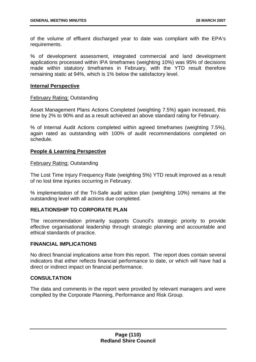of the volume of effluent discharged year to date was compliant with the EPA's requirements.

% of development assessment, integrated commercial and land development applications processed within IPA timeframes (weighting 10%) was 95% of decisions made within statutory timeframes in February, with the YTD result therefore remaining static at 94%, which is 1% below the satisfactory level.

#### **Internal Perspective**

#### February Rating: Outstanding

Asset Management Plans Actions Completed (weighting 7.5%) again increased, this time by 2% to 90% and as a result achieved an above standard rating for February.

% of Internal Audit Actions completed within agreed timeframes (weighting 7.5%), again rated as outstanding with 100% of audit recommendations completed on schedule.

#### **People & Learning Perspective**

## February Rating: Outstanding

The Lost Time Injury Frequency Rate (weighting 5%) YTD result improved as a result of no lost time injuries occurring in February.

% implementation of the Tri-Safe audit action plan (weighting 10%) remains at the outstanding level with all actions due completed.

## **RELATIONSHIP TO CORPORATE PLAN**

The recommendation primarily supports Council's strategic priority to provide effective organisational leadership through strategic planning and accountable and ethical standards of practice.

#### **FINANCIAL IMPLICATIONS**

No direct financial implications arise from this report. The report does contain several indicators that either reflects financial performance to date, or which will have had a direct or indirect impact on financial performance.

#### **CONSULTATION**

The data and comments in the report were provided by relevant managers and were compiled by the Corporate Planning, Performance and Risk Group.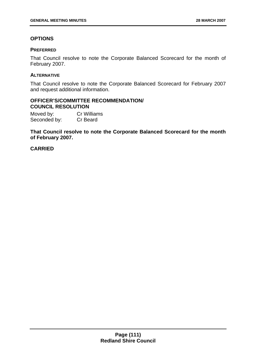# **OPTIONS**

## **PREFERRED**

That Council resolve to note the Corporate Balanced Scorecard for the month of February 2007.

### **ALTERNATIVE**

That Council resolve to note the Corporate Balanced Scorecard for February 2007 and request additional information.

#### **OFFICER'S/COMMITTEE RECOMMENDATION/ COUNCIL RESOLUTION**

Moved by: Cr Williams Seconded by: Cr Beard

**That Council resolve to note the Corporate Balanced Scorecard for the month of February 2007.**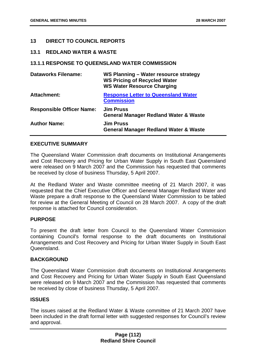# **13 DIRECT TO COUNCIL REPORTS**

#### **13.1 REDLAND WATER & WASTE**

#### **13.1.1 RESPONSE TO QUEENSLAND WATER COMMISSION**

| <b>Dataworks Filename:</b>       | WS Planning - Water resource strategy<br><b>WS Pricing of Recycled Water</b><br><b>WS Water Resource Charging</b> |
|----------------------------------|-------------------------------------------------------------------------------------------------------------------|
| Attachment:                      | <b>Response Letter to Queensland Water</b><br><b>Commission</b>                                                   |
| <b>Responsible Officer Name:</b> | <b>Jim Pruss</b><br><b>General Manager Redland Water &amp; Waste</b>                                              |
| <b>Author Name:</b>              | <b>Jim Pruss</b><br><b>General Manager Redland Water &amp; Waste</b>                                              |

#### **EXECUTIVE SUMMARY**

The Queensland Water Commission draft documents on Institutional Arrangements and Cost Recovery and Pricing for Urban Water Supply in South East Queensland were released on 9 March 2007 and the Commission has requested that comments be received by close of business Thursday, 5 April 2007.

At the Redland Water and Waste committee meeting of 21 March 2007, it was requested that the Chief Executive Officer and General Manager Redland Water and Waste prepare a draft response to the Queensland Water Commission to be tabled for review at the General Meeting of Council on 28 March 2007. A copy of the draft response is attached for Council consideration.

# **PURPOSE**

To present the draft letter from Council to the Queensland Water Commission containing Council's formal response to the draft documents on Institutional Arrangements and Cost Recovery and Pricing for Urban Water Supply in South East Queensland.

#### **BACKGROUND**

The Queensland Water Commission draft documents on Institutional Arrangements and Cost Recovery and Pricing for Urban Water Supply in South East Queensland were released on 9 March 2007 and the Commission has requested that comments be received by close of business Thursday, 5 April 2007.

#### **ISSUES**

The issues raised at the Redland Water & Waste committee of 21 March 2007 have been included in the draft formal letter with suggested responses for Council's review and approval.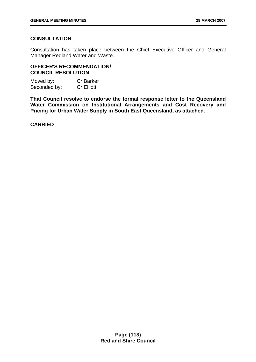# **CONSULTATION**

Consultation has taken place between the Chief Executive Officer and General Manager Redland Water and Waste.

## **OFFICER'S RECOMMENDATION/ COUNCIL RESOLUTION**

Moved by: Cr Barker Seconded by: Cr Elliott

**That Council resolve to endorse the formal response letter to the Queensland Water Commission on Institutional Arrangements and Cost Recovery and Pricing for Urban Water Supply in South East Queensland, as attached.**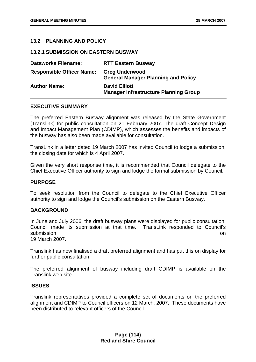# **13.2 PLANNING AND POLICY**

**13.2.1 SUBMISSION ON EASTERN BUSWAY** 

| <b>Dataworks Filename:</b>       | <b>RTT Eastern Busway</b>                                            |
|----------------------------------|----------------------------------------------------------------------|
| <b>Responsible Officer Name:</b> | <b>Greg Underwood</b><br><b>General Manager Planning and Policy</b>  |
| <b>Author Name:</b>              | <b>David Elliott</b><br><b>Manager Infrastructure Planning Group</b> |

## **EXECUTIVE SUMMARY**

The preferred Eastern Busway alignment was released by the State Government (Translink) for public consultation on 21 February 2007. The draft Concept Design and Impact Management Plan (CDIMP), which assesses the benefits and impacts of the busway has also been made available for consultation.

TransLink in a letter dated 19 March 2007 has invited Council to lodge a submission, the closing date for which is 4 April 2007.

Given the very short response time, it is recommended that Council delegate to the Chief Executive Officer authority to sign and lodge the formal submission by Council.

#### **PURPOSE**

To seek resolution from the Council to delegate to the Chief Executive Officer authority to sign and lodge the Council's submission on the Eastern Busway.

#### **BACKGROUND**

In June and July 2006, the draft busway plans were displayed for public consultation. Council made its submission at that time. TransLink responded to Council's submission on the contract of the contract of the contract of the contract of the contract of the contract of the contract of the contract of the contract of the contract of the contract of the contract of the contract of

19 March 2007.

Translink has now finalised a draft preferred alignment and has put this on display for further public consultation.

The preferred alignment of busway including draft CDIMP is available on the Translink web site.

# **ISSUES**

Translink representatives provided a complete set of documents on the preferred alignment and CDIMP to Council officers on 12 March, 2007. These documents have been distributed to relevant officers of the Council.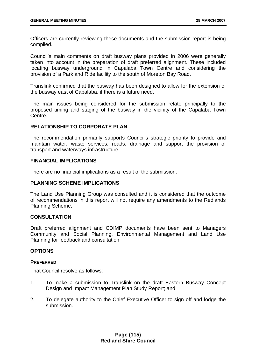Officers are currently reviewing these documents and the submission report is being compiled.

Council's main comments on draft busway plans provided in 2006 were generally taken into account in the preparation of draft preferred alignment. These included locating busway underground in Capalaba Town Centre and considering the provision of a Park and Ride facility to the south of Moreton Bay Road.

Translink confirmed that the busway has been designed to allow for the extension of the busway east of Capalaba, if there is a future need.

The main issues being considered for the submission relate principally to the proposed timing and staging of the busway in the vicinity of the Capalaba Town Centre.

## **RELATIONSHIP TO CORPORATE PLAN**

The recommendation primarily supports Council's strategic priority to provide and maintain water, waste services, roads, drainage and support the provision of transport and waterways infrastructure.

#### **FINANCIAL IMPLICATIONS**

There are no financial implications as a result of the submission.

### **PLANNING SCHEME IMPLICATIONS**

The Land Use Planning Group was consulted and it is considered that the outcome of recommendations in this report will not require any amendments to the Redlands Planning Scheme.

#### **CONSULTATION**

Draft preferred alignment and CDIMP documents have been sent to Managers Community and Social Planning, Environmental Management and Land Use Planning for feedback and consultation.

#### **OPTIONS**

#### **PREFERRED**

That Council resolve as follows:

- 1. To make a submission to Translink on the draft Eastern Busway Concept Design and Impact Management Plan Study Report; and
- 2. To delegate authority to the Chief Executive Officer to sign off and lodge the submission.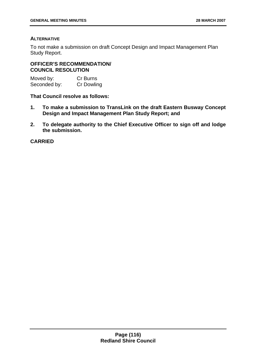## **ALTERNATIVE**

To not make a submission on draft Concept Design and Impact Management Plan Study Report.

**OFFICER'S RECOMMENDATION/ COUNCIL RESOLUTION** 

Moved by: Cr Burns Seconded by: Cr Dowling

**That Council resolve as follows:** 

- **1. To make a submission to TransLink on the draft Eastern Busway Concept Design and Impact Management Plan Study Report; and**
- **2. To delegate authority to the Chief Executive Officer to sign off and lodge the submission.**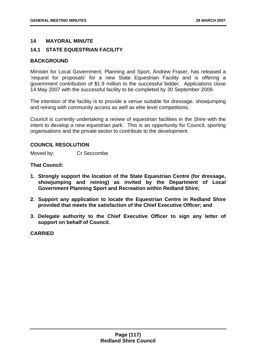## **14 MAYORAL MINUTE**

# **14.1 STATE EQUESTRIAN FACILITY**

### **BACKGROUND**

Minister for Local Government, Planning and Sport, Andrew Fraser, has released a 'request for proposals' for a new State Equestrian Facility and is offering a government contribution of \$1.9 million to the successful bidder. Applications close 14 May 2007 with the successful facility to be completed by 30 September 2009.

The intention of the facility is to provide a venue suitable for dressage, showjumping and reining with community access as well as elite level competitions.

Council is currently undertaking a review of equestrian facilities in the Shire with the intent to develop a new equestrian park. This is an opportunity for Council, sporting organisations and the private sector to contribute to the development.

#### **COUNCIL RESOLUTION**

Moved by: Cr Seccombe

#### **That Council:**

- **1. Strongly support the location of the State Equestrian Centre (for dressage, showjumping and reining) as invited by the Department of Local Government Planning Sport and Recreation within Redland Shire;**
- **2. Support any application to locate the Equestrian Centre in Redland Shire provided that meets the satisfaction of the Chief Executive Officer; and**
- **3. Delegate authority to the Chief Executive Officer to sign any letter of support on behalf of Council.**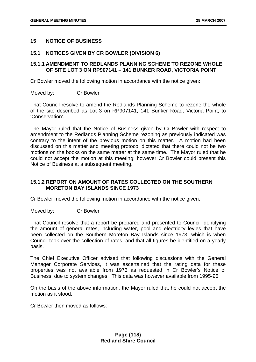## **15 NOTICE OF BUSINESS**

### **15.1 NOTICES GIVEN BY CR BOWLER (DIVISION 6)**

## **15.1.1 AMENDMENT TO REDLANDS PLANNING SCHEME TO REZONE WHOLE OF SITE LOT 3 ON RP907141 – 141 BUNKER ROAD, VICTORIA POINT**

Cr Bowler moved the following motion in accordance with the notice given:

Moved by: Cr Bowler

That Council resolve to amend the Redlands Planning Scheme to rezone the whole of the site described as Lot 3 on RP907141, 141 Bunker Road, Victoria Point, to 'Conservation'.

The Mayor ruled that the Notice of Business given by Cr Bowler with respect to amendment to the Redlands Planning Scheme rezoning as previously indicated was contrary to the intent of the previous motion on this matter. A motion had been discussed on this matter and meeting protocol dictated that there could not be two motions on the books on the same matter at the same time. The Mayor ruled that he could not accept the motion at this meeting; however Cr Bowler could present this Notice of Business at a subsequent meeting.

# **15.1.2 REPORT ON AMOUNT OF RATES COLLECTED ON THE SOUTHERN MORETON BAY ISLANDS SINCE 1973**

Cr Bowler moved the following motion in accordance with the notice given:

Moved by: Cr Bowler

That Council resolve that a report be prepared and presented to Council identifying the amount of general rates, including water, pool and electricity levies that have been collected on the Southern Moreton Bay Islands since 1973, which is when Council took over the collection of rates, and that all figures be identified on a yearly basis.

The Chief Executive Officer advised that following discussions with the General Manager Corporate Services, it was ascertained that the rating data for these properties was not available from 1973 as requested in Cr Bowler's Notice of Business, due to system changes. This data was however available from 1995-96.

On the basis of the above information, the Mayor ruled that he could not accept the motion as it stood.

Cr Bowler then moved as follows: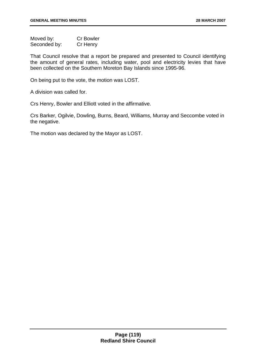Moved by: Cr Bowler Seconded by: Cr Henry

That Council resolve that a report be prepared and presented to Council identifying the amount of general rates, including water, pool and electricity levies that have been collected on the Southern Moreton Bay Islands since 1995-96.

On being put to the vote, the motion was LOST.

A division was called for.

Crs Henry, Bowler and Elliott voted in the affirmative.

Crs Barker, Ogilvie, Dowling, Burns, Beard, Williams, Murray and Seccombe voted in the negative.

The motion was declared by the Mayor as LOST.